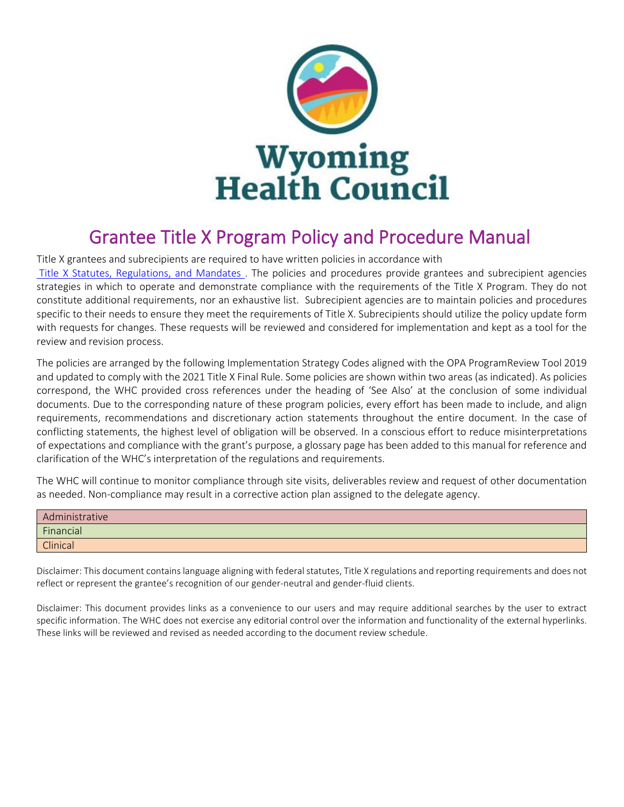

# Grantee Title X Program Policy and Procedure Manual<br>Title X grantees and subrecipients are required to have written policies in accordance with

[Title X Statutes, Regulations, and Mandates](https://opa.hhs.gov/grant-programs/title-x-service-grants/title-x-statutes-regulations-and-legislative-mandates) . The policies and procedures provide grantees and subrecipient agencies strategies in which to operate and demonstrate compliance with the requirements of the Title X Program. They do not constitute additional requirements, nor an exhaustive list. Subrecipient agencies are to maintain policies and procedures specific to their needs to ensure they meet the requirements of Title X. Subrecipients should utilize the policy update form with requests for changes. These requests will be reviewed and considered for implementation and kept as a tool for the review and revision process.

The policies are arranged by the following Implementation Strategy Codes aligned with the OPA ProgramReview Tool 2019 and updated to comply with the 2021 Title X Final Rule. Some policies are shown within two areas (as indicated). As policies correspond, the WHC provided cross references under the heading of 'See Also' at the conclusion of some individual documents. Due to the corresponding nature of these program policies, every effort has been made to include, and align requirements, recommendations and discretionary action statements throughout the entire document. In the case of conflicting statements, the highest level of obligation will be observed. In a conscious effort to reduce misinterpretations of expectations and compliance with the grant's purpose, a glossary page has been added to this manual for reference and clarification of the WHC's interpretation of the regulations and requirements.

The WHC will continue to monitor compliance through site visits, deliverables review and request of other documentation as needed. Non-compliance may result in a corrective action plan assigned to the delegate agency.

| Administrative  |
|-----------------|
| Financial       |
| <b>Clinical</b> |

Disclaimer: This document contains language aligning with federalstatutes, Title X regulations and reporting requirements and does not reflect or represent the grantee's recognition of our gender-neutral and gender-fluid clients.

Disclaimer: This document provides links as a convenience to our users and may require additional searches by the user to extract specific information. The WHC does not exercise any editorial control over the information and functionality of the external hyperlinks. These links will be reviewed and revised as needed according to the document review schedule.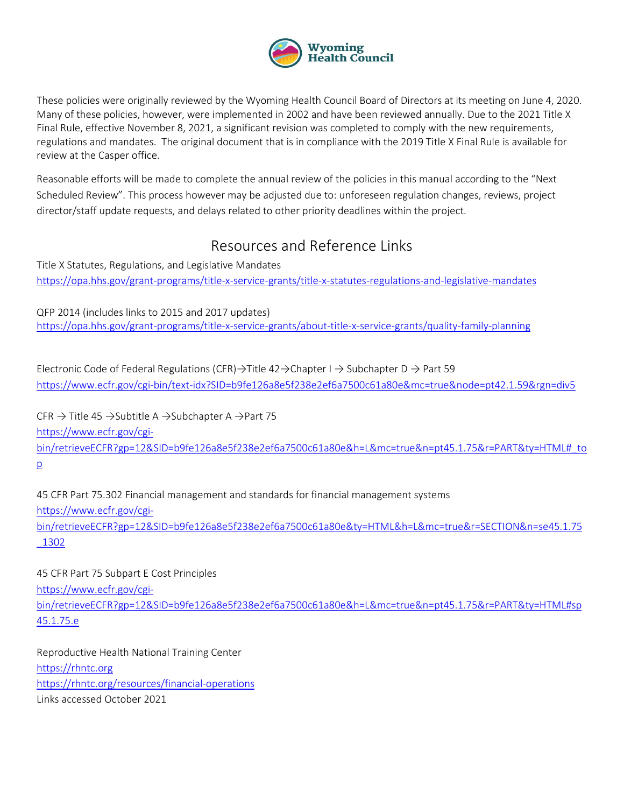

These policies were originally reviewed by the Wyoming Health Council Board of Directors at its meeting on June 4, 2020. Many of these policies, however, were implemented in 2002 and have been reviewed annually. Due to the 2021 Title X Final Rule, effective November 8, 2021, a significant revision was completed to comply with the new requirements, regulations and mandates. The original document that is in compliance with the 2019 Title X Final Rule is available for review at the Casper office.

Reasonable efforts will be made to complete the annual review of the policies in this manual according to the "Next Scheduled Review". This process however may be adjusted due to: unforeseen regulation changes, reviews, project director/staff update requests, and delays related to other priority deadlines within the project.

# Resources and Reference Links

Title X Statutes, Regulations, and Legislative Mandates <https://opa.hhs.gov/grant-programs/title-x-service-grants/title-x-statutes-regulations-and-legislative-mandates>

QFP 2014 (includes links to 2015 and 2017 updates) <https://opa.hhs.gov/grant-programs/title-x-service-grants/about-title-x-service-grants/quality-family-planning>

Electronic Code of Federal Regulations (CFR)→Title 42→Chapter I → Subchapter D → Part 59 <https://www.ecfr.gov/cgi-bin/text-idx?SID=b9fe126a8e5f238e2ef6a7500c61a80e&mc=true&node=pt42.1.59&rgn=div5>

CFR  $\rightarrow$  Title 45  $\rightarrow$  Subtitle A  $\rightarrow$  Subchapter A  $\rightarrow$  Part 75 [https://www.ecfr.gov/cgi](https://www.ecfr.gov/cgi-bin/retrieveECFR?gp=12&SID=b9fe126a8e5f238e2ef6a7500c61a80e&h=L&mc=true&n=pt45.1.75&r=PART&ty=HTML#_top)[bin/retrieveECFR?gp=12&SID=b9fe126a8e5f238e2ef6a7500c61a80e&h=L&mc=true&n=pt45.1.75&r=PART&ty=HTML#\\_to](https://www.ecfr.gov/cgi-bin/retrieveECFR?gp=12&SID=b9fe126a8e5f238e2ef6a7500c61a80e&h=L&mc=true&n=pt45.1.75&r=PART&ty=HTML#_top) [p](https://www.ecfr.gov/cgi-bin/retrieveECFR?gp=12&SID=b9fe126a8e5f238e2ef6a7500c61a80e&h=L&mc=true&n=pt45.1.75&r=PART&ty=HTML#_top)

45 CFR Part 75.302 Financial management and standards for financial management systems [https://www.ecfr.gov/cgi](https://www.ecfr.gov/cgi-bin/retrieveECFR?gp=12&SID=b9fe126a8e5f238e2ef6a7500c61a80e&ty=HTML&h=L&mc=true&r=SECTION&n=se45.1.75_1302)[bin/retrieveECFR?gp=12&SID=b9fe126a8e5f238e2ef6a7500c61a80e&ty=HTML&h=L&mc=true&r=SECTION&n=se45.1.75](https://www.ecfr.gov/cgi-bin/retrieveECFR?gp=12&SID=b9fe126a8e5f238e2ef6a7500c61a80e&ty=HTML&h=L&mc=true&r=SECTION&n=se45.1.75_1302)

[\\_1302](https://www.ecfr.gov/cgi-bin/retrieveECFR?gp=12&SID=b9fe126a8e5f238e2ef6a7500c61a80e&ty=HTML&h=L&mc=true&r=SECTION&n=se45.1.75_1302)

[https://www.ecfr.gov/cgi](https://www.ecfr.gov/cgi-bin/retrieveECFR?gp=12&SID=b9fe126a8e5f238e2ef6a7500c61a80e&h=L&mc=true&n=pt45.1.75&r=PART&ty=HTML#sp45.1.75.e)[bin/retrieveECFR?gp=12&SID=b9fe126a8e5f238e2ef6a7500c61a80e&h=L&mc=true&n=pt45.1.75&r=PART&ty=HTML#sp](https://www.ecfr.gov/cgi-bin/retrieveECFR?gp=12&SID=b9fe126a8e5f238e2ef6a7500c61a80e&h=L&mc=true&n=pt45.1.75&r=PART&ty=HTML#sp45.1.75.e) [45.1.75.e](https://www.ecfr.gov/cgi-bin/retrieveECFR?gp=12&SID=b9fe126a8e5f238e2ef6a7500c61a80e&h=L&mc=true&n=pt45.1.75&r=PART&ty=HTML#sp45.1.75.e)

Reproductive Health National Training Center [https://rhntc.org](https://rhntc.org/)  <https://rhntc.org/resources/financial-operations> Links accessed October 2021

45 CFR Part 75 Subpart E Cost Principles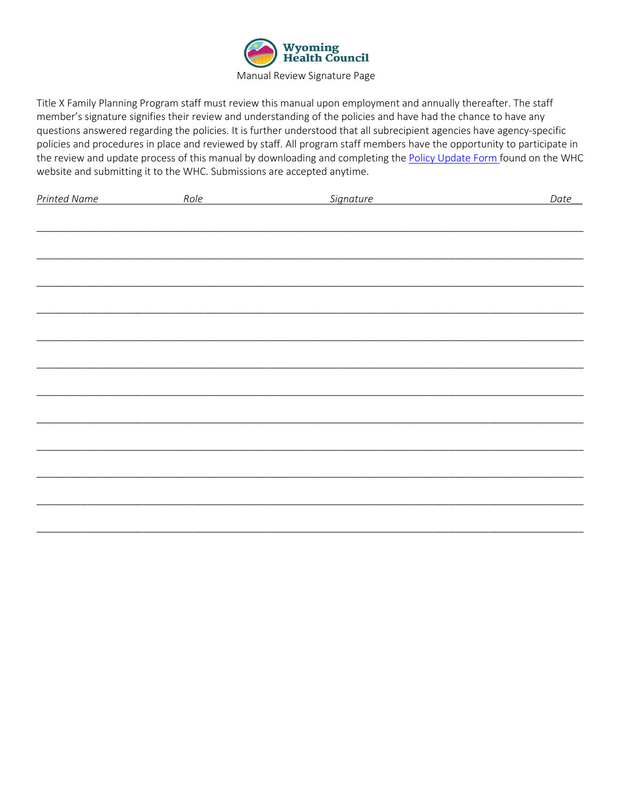

Title X Family Planning Program staff must review this manual upon employment and annually thereafter. The staff member's signature signifies their review and understanding of the policies and have had the chance to have any questions answered regarding the policies. It is further understood that all subrecipient agencies have agency-specific policies and procedures in place and reviewed by staff. All program staff members have the opportunity to participate in the review and update process of this manual by downloading and completing the [Policy Update Form](https://www.wyhc.org/forms/) found on the WHC website and submitting it to the WHC. Submissions are accepted anytime.

| <b>Printed Name</b> | Role | Signature | Date |
|---------------------|------|-----------|------|
|                     |      |           |      |
|                     |      |           |      |
|                     |      |           |      |
|                     |      |           |      |
|                     |      |           |      |
|                     |      |           |      |
|                     |      |           |      |
|                     |      |           |      |
|                     |      |           |      |
|                     |      |           |      |
|                     |      |           |      |
|                     |      |           |      |
|                     |      |           |      |
|                     |      |           |      |
|                     |      |           |      |
|                     |      |           |      |
|                     |      |           |      |
|                     |      |           |      |
|                     |      |           |      |
|                     |      |           |      |
|                     |      |           |      |
|                     |      |           |      |
|                     |      |           |      |
|                     |      |           |      |
|                     |      |           |      |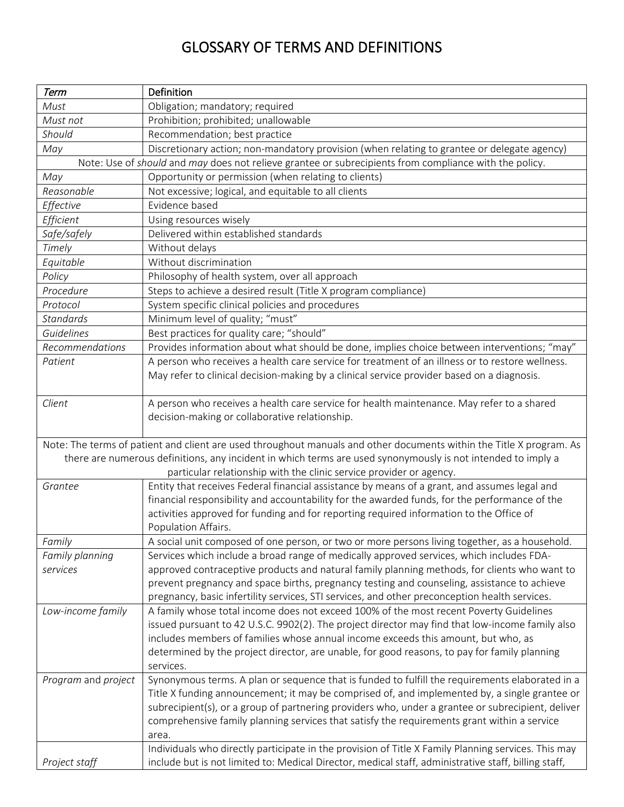# GLOSSARY OF TERMS AND DEFINITIONS

| Term                                                                                                   | Definition                                                                                                                                                                               |  |
|--------------------------------------------------------------------------------------------------------|------------------------------------------------------------------------------------------------------------------------------------------------------------------------------------------|--|
| Must                                                                                                   | Obligation; mandatory; required                                                                                                                                                          |  |
| Must not                                                                                               | Prohibition; prohibited; unallowable                                                                                                                                                     |  |
| Should                                                                                                 | Recommendation; best practice                                                                                                                                                            |  |
| May                                                                                                    | Discretionary action; non-mandatory provision (when relating to grantee or delegate agency)                                                                                              |  |
| Note: Use of should and may does not relieve grantee or subrecipients from compliance with the policy. |                                                                                                                                                                                          |  |
| May                                                                                                    | Opportunity or permission (when relating to clients)                                                                                                                                     |  |
| Reasonable                                                                                             | Not excessive; logical, and equitable to all clients                                                                                                                                     |  |
| Effective                                                                                              | Evidence based                                                                                                                                                                           |  |
| Efficient                                                                                              | Using resources wisely                                                                                                                                                                   |  |
| Safe/safely                                                                                            | Delivered within established standards                                                                                                                                                   |  |
| Timely                                                                                                 | Without delays                                                                                                                                                                           |  |
| Equitable                                                                                              | Without discrimination                                                                                                                                                                   |  |
| Policy                                                                                                 | Philosophy of health system, over all approach                                                                                                                                           |  |
| Procedure                                                                                              | Steps to achieve a desired result (Title X program compliance)                                                                                                                           |  |
| Protocol                                                                                               | System specific clinical policies and procedures                                                                                                                                         |  |
| <b>Standards</b>                                                                                       | Minimum level of quality; "must"                                                                                                                                                         |  |
| Guidelines                                                                                             | Best practices for quality care; "should"                                                                                                                                                |  |
| Recommendations                                                                                        | Provides information about what should be done, implies choice between interventions; "may"                                                                                              |  |
| Patient                                                                                                | A person who receives a health care service for treatment of an illness or to restore wellness.                                                                                          |  |
|                                                                                                        | May refer to clinical decision-making by a clinical service provider based on a diagnosis.                                                                                               |  |
|                                                                                                        |                                                                                                                                                                                          |  |
| Client                                                                                                 | A person who receives a health care service for health maintenance. May refer to a shared                                                                                                |  |
|                                                                                                        | decision-making or collaborative relationship.                                                                                                                                           |  |
|                                                                                                        |                                                                                                                                                                                          |  |
|                                                                                                        | Note: The terms of patient and client are used throughout manuals and other documents within the Title X program. As                                                                     |  |
|                                                                                                        | there are numerous definitions, any incident in which terms are used synonymously is not intended to imply a                                                                             |  |
|                                                                                                        | particular relationship with the clinic service provider or agency.                                                                                                                      |  |
| Grantee                                                                                                | Entity that receives Federal financial assistance by means of a grant, and assumes legal and                                                                                             |  |
|                                                                                                        | financial responsibility and accountability for the awarded funds, for the performance of the                                                                                            |  |
|                                                                                                        | activities approved for funding and for reporting required information to the Office of                                                                                                  |  |
|                                                                                                        | Population Affairs.                                                                                                                                                                      |  |
| Family                                                                                                 | A social unit composed of one person, or two or more persons living together, as a household.                                                                                            |  |
| Family planning<br>services                                                                            | Services which include a broad range of medically approved services, which includes FDA-<br>approved contraceptive products and natural family planning methods, for clients who want to |  |
|                                                                                                        | prevent pregnancy and space births, pregnancy testing and counseling, assistance to achieve                                                                                              |  |
|                                                                                                        | pregnancy, basic infertility services, STI services, and other preconception health services.                                                                                            |  |
| Low-income family                                                                                      | A family whose total income does not exceed 100% of the most recent Poverty Guidelines                                                                                                   |  |
|                                                                                                        | issued pursuant to 42 U.S.C. 9902(2). The project director may find that low-income family also                                                                                          |  |
|                                                                                                        | includes members of families whose annual income exceeds this amount, but who, as                                                                                                        |  |
|                                                                                                        | determined by the project director, are unable, for good reasons, to pay for family planning                                                                                             |  |
|                                                                                                        | services.                                                                                                                                                                                |  |
| Program and project                                                                                    | Synonymous terms. A plan or sequence that is funded to fulfill the requirements elaborated in a                                                                                          |  |
|                                                                                                        | Title X funding announcement; it may be comprised of, and implemented by, a single grantee or                                                                                            |  |
|                                                                                                        | subrecipient(s), or a group of partnering providers who, under a grantee or subrecipient, deliver                                                                                        |  |
|                                                                                                        | comprehensive family planning services that satisfy the requirements grant within a service                                                                                              |  |
|                                                                                                        | area.                                                                                                                                                                                    |  |
|                                                                                                        | Individuals who directly participate in the provision of Title X Family Planning services. This may                                                                                      |  |
| Project staff                                                                                          | include but is not limited to: Medical Director, medical staff, administrative staff, billing staff,                                                                                     |  |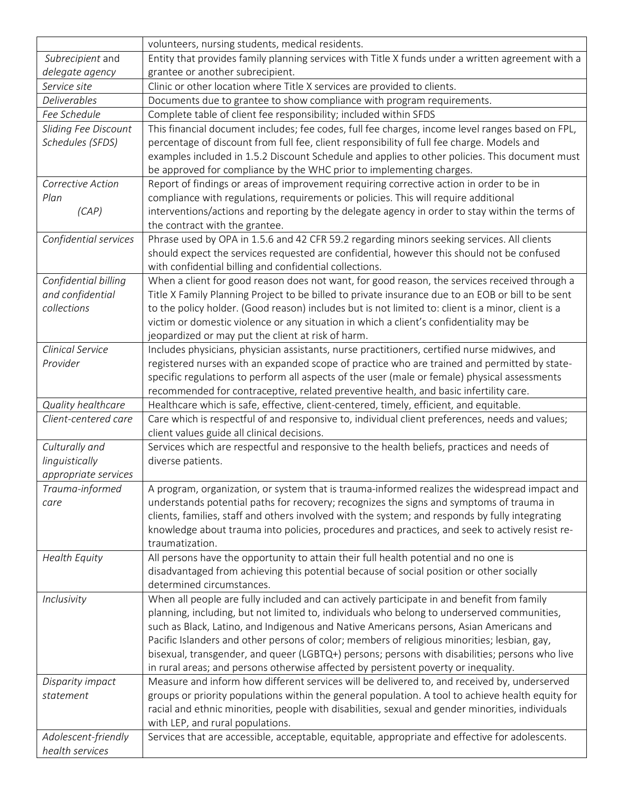|                               | volunteers, nursing students, medical residents.                                                                                                                                      |
|-------------------------------|---------------------------------------------------------------------------------------------------------------------------------------------------------------------------------------|
| Subrecipient and              | Entity that provides family planning services with Title X funds under a written agreement with a                                                                                     |
| delegate agency               | grantee or another subrecipient.                                                                                                                                                      |
| Service site                  | Clinic or other location where Title X services are provided to clients.                                                                                                              |
| <b>Deliverables</b>           | Documents due to grantee to show compliance with program requirements.                                                                                                                |
| Fee Schedule                  | Complete table of client fee responsibility; included within SFDS                                                                                                                     |
| Sliding Fee Discount          | This financial document includes; fee codes, full fee charges, income level ranges based on FPL,                                                                                      |
| Schedules (SFDS)              | percentage of discount from full fee, client responsibility of full fee charge. Models and                                                                                            |
|                               | examples included in 1.5.2 Discount Schedule and applies to other policies. This document must                                                                                        |
|                               | be approved for compliance by the WHC prior to implementing charges.                                                                                                                  |
| Corrective Action             | Report of findings or areas of improvement requiring corrective action in order to be in                                                                                              |
| Plan                          | compliance with regulations, requirements or policies. This will require additional                                                                                                   |
| (CAP)                         | interventions/actions and reporting by the delegate agency in order to stay within the terms of                                                                                       |
|                               | the contract with the grantee.                                                                                                                                                        |
| Confidential services         | Phrase used by OPA in 1.5.6 and 42 CFR 59.2 regarding minors seeking services. All clients                                                                                            |
|                               | should expect the services requested are confidential, however this should not be confused                                                                                            |
|                               | with confidential billing and confidential collections.                                                                                                                               |
| Confidential billing          | When a client for good reason does not want, for good reason, the services received through a                                                                                         |
| and confidential              | Title X Family Planning Project to be billed to private insurance due to an EOB or bill to be sent                                                                                    |
| collections                   | to the policy holder. (Good reason) includes but is not limited to: client is a minor, client is a                                                                                    |
|                               | victim or domestic violence or any situation in which a client's confidentiality may be                                                                                               |
|                               | jeopardized or may put the client at risk of harm.                                                                                                                                    |
| Clinical Service              | Includes physicians, physician assistants, nurse practitioners, certified nurse midwives, and                                                                                         |
| Provider                      | registered nurses with an expanded scope of practice who are trained and permitted by state-                                                                                          |
|                               | specific regulations to perform all aspects of the user (male or female) physical assessments                                                                                         |
|                               | recommended for contraceptive, related preventive health, and basic infertility care.                                                                                                 |
| Quality healthcare            | Healthcare which is safe, effective, client-centered, timely, efficient, and equitable.                                                                                               |
| Client-centered care          | Care which is respectful of and responsive to, individual client preferences, needs and values;                                                                                       |
|                               | client values guide all clinical decisions.                                                                                                                                           |
| Culturally and                | Services which are respectful and responsive to the health beliefs, practices and needs of                                                                                            |
| linguistically                | diverse patients.                                                                                                                                                                     |
| appropriate services          |                                                                                                                                                                                       |
| Trauma-informed               | A program, organization, or system that is trauma-informed realizes the widespread impact and                                                                                         |
| care                          | understands potential paths for recovery; recognizes the signs and symptoms of trauma in                                                                                              |
|                               | clients, families, staff and others involved with the system; and responds by fully integrating                                                                                       |
|                               | knowledge about trauma into policies, procedures and practices, and seek to actively resist re-                                                                                       |
|                               | traumatization.                                                                                                                                                                       |
| <b>Health Equity</b>          | All persons have the opportunity to attain their full health potential and no one is                                                                                                  |
|                               | disadvantaged from achieving this potential because of social position or other socially                                                                                              |
|                               | determined circumstances.                                                                                                                                                             |
| Inclusivity                   | When all people are fully included and can actively participate in and benefit from family                                                                                            |
|                               | planning, including, but not limited to, individuals who belong to underserved communities,                                                                                           |
|                               | such as Black, Latino, and Indigenous and Native Americans persons, Asian Americans and                                                                                               |
|                               | Pacific Islanders and other persons of color; members of religious minorities; lesbian, gay,                                                                                          |
|                               | bisexual, transgender, and queer (LGBTQ+) persons; persons with disabilities; persons who live<br>in rural areas; and persons otherwise affected by persistent poverty or inequality. |
|                               | Measure and inform how different services will be delivered to, and received by, underserved                                                                                          |
| Disparity impact<br>statement | groups or priority populations within the general population. A tool to achieve health equity for                                                                                     |
|                               | racial and ethnic minorities, people with disabilities, sexual and gender minorities, individuals                                                                                     |
|                               | with LEP, and rural populations.                                                                                                                                                      |
| Adolescent-friendly           | Services that are accessible, acceptable, equitable, appropriate and effective for adolescents.                                                                                       |
| health services               |                                                                                                                                                                                       |
|                               |                                                                                                                                                                                       |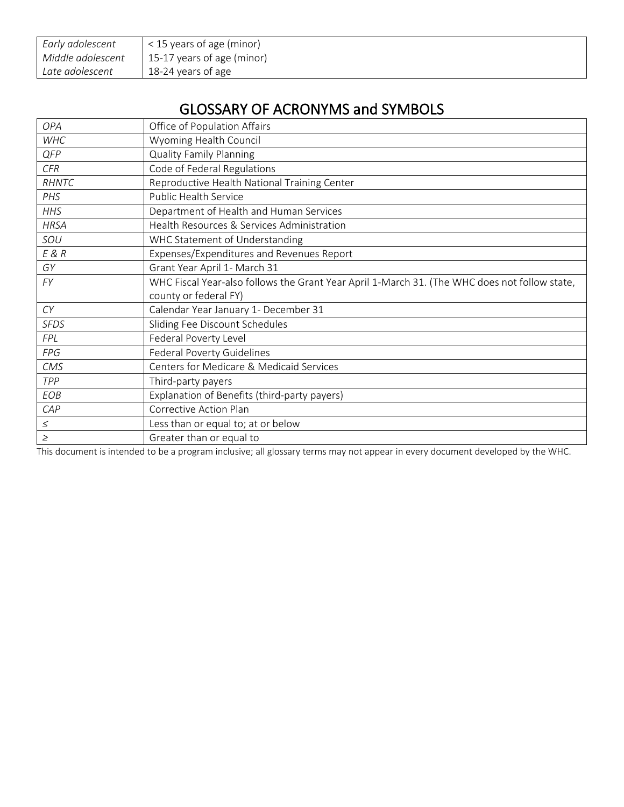| Early adolescent  | $\leq$ 15 years of age (minor) |
|-------------------|--------------------------------|
| Middle adolescent | 15-17 years of age (minor)     |
| Late adolescent   | 18-24 years of age             |

# GLOSSARY OF ACRONYMS and SYMBOLS

| OPA         | Office of Population Affairs                                                                  |
|-------------|-----------------------------------------------------------------------------------------------|
| <b>WHC</b>  | Wyoming Health Council                                                                        |
| QFP         | <b>Quality Family Planning</b>                                                                |
| CFR         | Code of Federal Regulations                                                                   |
| RHNTC       | Reproductive Health National Training Center                                                  |
| PHS         | Public Health Service                                                                         |
| <b>HHS</b>  | Department of Health and Human Services                                                       |
| <b>HRSA</b> | Health Resources & Services Administration                                                    |
| SOU         | WHC Statement of Understanding                                                                |
| E & R       | Expenses/Expenditures and Revenues Report                                                     |
| GY          | Grant Year April 1- March 31                                                                  |
| FY          | WHC Fiscal Year-also follows the Grant Year April 1-March 31. (The WHC does not follow state, |
|             | county or federal FY)                                                                         |
| CY          | Calendar Year January 1- December 31                                                          |
| <b>SFDS</b> | Sliding Fee Discount Schedules                                                                |
| <b>FPL</b>  | Federal Poverty Level                                                                         |
| <b>FPG</b>  | Federal Poverty Guidelines                                                                    |
| <b>CMS</b>  | Centers for Medicare & Medicaid Services                                                      |
| TPP         | Third-party payers                                                                            |
| EOB         | Explanation of Benefits (third-party payers)                                                  |
| CAP         | Corrective Action Plan                                                                        |
| $\leq$      | Less than or equal to; at or below                                                            |
| $\geq$      | Greater than or equal to                                                                      |

This document is intended to be a program inclusive; all glossary terms may not appear in every document developed by the WHC.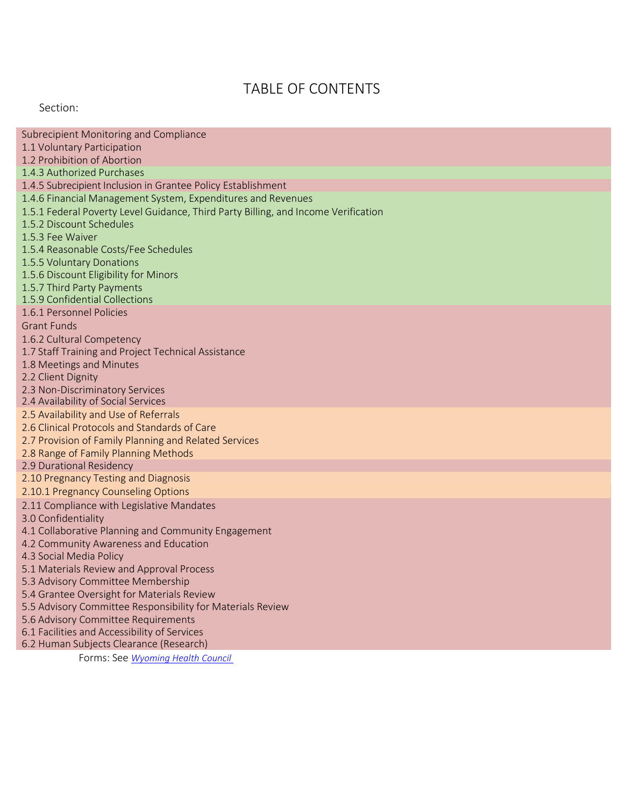# TABLE OF CONTENTS

Section:

| Subrecipient Monitoring and Compliance<br>1.1 Voluntary Participation                 |
|---------------------------------------------------------------------------------------|
| 1.2 Prohibition of Abortion<br>1.4.3 Authorized Purchases                             |
| 1.4.5 Subrecipient Inclusion in Grantee Policy Establishment                          |
| 1.4.6 Financial Management System, Expenditures and Revenues                          |
| 1.5.1 Federal Poverty Level Guidance, Third Party Billing, and Income Verification    |
| 1.5.2 Discount Schedules                                                              |
| 1.5.3 Fee Waiver                                                                      |
| 1.5.4 Reasonable Costs/Fee Schedules                                                  |
| 1.5.5 Voluntary Donations<br>1.5.6 Discount Eligibility for Minors                    |
| 1.5.7 Third Party Payments                                                            |
| 1.5.9 Confidential Collections                                                        |
| 1.6.1 Personnel Policies                                                              |
| <b>Grant Funds</b>                                                                    |
| 1.6.2 Cultural Competency                                                             |
| 1.7 Staff Training and Project Technical Assistance                                   |
| 1.8 Meetings and Minutes                                                              |
| 2.2 Client Dignity                                                                    |
| 2.3 Non-Discriminatory Services                                                       |
| 2.4 Availability of Social Services                                                   |
| 2.5 Availability and Use of Referrals<br>2.6 Clinical Protocols and Standards of Care |
| 2.7 Provision of Family Planning and Related Services                                 |
| 2.8 Range of Family Planning Methods                                                  |
| 2.9 Durational Residency                                                              |
| 2.10 Pregnancy Testing and Diagnosis                                                  |
| 2.10.1 Pregnancy Counseling Options                                                   |
| 2.11 Compliance with Legislative Mandates                                             |
| 3.0 Confidentiality                                                                   |
| 4.1 Collaborative Planning and Community Engagement                                   |
| 4.2 Community Awareness and Education                                                 |
| 4.3 Social Media Policy                                                               |
| 5.1 Materials Review and Approval Process<br>5.3 Advisory Committee Membership        |
| 5.4 Grantee Oversight for Materials Review                                            |
| 5.5 Advisory Committee Responsibility for Materials Review                            |
| 5.6 Advisory Committee Requirements                                                   |
| 6.1 Facilities and Accessibility of Services                                          |
| 6.2 Human Subjects Clearance (Research)                                               |
| Forms: See Wyoming Health Council                                                     |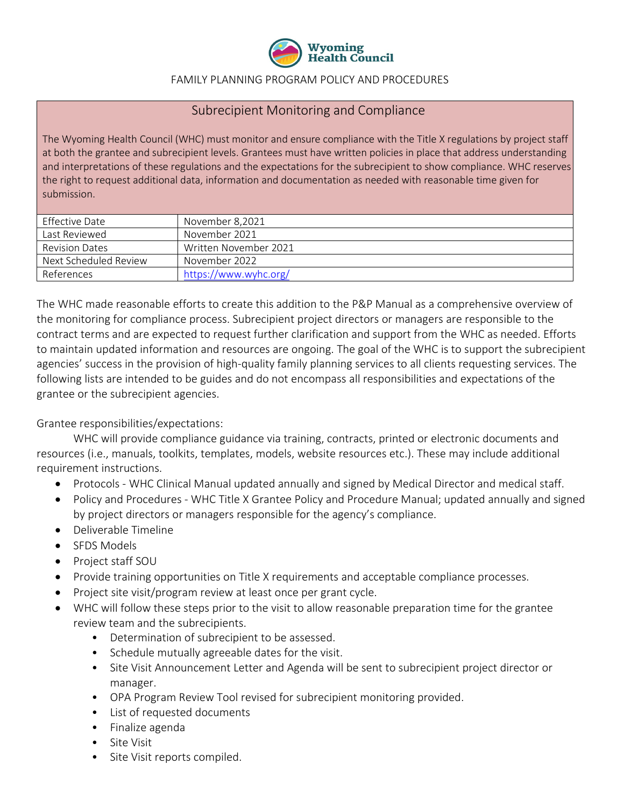

#### FAMILY PLANNING PROGRAM POLICY AND PROCEDURES

#### Subrecipient Monitoring and Compliance

The Wyoming Health Council (WHC) must monitor and ensure compliance with the Title X regulations by project staff at both the grantee and subrecipient levels. Grantees must have written policies in place that address understanding and interpretations of these regulations and the expectations for the subrecipient to show compliance. WHC reserves the right to request additional data, information and documentation as needed with reasonable time given for submission.

| Effective Date        | November 8,2021       |
|-----------------------|-----------------------|
| Last Reviewed         | November 2021         |
| <b>Revision Dates</b> | Written November 2021 |
| Next Scheduled Review | November 2022         |
| References            | https://www.wyhc.org/ |

The WHC made reasonable efforts to create this addition to the P&P Manual as a comprehensive overview of the monitoring for compliance process. Subrecipient project directors or managers are responsible to the contract terms and are expected to request further clarification and support from the WHC as needed. Efforts to maintain updated information and resources are ongoing. The goal of the WHC is to support the subrecipient agencies' success in the provision of high-quality family planning services to all clients requesting services. The following lists are intended to be guides and do not encompass all responsibilities and expectations of the grantee or the subrecipient agencies.

Grantee responsibilities/expectations:

WHC will provide compliance guidance via training, contracts, printed or electronic documents and resources (i.e., manuals, toolkits, templates, models, website resources etc.). These may include additional requirement instructions.

- Protocols WHC Clinical Manual updated annually and signed by Medical Director and medical staff.
- Policy and Procedures WHC Title X Grantee Policy and Procedure Manual; updated annually and signed by project directors or managers responsible for the agency's compliance.
- Deliverable Timeline
- SFDS Models
- Project staff SOU
- Provide training opportunities on Title X requirements and acceptable compliance processes.
- Project site visit/program review at least once per grant cycle.
- WHC will follow these steps prior to the visit to allow reasonable preparation time for the grantee review team and the subrecipients.
	- Determination of subrecipient to be assessed.
	- Schedule mutually agreeable dates for the visit.
	- Site Visit Announcement Letter and Agenda will be sent to subrecipient project director or manager.
	- OPA Program Review Tool revised for subrecipient monitoring provided.
	- List of requested documents
	- Finalize agenda
	- Site Visit
	- Site Visit reports compiled.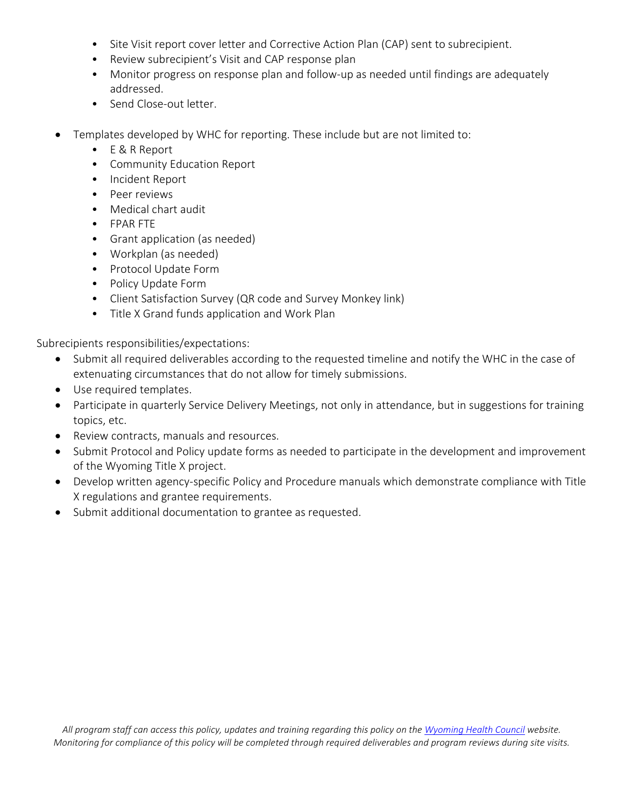- Site Visit report cover letter and Corrective Action Plan (CAP) sent to subrecipient.
- Review subrecipient's Visit and CAP response plan
- Monitor progress on response plan and follow-up as needed until findings are adequately addressed.
- Send Close-out letter.
- Templates developed by WHC for reporting. These include but are not limited to:
	- E & R Report
	- Community Education Report
	- Incident Report
	- Peer reviews
	- Medical chart audit
	- FPAR FTE
	- Grant application (as needed)
	- Workplan (as needed)
	- Protocol Update Form
	- Policy Update Form
	- Client Satisfaction Survey (QR code and Survey Monkey link)
	- Title X Grand funds application and Work Plan

Subrecipients responsibilities/expectations:

- Submit all required deliverables according to the requested timeline and notify the WHC in the case of extenuating circumstances that do not allow for timely submissions.
- Use required templates.
- Participate in quarterly Service Delivery Meetings, not only in attendance, but in suggestions for training topics, etc.
- Review contracts, manuals and resources.
- Submit Protocol and Policy update forms as needed to participate in the development and improvement of the Wyoming Title X project.
- Develop written agency-specific Policy and Procedure manuals which demonstrate compliance with Title X regulations and grantee requirements.
- Submit additional documentation to grantee as requested.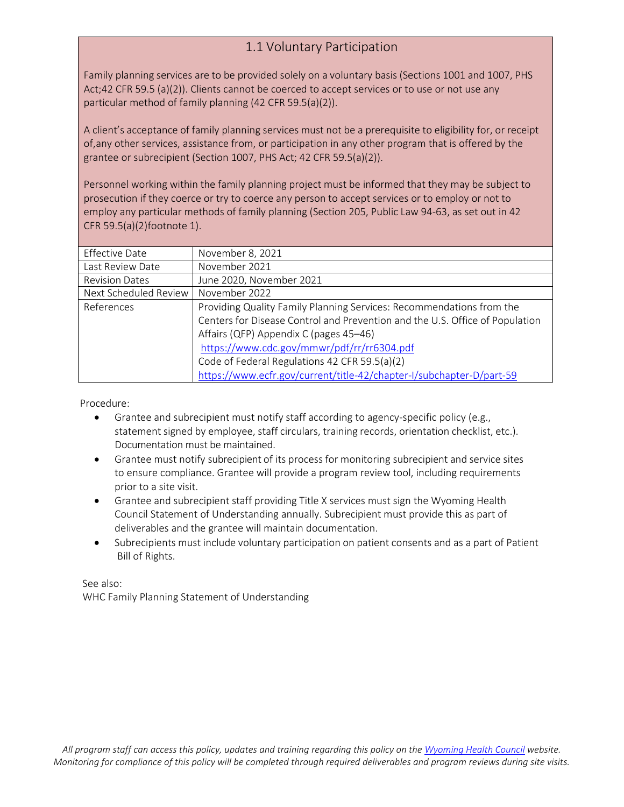# 1.1 Voluntary Participation

Family planning services are to be provided solely on a voluntary basis (Sections 1001 and 1007, PHS Act;42 CFR 59.5 (a)(2)). Clients cannot be coerced to accept services or to use or not use any particular method of family planning (42 CFR 59.5(a)(2)).

A client's acceptance of family planning services must not be a prerequisite to eligibility for, or receipt of,any other services, assistance from, or participation in any other program that is offered by the grantee or subrecipient (Section 1007, PHS Act; 42 CFR 59.5(a)(2)).

Personnel working within the family planning project must be informed that they may be subject to prosecution if they coerce or try to coerce any person to accept services or to employ or not to employ any particular methods of family planning (Section 205, Public Law 94-63, as set out in 42 CFR 59.5(a)(2)footnote 1).

| <b>Effective Date</b> | November 8, 2021                                                             |
|-----------------------|------------------------------------------------------------------------------|
| Last Review Date      | November 2021                                                                |
| <b>Revision Dates</b> | June 2020, November 2021                                                     |
| Next Scheduled Review | November 2022                                                                |
| References            | Providing Quality Family Planning Services: Recommendations from the         |
|                       | Centers for Disease Control and Prevention and the U.S. Office of Population |
|                       | Affairs (QFP) Appendix C (pages 45-46)                                       |
|                       | https://www.cdc.gov/mmwr/pdf/rr/rr6304.pdf                                   |
|                       | Code of Federal Regulations 42 CFR 59.5(a)(2)                                |
|                       | https://www.ecfr.gov/current/title-42/chapter-I/subchapter-D/part-59         |

Procedure:

- Grantee and subrecipient must notify staff according to agency-specific policy (e.g., statement signed by employee, staff circulars, training records, orientation checklist, etc.). Documentation must be maintained.
- Grantee must notify subrecipient of its process for monitoring subrecipient and service sites to ensure compliance. Grantee will provide a program review tool, including requirements prior to a site visit.
- Grantee and subrecipient staff providing Title X services must sign the Wyoming Health Council Statement of Understanding annually. Subrecipient must provide this as part of deliverables and the grantee will maintain documentation.
- Subrecipients must include voluntary participation on patient consents and as a part of Patient Bill of Rights.

See also: WHC Family Planning Statement of Understanding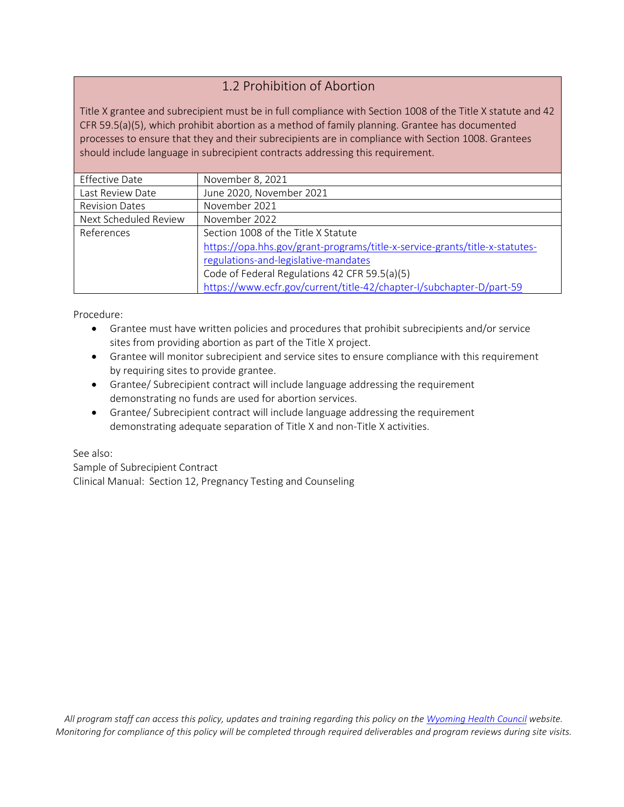#### 1.2 Prohibition of Abortion

Title X grantee and subrecipient must be in full compliance with Section 1008 of the Title X statute and 42 CFR 59.5(a)(5), which prohibit abortion as a method of family planning. Grantee has documented processes to ensure that they and their subrecipients are in compliance with Section 1008. Grantees should include language in subrecipient contracts addressing this requirement.

| <b>Effective Date</b> | November 8, 2021                                                            |
|-----------------------|-----------------------------------------------------------------------------|
| Last Review Date      | June 2020, November 2021                                                    |
| <b>Revision Dates</b> | November 2021                                                               |
| Next Scheduled Review | November 2022                                                               |
| References            | Section 1008 of the Title X Statute                                         |
|                       | https://opa.hhs.gov/grant-programs/title-x-service-grants/title-x-statutes- |
|                       | regulations-and-legislative-mandates                                        |
|                       | Code of Federal Regulations 42 CFR 59.5(a)(5)                               |
|                       | https://www.ecfr.gov/current/title-42/chapter-I/subchapter-D/part-59        |

Procedure:

- Grantee must have written policies and procedures that prohibit subrecipients and/or service sites from providing abortion as part of the Title X project.
- Grantee will monitor subrecipient and service sites to ensure compliance with this requirement by requiring sites to provide grantee.
- Grantee/ Subrecipient contract will include language addressing the requirement demonstrating no funds are used for abortion services.
- Grantee/ Subrecipient contract will include language addressing the requirement demonstrating adequate separation of Title X and non-Title X activities.

See also:

Sample of Subrecipient Contract Clinical Manual: Section 12, Pregnancy Testing and Counseling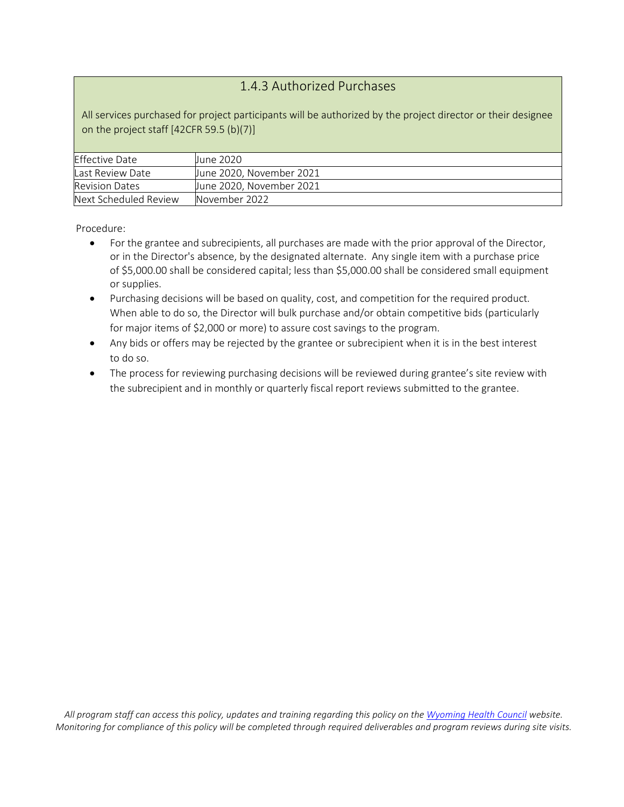#### 1.4.3 Authorized Purchases

All services purchased for project participants will be authorized by the project director or their designee on the project staff [42CFR 59.5 (b)(7)]

| <b>Effective Date</b> | June 2020                |
|-----------------------|--------------------------|
| Last Review Date      | June 2020, November 2021 |
| <b>Revision Dates</b> | June 2020, November 2021 |
| Next Scheduled Review | November 2022            |

- For the grantee and subrecipients, all purchases are made with the prior approval of the Director, or in the Director's absence, by the designated alternate. Any single item with a purchase price of \$5,000.00 shall be considered capital; less than \$5,000.00 shall be considered small equipment or supplies.
- Purchasing decisions will be based on quality, cost, and competition for the required product. When able to do so, the Director will bulk purchase and/or obtain competitive bids (particularly for major items of \$2,000 or more) to assure cost savings to the program.
- Any bids or offers may be rejected by the grantee or subrecipient when it is in the best interest to do so.
- The process for reviewing purchasing decisions will be reviewed during grantee's site review with the subrecipient and in monthly or quarterly fiscal report reviews submitted to the grantee.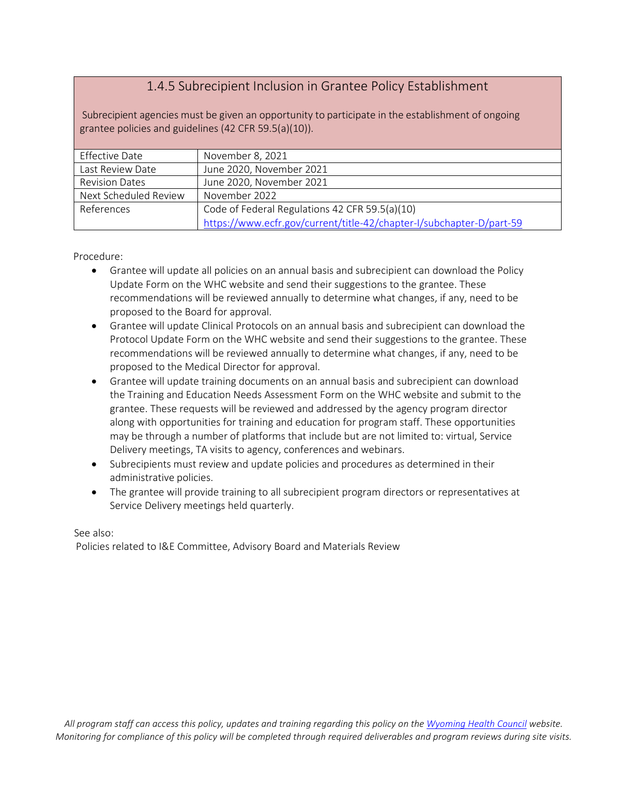#### 1.4.5 Subrecipient Inclusion in Grantee Policy Establishment

Subrecipient agencies must be given an opportunity to participate in the establishment of ongoing grantee policies and guidelines (42 CFR 59.5(a)(10)).

| Effective Date        | November 8, 2021                                                     |
|-----------------------|----------------------------------------------------------------------|
| Last Review Date      | June 2020, November 2021                                             |
| <b>Revision Dates</b> | June 2020, November 2021                                             |
| Next Scheduled Review | November 2022                                                        |
| References            | Code of Federal Regulations 42 CFR 59.5(a)(10)                       |
|                       | https://www.ecfr.gov/current/title-42/chapter-I/subchapter-D/part-59 |

Procedure:

- Grantee will update all policies on an annual basis and subrecipient can download the Policy Update Form on the WHC website and send their suggestions to the grantee. These recommendations will be reviewed annually to determine what changes, if any, need to be proposed to the Board for approval.
- Grantee will update Clinical Protocols on an annual basis and subrecipient can download the Protocol Update Form on the WHC website and send their suggestions to the grantee. These recommendations will be reviewed annually to determine what changes, if any, need to be proposed to the Medical Director for approval.
- Grantee will update training documents on an annual basis and subrecipient can download the Training and Education Needs Assessment Form on the WHC website and submit to the grantee. These requests will be reviewed and addressed by the agency program director along with opportunities for training and education for program staff. These opportunities may be through a number of platforms that include but are not limited to: virtual, Service Delivery meetings, TA visits to agency, conferences and webinars.
- Subrecipients must review and update policies and procedures as determined in their administrative policies.
- The grantee will provide training to all subrecipient program directors or representatives at Service Delivery meetings held quarterly.

See also:

Policies related to I&E Committee, Advisory Board and Materials Review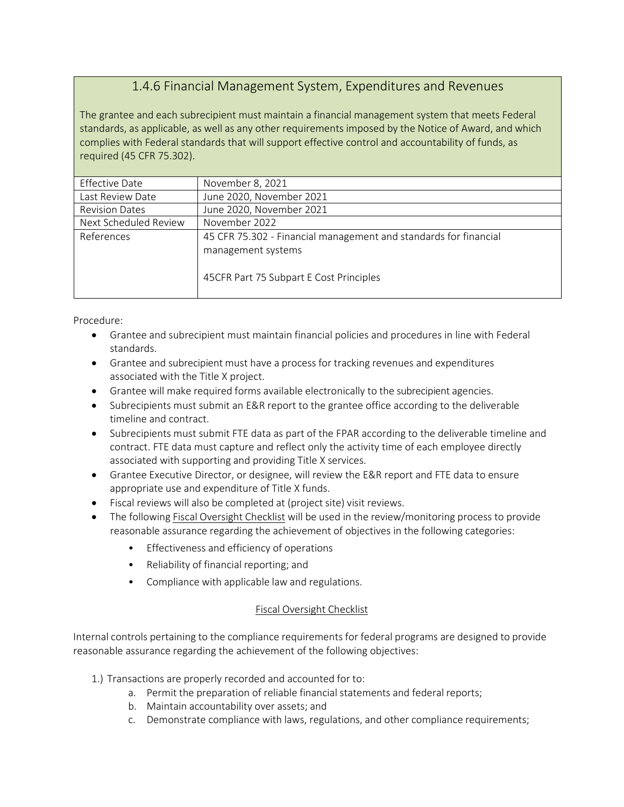#### 1.4.6 Financial Management System, Expenditures and Revenues

The grantee and each subrecipient must maintain a financial management system that meets Federal standards, as applicable, as well as any other requirements imposed by the Notice of Award, and which complies with Federal standards that will support effective control and accountability of funds, as required (45 CFR 75.302).

| <b>Effective Date</b> | November 8, 2021                                                                       |
|-----------------------|----------------------------------------------------------------------------------------|
| Last Review Date      | June 2020, November 2021                                                               |
| <b>Revision Dates</b> | June 2020, November 2021                                                               |
| Next Scheduled Review | November 2022                                                                          |
| References            | 45 CFR 75.302 - Financial management and standards for financial<br>management systems |
|                       | 45CFR Part 75 Subpart E Cost Principles                                                |

Procedure:

- Grantee and subrecipient must maintain financial policies and procedures in line with Federal standards.
- Grantee and subrecipient must have a process for tracking revenues and expenditures associated with the Title X project.
- Grantee will make required forms available electronically to the subrecipient agencies.
- Subrecipients must submit an E&R report to the grantee office according to the deliverable timeline and contract.
- Subrecipients must submit FTE data as part of the FPAR according to the deliverable timeline and contract. FTE data must capture and reflect only the activity time of each employee directly associated with supporting and providing Title X services.
- Grantee Executive Director, or designee, will review the E&R report and FTE data to ensure appropriate use and expenditure of Title X funds.
- Fiscal reviews will also be completed at (project site) visit reviews.
- The following Fiscal Oversight Checklist will be used in the review/monitoring process to provide reasonable assurance regarding the achievement of objectives in the following categories:
	- Effectiveness and efficiency of operations
	- Reliability of financial reporting; and
	- Compliance with applicable law and regulations.

#### Fiscal Oversight Checklist

Internal controls pertaining to the compliance requirements for federal programs are designed to provide reasonable assurance regarding the achievement of the following objectives:

- 1.) Transactions are properly recorded and accounted for to:
	- a. Permit the preparation of reliable financial statements and federal reports;
	- b. Maintain accountability over assets; and
	- c. Demonstrate compliance with laws, regulations, and other compliance requirements;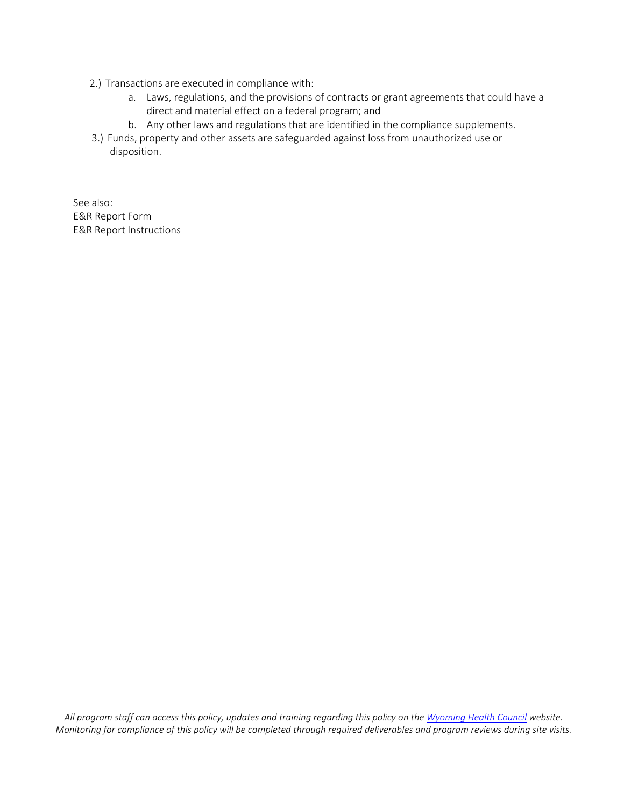- 2.) Transactions are executed in compliance with:
	- a. Laws, regulations, and the provisions of contracts or grant agreements that could have a direct and material effect on a federal program; and
	- b. Any other laws and regulations that are identified in the compliance supplements.
- 3.) Funds, property and other assets are safeguarded against loss from unauthorized use or disposition.

See also: E&R Report Form E&R Report Instructions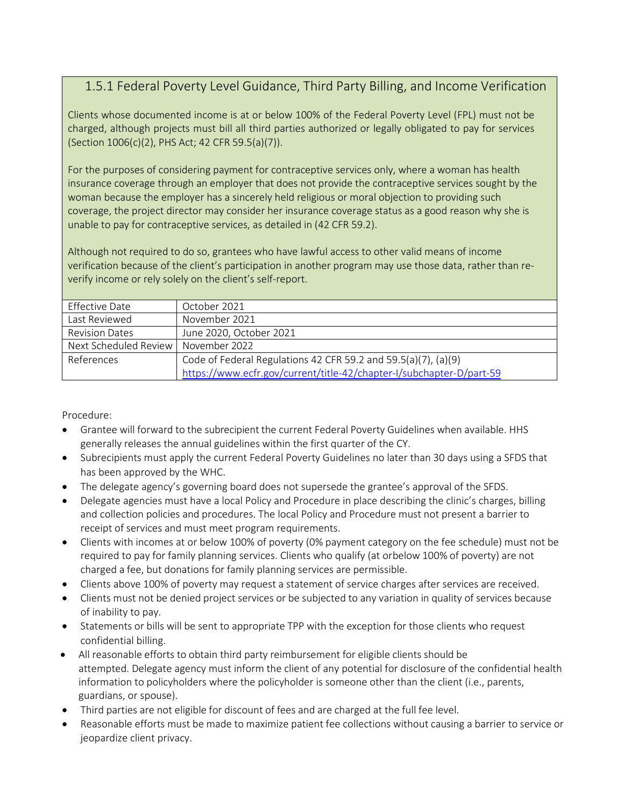# 1.5.1 Federal Poverty Level Guidance, Third Party Billing, and Income Verification

Clients whose documented income is at or below 100% of the Federal Poverty Level (FPL) must not be charged, although projects must bill all third parties authorized or legally obligated to pay for services (Section 1006(c)(2), PHS Act; 42 CFR 59.5(a)(7)).

For the purposes of considering payment for contraceptive services only, where a woman has health insurance coverage through an employer that does not provide the contraceptive services sought by the woman because the employer has a sincerely held religious or moral objection to providing such coverage, the project director may consider her insurance coverage status as a good reason why she is unable to pay for contraceptive services, as detailed in (42 CFR 59.2).

Although not required to do so, grantees who have lawful access to other valid means of income verification because of the client's participation in another program may use those data, rather than reverify income or rely solely on the client's self-report.

| Effective Date                        | October 2021                                                         |
|---------------------------------------|----------------------------------------------------------------------|
| Last Reviewed                         | November 2021                                                        |
| <b>Revision Dates</b>                 | June 2020, October 2021                                              |
| Next Scheduled Review   November 2022 |                                                                      |
| References                            | Code of Federal Regulations 42 CFR 59.2 and 59.5(a)(7), (a)(9)       |
|                                       | https://www.ecfr.gov/current/title-42/chapter-I/subchapter-D/part-59 |

- Grantee will forward to the subrecipient the current Federal Poverty Guidelines when available. HHS generally releases the annual guidelines within the first quarter of the CY.
- Subrecipients must apply the current Federal Poverty Guidelines no later than 30 days using a SFDS that has been approved by the WHC.
- The delegate agency's governing board does not supersede the grantee's approval of the SFDS.
- Delegate agencies must have a local Policy and Procedure in place describing the clinic's charges, billing and collection policies and procedures. The local Policy and Procedure must not present a barrier to receipt of services and must meet program requirements.
- Clients with incomes at or below 100% of poverty (0% payment category on the fee schedule) must not be required to pay for family planning services. Clients who qualify (at orbelow 100% of poverty) are not charged a fee, but donations for family planning services are permissible.
- Clients above 100% of poverty may request a statement of service charges after services are received.
- Clients must not be denied project services or be subjected to any variation in quality of services because of inability to pay.
- Statements or bills will be sent to appropriate TPP with the exception for those clients who request confidential billing.
- All reasonable efforts to obtain third party reimbursement for eligible clients should be attempted. Delegate agency must inform the client of any potential for disclosure of the confidential health information to policyholders where the policyholder is someone other than the client (i.e., parents, guardians, or spouse).
- Third parties are not eligible for discount of fees and are charged at the full fee level.
- Reasonable efforts must be made to maximize patient fee collections without causing a barrier to service or jeopardize client privacy.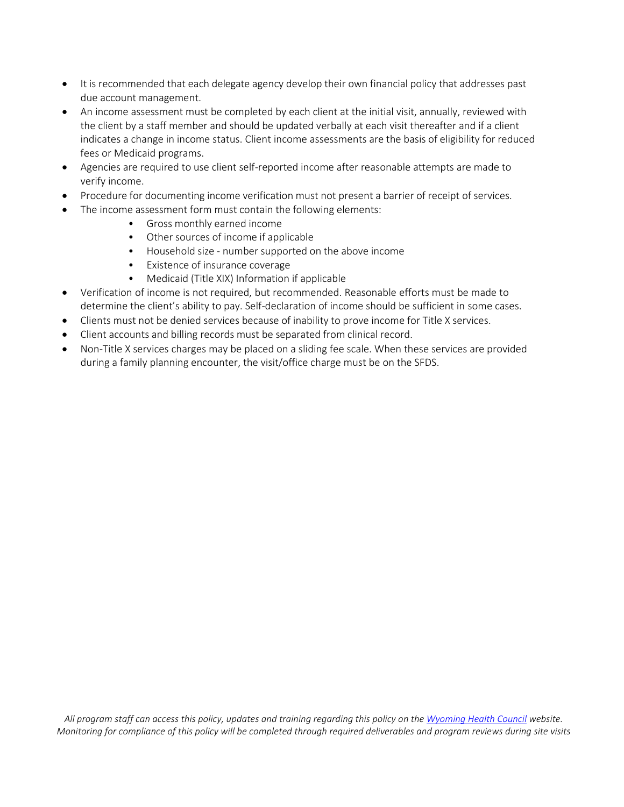- It is recommended that each delegate agency develop their own financial policy that addresses past due account management.
- An income assessment must be completed by each client at the initial visit, annually, reviewed with the client by a staff member and should be updated verbally at each visit thereafter and if a client indicates a change in income status. Client income assessments are the basis of eligibility for reduced fees or Medicaid programs.
- Agencies are required to use client self-reported income after reasonable attempts are made to verify income.
- Procedure for documenting income verification must not present a barrier of receipt of services.
- The income assessment form must contain the following elements:
	- Gross monthly earned income
	- Other sources of income if applicable
	- Household size number supported on the above income
	- Existence of insurance coverage
	- Medicaid (Title XIX) Information if applicable
- Verification of income is not required, but recommended. Reasonable efforts must be made to determine the client's ability to pay. Self-declaration of income should be sufficient in some cases.
- Clients must not be denied services because of inability to prove income for Title X services.
- Client accounts and billing records must be separated from clinical record.
- Non-Title X services charges may be placed on a sliding fee scale. When these services are provided during a family planning encounter, the visit/office charge must be on the SFDS.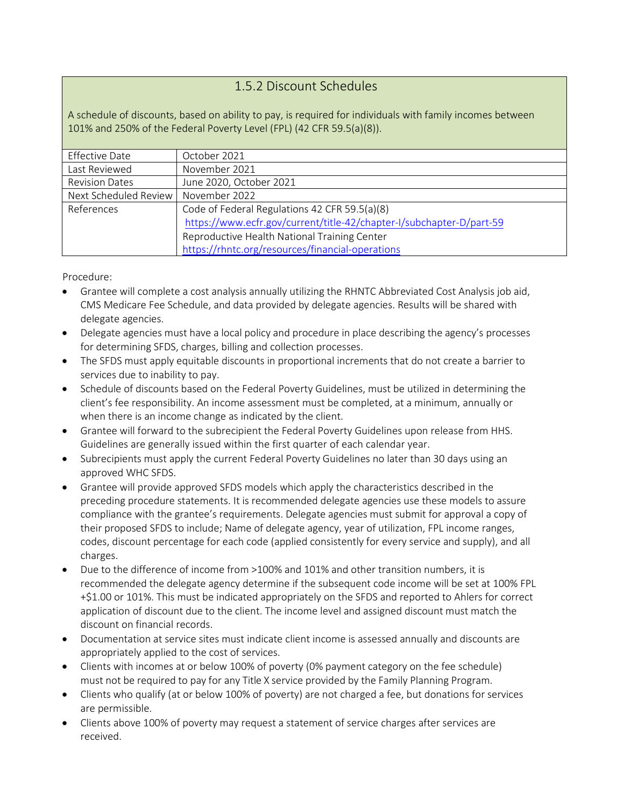#### 1.5.2 Discount Schedules

A schedule of discounts, based on ability to pay, is required for individuals with family incomes between 101% and 250% of the Federal Poverty Level (FPL) (42 CFR 59.5(a)(8)).

| <b>Effective Date</b>                 | October 2021                                                         |
|---------------------------------------|----------------------------------------------------------------------|
| Last Reviewed                         | November 2021                                                        |
| <b>Revision Dates</b>                 | June 2020, October 2021                                              |
| Next Scheduled Review   November 2022 |                                                                      |
| References                            | Code of Federal Regulations 42 CFR 59.5(a)(8)                        |
|                                       | https://www.ecfr.gov/current/title-42/chapter-I/subchapter-D/part-59 |
|                                       | Reproductive Health National Training Center                         |
|                                       | https://rhntc.org/resources/financial-operations                     |

- Grantee will complete a cost analysis annually utilizing the RHNTC Abbreviated Cost Analysis job aid, CMS Medicare Fee Schedule, and data provided by delegate agencies. Results will be shared with delegate agencies.
- Delegate agencies must have a local policy and procedure in place describing the agency's processes for determining SFDS, charges, billing and collection processes.
- The SFDS must apply equitable discounts in proportional increments that do not create a barrier to services due to inability to pay.
- Schedule of discounts based on the Federal Poverty Guidelines, must be utilized in determining the client's fee responsibility. An income assessment must be completed, at a minimum, annually or when there is an income change as indicated by the client.
- Grantee will forward to the subrecipient the Federal Poverty Guidelines upon release from HHS. Guidelines are generally issued within the first quarter of each calendar year.
- Subrecipients must apply the current Federal Poverty Guidelines no later than 30 days using an approved WHC SFDS.
- Grantee will provide approved SFDS models which apply the characteristics described in the preceding procedure statements. It is recommended delegate agencies use these models to assure compliance with the grantee's requirements. Delegate agencies must submit for approval a copy of their proposed SFDS to include; Name of delegate agency, year of utilization, FPL income ranges, codes, discount percentage for each code (applied consistently for every service and supply), and all charges.
- Due to the difference of income from >100% and 101% and other transition numbers, it is recommended the delegate agency determine if the subsequent code income will be set at 100% FPL +\$1.00 or 101%. This must be indicated appropriately on the SFDS and reported to Ahlers for correct application of discount due to the client. The income level and assigned discount must match the discount on financial records.
- Documentation at service sites must indicate client income is assessed annually and discounts are appropriately applied to the cost of services.
- Clients with incomes at or below 100% of poverty (0% payment category on the fee schedule) must not be required to pay for any Title X service provided by the Family Planning Program.
- Clients who qualify (at or below 100% of poverty) are not charged a fee, but donations for services are permissible.
- Clients above 100% of poverty may request a statement of service charges after services are received.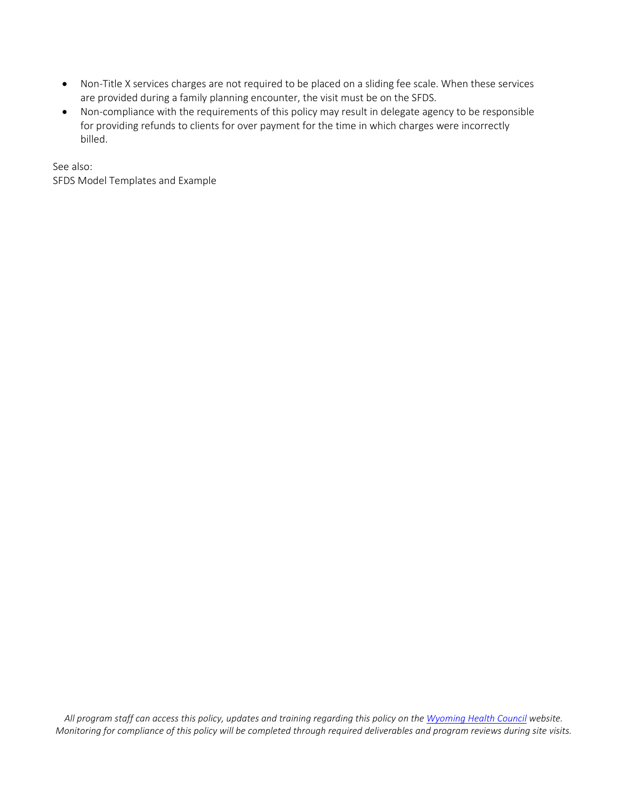- Non-Title X services charges are not required to be placed on a sliding fee scale. When these services are provided during a family planning encounter, the visit must be on the SFDS.
- Non-compliance with the requirements of this policy may result in delegate agency to be responsible for providing refunds to clients for over payment for the time in which charges were incorrectly billed.

See also: SFDS Model Templates and Example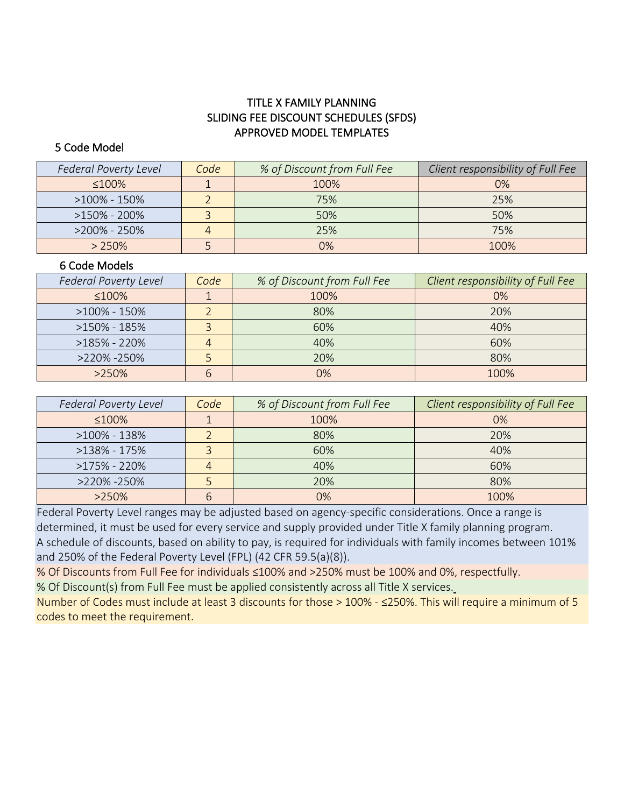#### TITLE X FAMILY PLANNING SLIDING FEE DISCOUNT SCHEDULES (SFDS) APPROVED MODEL TEMPLATES

#### 5 Code Model

| <b>Federal Poverty Level</b> | Code | % of Discount from Full Fee | Client responsibility of Full Fee |
|------------------------------|------|-----------------------------|-----------------------------------|
| $\leq 100\%$                 |      | 100%                        | $0\%$                             |
| >100% - 150%                 |      | 75%                         | 25%                               |
| $>150\%$ - 200%              |      | 50%                         | 50%                               |
| $>200\% - 250\%$             |      | 25%                         | 75%                               |
| > 250%                       |      | በ%                          | 100%                              |

#### 6 Code Models

| Federal Poverty Level | Code | % of Discount from Full Fee | Client responsibility of Full Fee |
|-----------------------|------|-----------------------------|-----------------------------------|
| $\leq 100\%$          |      | 100%                        | 0%                                |
| $>100\% - 150\%$      |      | 80%                         | 20%                               |
| $>150\% - 185\%$      |      | 60%                         | 40%                               |
| $>185\%$ - 220%       |      | 40%                         | 60%                               |
| >220% -250%           |      | 20%                         | 80%                               |
| $>250\%$              |      | 0%                          | 100%                              |

| <b>Federal Poverty Level</b> | Code | % of Discount from Full Fee | Client responsibility of Full Fee |
|------------------------------|------|-----------------------------|-----------------------------------|
| ≤100%                        |      | 100%                        | $0\%$                             |
| $>100\% - 138\%$             |      | 80%                         | 20%                               |
| $>138\% - 175\%$             |      | 60%                         | 40%                               |
| $>175\%$ - 220%              |      | 40%                         | 60%                               |
| >220% -250%                  |      | 20%                         | 80%                               |
| $>250\%$                     |      | 0%                          | 100%                              |

Federal Poverty Level ranges may be adjusted based on agency-specific considerations. Once a range is determined, it must be used for every service and supply provided under Title X family planning program. A schedule of discounts, based on ability to pay, is required for individuals with family incomes between 101% and 250% of the Federal Poverty Level (FPL) (42 CFR 59.5(a)(8)).

% Of Discounts from Full Fee for individuals ≤100% and >250% must be 100% and 0%, respectfully. % Of Discount(s) from Full Fee must be applied consistently across all Title X services.

Number of Codes must include at least 3 discounts for those > 100% - ≤250%. This will require a minimum of 5 codes to meet the requirement.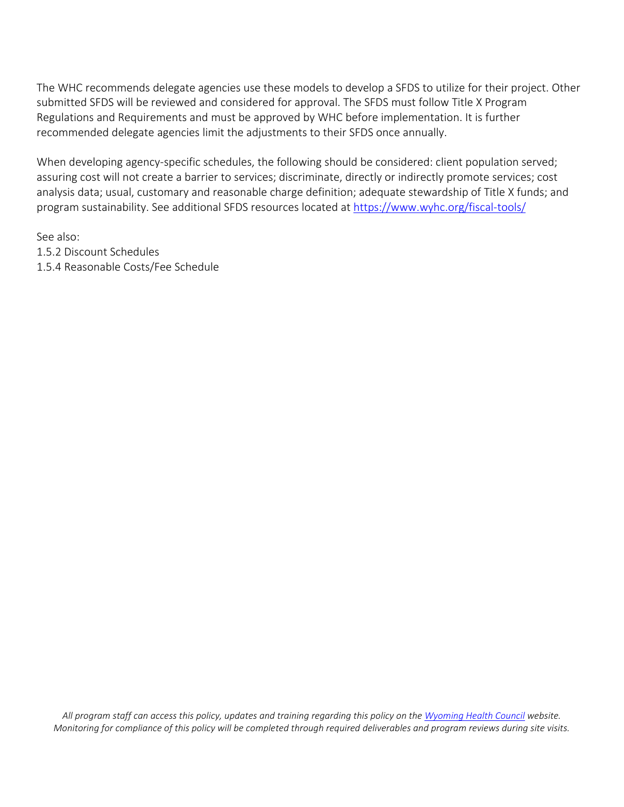The WHC recommends delegate agencies use these models to develop a SFDS to utilize for their project. Other submitted SFDS will be reviewed and considered for approval. The SFDS must follow Title X Program Regulations and Requirements and must be approved by WHC before implementation. It is further recommended delegate agencies limit the adjustments to their SFDS once annually.

When developing agency-specific schedules, the following should be considered: client population served; assuring cost will not create a barrier to services; discriminate, directly or indirectly promote services; cost analysis data; usual, customary and reasonable charge definition; adequate stewardship of Title X funds; and program sustainability. See additional SFDS resources located a[t https://www.wyhc.org/fiscal-tools/](https://www.wyhc.org/fiscal-tools/)

See also: 1.5.2 Discount Schedules 1.5.4 Reasonable Costs/Fee Schedule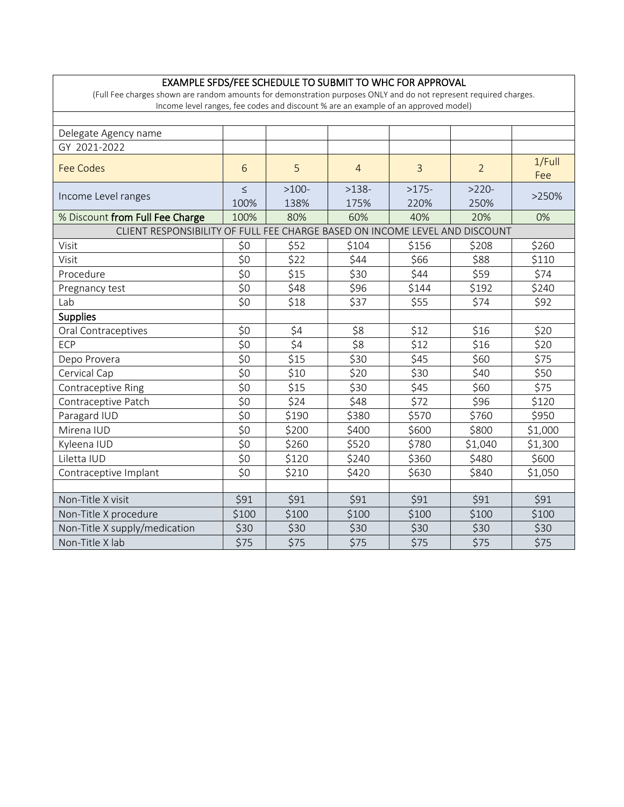| (Full Fee charges shown are random amounts for demonstration purposes ONLY and do not represent required charges.<br>Income level ranges, fee codes and discount % are an example of an approved model) |                |                 |                 |                 |                 |               |
|---------------------------------------------------------------------------------------------------------------------------------------------------------------------------------------------------------|----------------|-----------------|-----------------|-----------------|-----------------|---------------|
|                                                                                                                                                                                                         |                |                 |                 |                 |                 |               |
| Delegate Agency name                                                                                                                                                                                    |                |                 |                 |                 |                 |               |
| GY 2021-2022                                                                                                                                                                                            |                |                 |                 |                 |                 |               |
| <b>Fee Codes</b>                                                                                                                                                                                        | 6              | 5               | $\overline{4}$  | $\overline{3}$  | $\overline{2}$  | 1/Full<br>Fee |
| Income Level ranges                                                                                                                                                                                     | $\leq$<br>100% | $>100-$<br>138% | $>138-$<br>175% | $>175-$<br>220% | $>220-$<br>250% | >250%         |
| % Discount from Full Fee Charge                                                                                                                                                                         | 100%           | 80%             | 60%             | 40%             | 20%             | 0%            |
| CLIENT RESPONSIBILITY OF FULL FEE CHARGE BASED ON INCOME LEVEL AND DISCOUNT                                                                                                                             |                |                 |                 |                 |                 |               |
| Visit                                                                                                                                                                                                   | \$0            | \$52            | \$104           | \$156           | \$208           | \$260         |
| Visit                                                                                                                                                                                                   | \$0            | \$22            | \$44            | \$66            | \$88            | \$110         |
| Procedure                                                                                                                                                                                               | \$0            | \$15            | \$30            | \$44            | \$59            | \$74          |
| Pregnancy test                                                                                                                                                                                          | \$0            | \$48            | \$96            | \$144           | \$192           | \$240         |
| Lab                                                                                                                                                                                                     | \$0            | \$18            | \$37            | \$55            | \$74            | \$92          |
| <b>Supplies</b>                                                                                                                                                                                         |                |                 |                 |                 |                 |               |
| Oral Contraceptives                                                                                                                                                                                     | \$0            | \$4             | \$8             | \$12            | \$16            | \$20          |
| <b>ECP</b>                                                                                                                                                                                              | \$0            | \$4             | \$8             | \$12            | \$16            | \$20          |
| Depo Provera                                                                                                                                                                                            | \$0            | \$15            | \$30            | \$45            | \$60            | \$75          |
| Cervical Cap                                                                                                                                                                                            | \$0            | \$10            | \$20            | \$30            | \$40            | \$50          |
| Contraceptive Ring                                                                                                                                                                                      | \$0            | \$15            | \$30            | \$45            | \$60            | \$75          |
| Contraceptive Patch                                                                                                                                                                                     | \$0            | \$24            | \$48            | \$72            | \$96            | \$120         |
| Paragard IUD                                                                                                                                                                                            | \$0            | \$190           | \$380           | \$570           | \$760           | \$950         |
| Mirena IUD                                                                                                                                                                                              | \$0            | \$200           | \$400           | \$600           | \$800           | \$1,000       |
| Kyleena IUD                                                                                                                                                                                             | \$0            | \$260           | \$520           | \$780           | \$1,040         | \$1,300       |
| Liletta IUD                                                                                                                                                                                             | \$0            | \$120           | \$240           | \$360           | \$480           | \$600         |
| Contraceptive Implant                                                                                                                                                                                   | \$0            | \$210           | \$420           | \$630           | \$840           | \$1,050       |
|                                                                                                                                                                                                         |                |                 |                 |                 |                 |               |

Non-Title X visit \$91 \$91 \$91 \$91 \$91 \$91

Non-Title X supply/medication \$30 \$30 \$30 \$30 \$30 \$30 Non-Title X lab \$75 \$75 \$75 \$75 \$75 \$75

Non-Title X procedure <br>\$100 \$100 \$100 \$100 \$100 \$100 \$100

#### EXAMPLE SFDS/FEE SCHEDULE TO SUBMIT TO WHC FOR APPROVAL

 $\Gamma$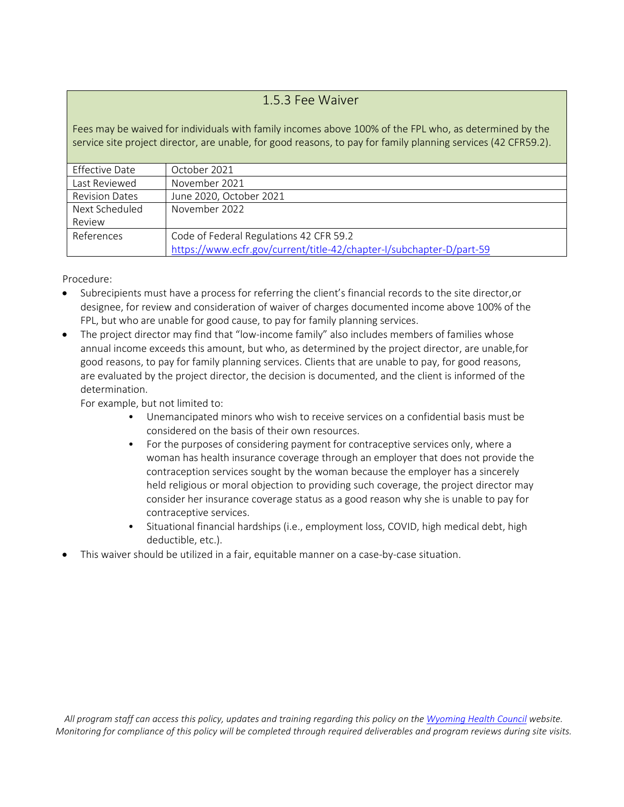#### 1.5.3 Fee Waiver

Fees may be waived for individuals with family incomes above 100% of the FPL who, as determined by the service site project director, are unable, for good reasons, to pay for family planning services (42 CFR59.2).

| Effective Date        | October 2021                                                         |
|-----------------------|----------------------------------------------------------------------|
| Last Reviewed         | November 2021                                                        |
| <b>Revision Dates</b> | June 2020, October 2021                                              |
| Next Scheduled        | November 2022                                                        |
| Review                |                                                                      |
| References            | Code of Federal Regulations 42 CFR 59.2                              |
|                       | https://www.ecfr.gov/current/title-42/chapter-I/subchapter-D/part-59 |

Procedure:

- Subrecipients must have a process for referring the client's financial records to the site director,or designee, for review and consideration of waiver of charges documented income above 100% of the FPL, but who are unable for good cause, to pay for family planning services.
- The project director may find that "low-income family" also includes members of families whose annual income exceeds this amount, but who, as determined by the project director, are unable,for good reasons, to pay for family planning services. Clients that are unable to pay, for good reasons, are evaluated by the project director, the decision is documented, and the client is informed of the determination.

For example, but not limited to:

- Unemancipated minors who wish to receive services on a confidential basis must be considered on the basis of their own resources.
- For the purposes of considering payment for contraceptive services only, where a woman has health insurance coverage through an employer that does not provide the contraception services sought by the woman because the employer has a sincerely held religious or moral objection to providing such coverage, the project director may consider her insurance coverage status as a good reason why she is unable to pay for contraceptive services.
- Situational financial hardships (i.e., employment loss, COVID, high medical debt, high deductible, etc.).
- This waiver should be utilized in a fair, equitable manner on a case-by-case situation.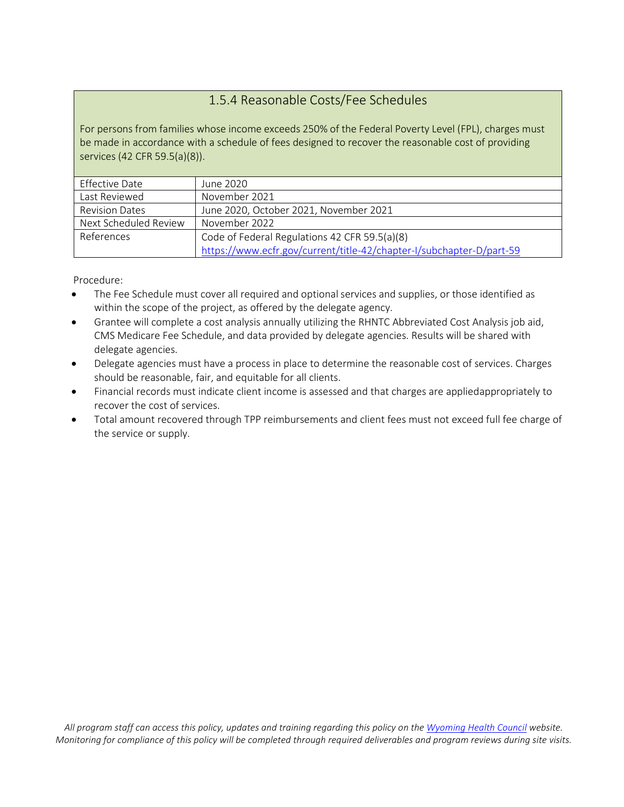# 1.5.4 Reasonable Costs/Fee Schedules

For persons from families whose income exceeds 250% of the Federal Poverty Level (FPL), charges must be made in accordance with a schedule of fees designed to recover the reasonable cost of providing services (42 CFR 59.5(a)(8)).

| Effective Date        | June 2020                                                            |
|-----------------------|----------------------------------------------------------------------|
| Last Reviewed         | November 2021                                                        |
| <b>Revision Dates</b> | June 2020, October 2021, November 2021                               |
| Next Scheduled Review | November 2022                                                        |
| References            | Code of Federal Regulations 42 CFR 59.5(a)(8)                        |
|                       | https://www.ecfr.gov/current/title-42/chapter-I/subchapter-D/part-59 |

- The Fee Schedule must cover all required and optional services and supplies, or those identified as within the scope of the project, as offered by the delegate agency.
- Grantee will complete a cost analysis annually utilizing the RHNTC Abbreviated Cost Analysis job aid, CMS Medicare Fee Schedule, and data provided by delegate agencies. Results will be shared with delegate agencies.
- Delegate agencies must have a process in place to determine the reasonable cost of services. Charges should be reasonable, fair, and equitable for all clients.
- Financial records must indicate client income is assessed and that charges are appliedappropriately to recover the cost of services.
- Total amount recovered through TPP reimbursements and client fees must not exceed full fee charge of the service or supply.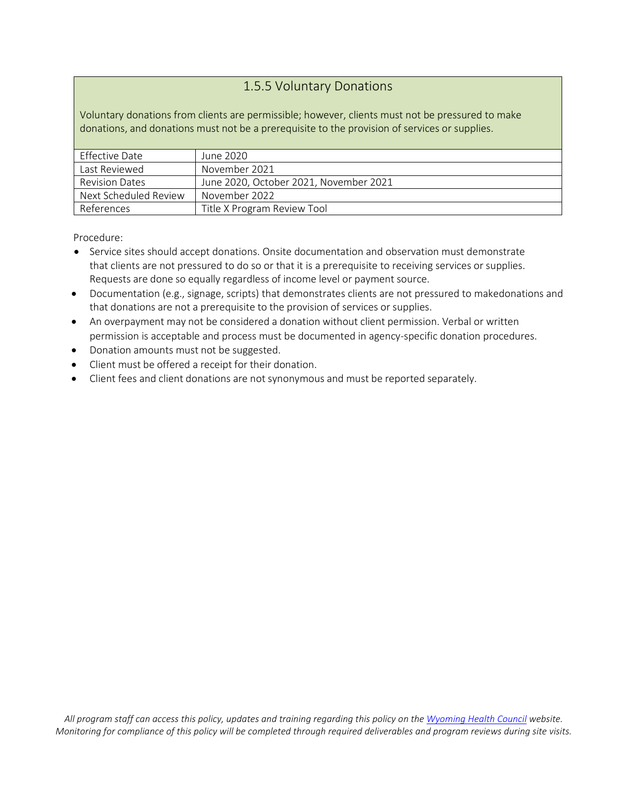#### 1.5.5 Voluntary Donations

Voluntary donations from clients are permissible; however, clients must not be pressured to make donations, and donations must not be a prerequisite to the provision of services or supplies.

| Effective Date        | June 2020                              |
|-----------------------|----------------------------------------|
| Last Reviewed         | November 2021                          |
| <b>Revision Dates</b> | June 2020, October 2021, November 2021 |
| Next Scheduled Review | November 2022                          |
| References            | Title X Program Review Tool            |

- Service sites should accept donations. Onsite documentation and observation must demonstrate that clients are not pressured to do so or that it is a prerequisite to receiving services or supplies. Requests are done so equally regardless of income level or payment source.
- Documentation (e.g., signage, scripts) that demonstrates clients are not pressured to makedonations and that donations are not a prerequisite to the provision of services or supplies.
- An overpayment may not be considered a donation without client permission. Verbal or written permission is acceptable and process must be documented in agency-specific donation procedures.
- Donation amounts must not be suggested.
- Client must be offered a receipt for their donation.
- Client fees and client donations are not synonymous and must be reported separately.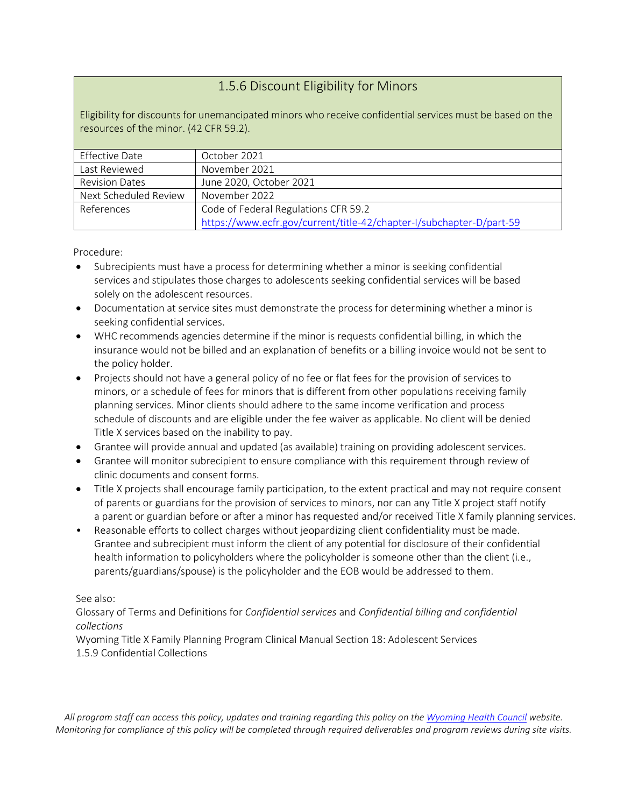#### 1.5.6 Discount Eligibility for Minors

Eligibility for discounts for unemancipated minors who receive confidential services must be based on the resources of the minor. (42 CFR 59.2).

| Effective Date        | October 2021                                                         |
|-----------------------|----------------------------------------------------------------------|
| Last Reviewed         | November 2021                                                        |
| <b>Revision Dates</b> | June 2020, October 2021                                              |
| Next Scheduled Review | November 2022                                                        |
| References            | Code of Federal Regulations CFR 59.2                                 |
|                       | https://www.ecfr.gov/current/title-42/chapter-I/subchapter-D/part-59 |

Procedure:

- Subrecipients must have a process for determining whether a minor is seeking confidential services and stipulates those charges to adolescents seeking confidential services will be based solely on the adolescent resources.
- Documentation at service sites must demonstrate the process for determining whether a minor is seeking confidential services.
- WHC recommends agencies determine if the minor is requests confidential billing, in which the insurance would not be billed and an explanation of benefits or a billing invoice would not be sent to the policy holder.
- Projects should not have a general policy of no fee or flat fees for the provision of services to minors, or a schedule of fees for minors that is different from other populations receiving family planning services. Minor clients should adhere to the same income verification and process schedule of discounts and are eligible under the fee waiver as applicable. No client will be denied Title X services based on the inability to pay.
- Grantee will provide annual and updated (as available) training on providing adolescent services.
- Grantee will monitor subrecipient to ensure compliance with this requirement through review of clinic documents and consent forms.
- Title X projects shall encourage family participation, to the extent practical and may not require consent of parents or guardians for the provision of services to minors, nor can any Title X project staff notify a parent or guardian before or after a minor has requested and/or received Title X family planning services.
- Reasonable efforts to collect charges without jeopardizing client confidentiality must be made. Grantee and subrecipient must inform the client of any potential for disclosure of their confidential health information to policyholders where the policyholder is someone other than the client (i.e., parents/guardians/spouse) is the policyholder and the EOB would be addressed to them.

#### See also:

Glossary of Terms and Definitions for *Confidential services* and *Confidential billing and confidential collections*

Wyoming Title X Family Planning Program Clinical Manual Section 18: Adolescent Services 1.5.9 Confidential Collections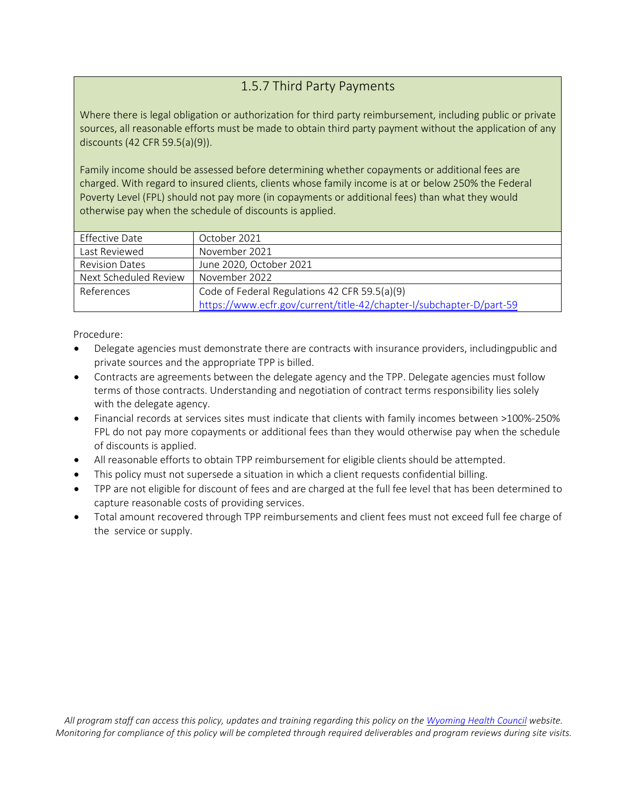# 1.5.7 Third Party Payments

Where there is legal obligation or authorization for third party reimbursement, including public or private sources, all reasonable efforts must be made to obtain third party payment without the application of any discounts (42 CFR 59.5(a)(9)).

Family income should be assessed before determining whether copayments or additional fees are charged. With regard to insured clients, clients whose family income is at or below 250% the Federal Poverty Level (FPL) should not pay more (in copayments or additional fees) than what they would otherwise pay when the schedule of discounts is applied.

| Effective Date        | October 2021                                                         |
|-----------------------|----------------------------------------------------------------------|
| Last Reviewed         | November 2021                                                        |
| <b>Revision Dates</b> | June 2020, October 2021                                              |
| Next Scheduled Review | November 2022                                                        |
| References            | Code of Federal Regulations 42 CFR 59.5(a)(9)                        |
|                       | https://www.ecfr.gov/current/title-42/chapter-I/subchapter-D/part-59 |

- Delegate agencies must demonstrate there are contracts with insurance providers, includingpublic and private sources and the appropriate TPP is billed.
- Contracts are agreements between the delegate agency and the TPP. Delegate agencies must follow terms of those contracts. Understanding and negotiation of contract terms responsibility lies solely with the delegate agency.
- Financial records at services sites must indicate that clients with family incomes between >100%-250% FPL do not pay more copayments or additional fees than they would otherwise pay when the schedule of discounts is applied.
- All reasonable efforts to obtain TPP reimbursement for eligible clients should be attempted.
- This policy must not supersede a situation in which a client requests confidential billing.
- TPP are not eligible for discount of fees and are charged at the full fee level that has been determined to capture reasonable costs of providing services.
- Total amount recovered through TPP reimbursements and client fees must not exceed full fee charge of the service or supply.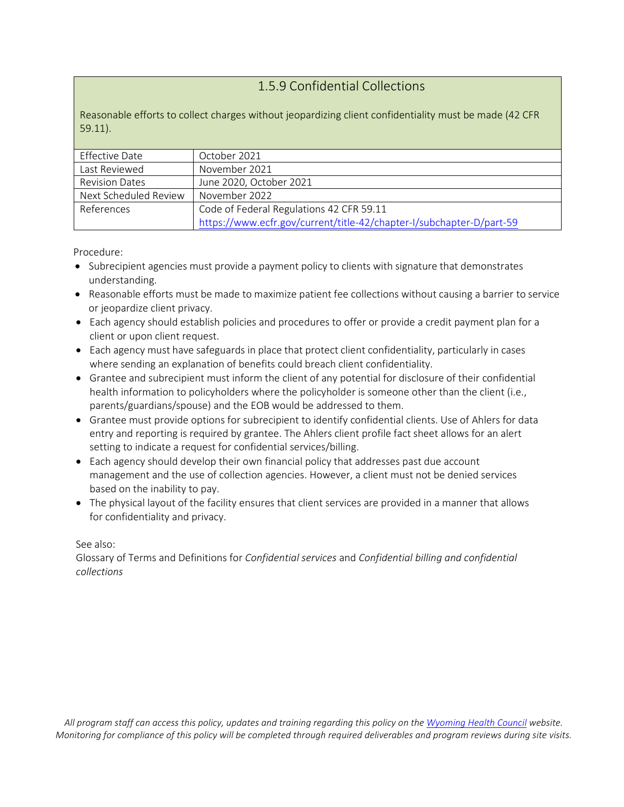#### 1.5.9 Confidential Collections

Reasonable efforts to collect charges without jeopardizing client confidentiality must be made (42 CFR 59.11).

| Effective Date        | October 2021                                                         |
|-----------------------|----------------------------------------------------------------------|
| Last Reviewed         | November 2021                                                        |
| <b>Revision Dates</b> | June 2020, October 2021                                              |
| Next Scheduled Review | November 2022                                                        |
| References            | Code of Federal Regulations 42 CFR 59.11                             |
|                       | https://www.ecfr.gov/current/title-42/chapter-I/subchapter-D/part-59 |

Procedure:

- Subrecipient agencies must provide a payment policy to clients with signature that demonstrates understanding.
- Reasonable efforts must be made to maximize patient fee collections without causing a barrier to service or jeopardize client privacy.
- Each agency should establish policies and procedures to offer or provide a credit payment plan for a client or upon client request.
- Each agency must have safeguards in place that protect client confidentiality, particularly in cases where sending an explanation of benefits could breach client confidentiality.
- Grantee and subrecipient must inform the client of any potential for disclosure of their confidential health information to policyholders where the policyholder is someone other than the client (i.e., parents/guardians/spouse) and the EOB would be addressed to them.
- Grantee must provide options for subrecipient to identify confidential clients. Use of Ahlers for data entry and reporting is required by grantee. The Ahlers client profile fact sheet allows for an alert setting to indicate a request for confidential services/billing.
- Each agency should develop their own financial policy that addresses past due account management and the use of collection agencies. However, a client must not be denied services based on the inability to pay.
- The physical layout of the facility ensures that client services are provided in a manner that allows for confidentiality and privacy.

See also:

Glossary of Terms and Definitions for *Confidential services* and *Confidential billing and confidential collections*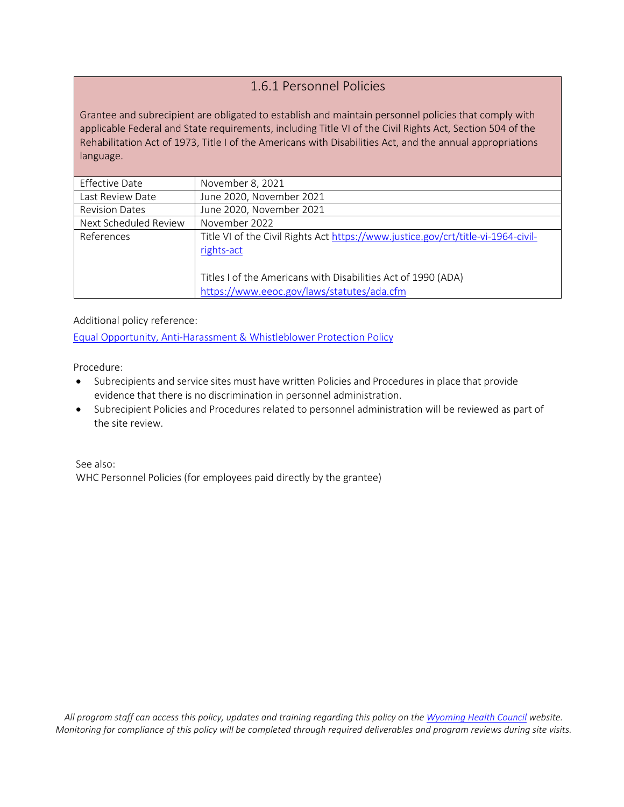#### 1.6.1 Personnel Policies

Grantee and subrecipient are obligated to establish and maintain personnel policies that comply with applicable Federal and State requirements, including Title VI of the Civil Rights Act, Section 504 of the Rehabilitation Act of 1973, Title I of the Americans with Disabilities Act, and the annual appropriations language.

| Effective Date        | November 8, 2021                                                                                            |
|-----------------------|-------------------------------------------------------------------------------------------------------------|
| Last Review Date      | June 2020, November 2021                                                                                    |
| <b>Revision Dates</b> | June 2020, November 2021                                                                                    |
| Next Scheduled Review | November 2022                                                                                               |
| References            | Title VI of the Civil Rights Act https://www.justice.gov/crt/title-vi-1964-civil-<br>rights-act             |
|                       | Titles I of the Americans with Disabilities Act of 1990 (ADA)<br>https://www.eeoc.gov/laws/statutes/ada.cfm |

Additional policy reference:

[Equal Opportunity, Anti-Harassment & Whistleblower Protection Policy](https://www.justice.gov/sites/default/files/crt/legacy/2013/07/22/eeopolicy2013.pdf)

Procedure:

- Subrecipients and service sites must have written Policies and Procedures in place that provide evidence that there is no discrimination in personnel administration.
- Subrecipient Policies and Procedures related to personnel administration will be reviewed as part of the site review.

See also: WHC Personnel Policies (for employees paid directly by the grantee)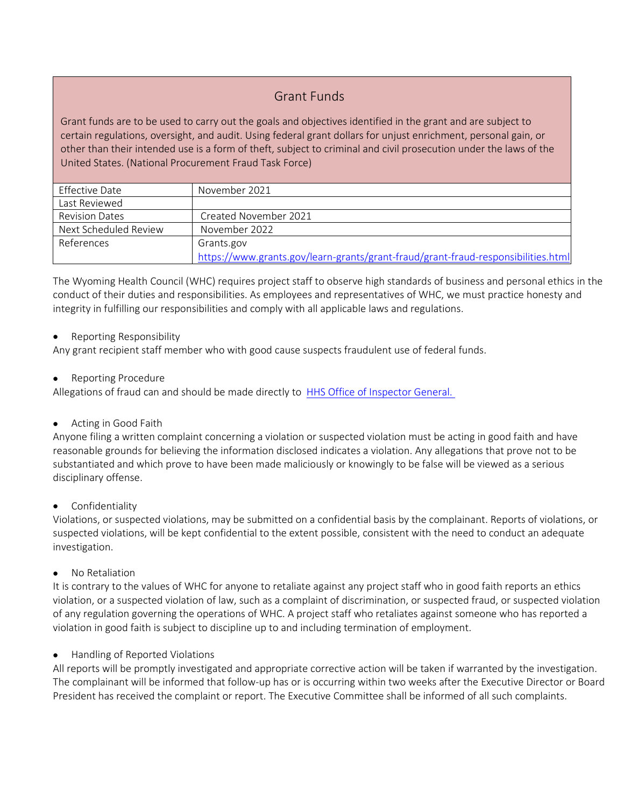#### Grant Funds

Grant funds are to be used to carry out the goals and objectives identified in the grant and are subject to certain regulations, oversight, and audit. Using federal grant dollars for unjust enrichment, personal gain, or other than their intended use is a form of theft, subject to criminal and civil prosecution under the laws of the United States. (National Procurement Fraud Task Force)

| <b>Effective Date</b> | November 2021                                                                     |
|-----------------------|-----------------------------------------------------------------------------------|
| Last Reviewed         |                                                                                   |
| <b>Revision Dates</b> | Created November 2021                                                             |
| Next Scheduled Review | November 2022                                                                     |
| References            | Grants.gov                                                                        |
|                       | https://www.grants.gov/learn-grants/grant-fraud/grant-fraud-responsibilities.html |

The Wyoming Health Council (WHC) requires project staff to observe high standards of business and personal ethics in the conduct of their duties and responsibilities. As employees and representatives of WHC, we must practice honesty and integrity in fulfilling our responsibilities and comply with all applicable laws and regulations.

#### • Reporting Responsibility

Any grant recipient staff member who with good cause suspects fraudulent use of federal funds.

• Reporting Procedure

Allegations of fraud can and should be made directly to [HHS Office of Inspector General.](https://oig.hhs.gov/fraud/enforcement/) 

• Acting in Good Faith

Anyone filing a written complaint concerning a violation or suspected violation must be acting in good faith and have reasonable grounds for believing the information disclosed indicates a violation. Any allegations that prove not to be substantiated and which prove to have been made maliciously or knowingly to be false will be viewed as a serious disciplinary offense.

**Confidentiality** 

Violations, or suspected violations, may be submitted on a confidential basis by the complainant. Reports of violations, or suspected violations, will be kept confidential to the extent possible, consistent with the need to conduct an adequate investigation.

• No Retaliation

It is contrary to the values of WHC for anyone to retaliate against any project staff who in good faith reports an ethics violation, or a suspected violation of law, such as a complaint of discrimination, or suspected fraud, or suspected violation of any regulation governing the operations of WHC. A project staff who retaliates against someone who has reported a violation in good faith is subject to discipline up to and including termination of employment.

• Handling of Reported Violations

All reports will be promptly investigated and appropriate corrective action will be taken if warranted by the investigation. The complainant will be informed that follow-up has or is occurring within two weeks after the Executive Director or Board President has received the complaint or report. The Executive Committee shall be informed of all such complaints.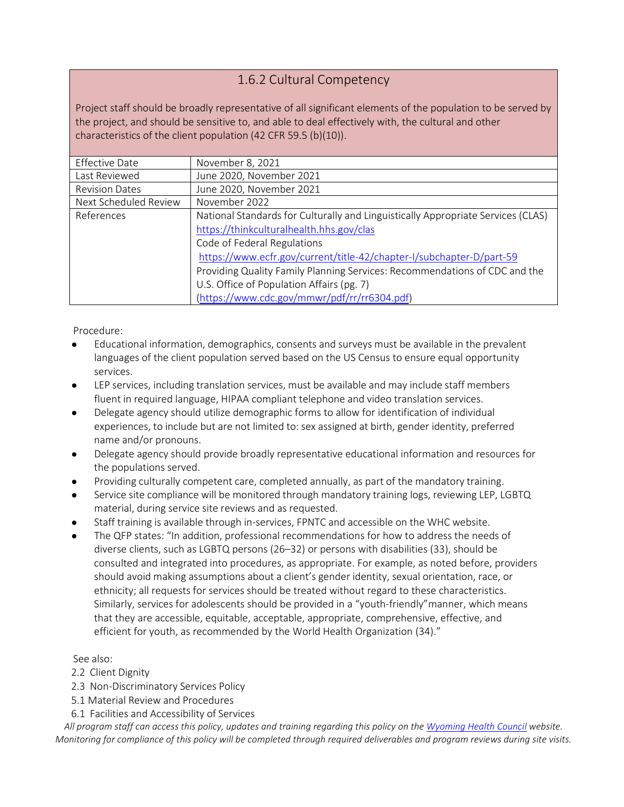## 1.6.2 Cultural Competency

Project staff should be broadly representative of all significant elements of the population to be served by the project, and should be sensitive to, and able to deal effectively with, the cultural and other characteristics of the client population (42 CFR 59.5 (b)(10)).

| <b>Effective Date</b> | November 8, 2021                                                                 |
|-----------------------|----------------------------------------------------------------------------------|
| Last Reviewed         | June 2020, November 2021                                                         |
| <b>Revision Dates</b> | June 2020, November 2021                                                         |
| Next Scheduled Review | November 2022                                                                    |
| References            | National Standards for Culturally and Linguistically Appropriate Services (CLAS) |
|                       | https://thinkculturalhealth.hhs.gov/clas                                         |
|                       | Code of Federal Regulations                                                      |
|                       | https://www.ecfr.gov/current/title-42/chapter-I/subchapter-D/part-59             |
|                       | Providing Quality Family Planning Services: Recommendations of CDC and the       |
|                       | U.S. Office of Population Affairs (pg. 7)                                        |
|                       | (https://www.cdc.gov/mmwr/pdf/rr/rr6304.pdf)                                     |

Procedure:

- Educational information, demographics, consents and surveys must be available in the prevalent languages of the client population served based on the US Census to ensure equal opportunity services.
- LEP services, including translation services, must be available and may include staff members fluent in required language, HIPAA compliant telephone and video translation services.
- Delegate agency should utilize demographic forms to allow for identification of individual experiences, to include but are not limited to:sex assigned at birth, gender identity, preferred name and/or pronouns.
- Delegate agency should provide broadly representative educational information and resources for the populations served.
- Providing culturally competent care, completed annually, as part of the mandatory training.
- Service site compliance will be monitored through mandatory training logs, reviewing LEP, LGBTQ material, during service site reviews and as requested.
- Staff training is available through in-services, FPNTC and accessible on the WHC website.
- The QFP states: "In addition, professional recommendations for how to address the needs of diverse clients, such as LGBTQ persons (26–32) or persons with disabilities (33), should be consulted and integrated into procedures, as appropriate. For example, as noted before, providers should avoid making assumptions about a client's gender identity, sexual orientation, race, or ethnicity; all requests for services should be treated without regard to these characteristics. Similarly, services for adolescents should be provided in a "youth-friendly"manner, which means that they are accessible, equitable, acceptable, appropriate, comprehensive, effective, and efficient for youth, as recommended by the World Health Organization (34)."

See also:

- 2.2 Client Dignity
- 2.3 Non-Discriminatory Services Policy
- 5.1 Material Review and Procedures
- 6.1 Facilities and Accessibility of Services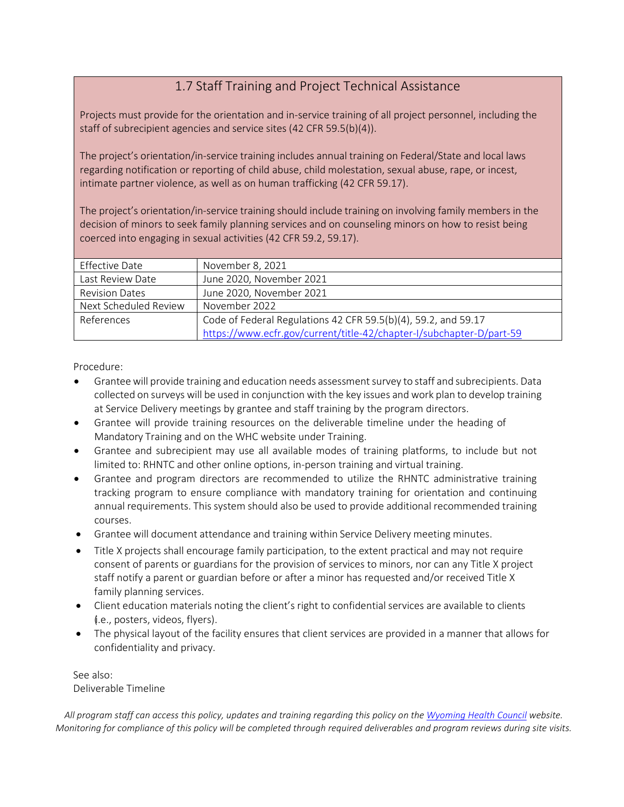# 1.7 Staff Training and Project Technical Assistance

Projects must provide for the orientation and in-service training of all project personnel, including the staff of subrecipient agencies and service sites (42 CFR 59.5(b)(4)).

The project's orientation/in-service training includes annual training on Federal/State and local laws regarding notification or reporting of child abuse, child molestation, sexual abuse, rape, or incest, intimate partner violence, as well as on human trafficking (42 CFR 59.17).

The project's orientation/in-service training should include training on involving family members in the decision of minors to seek family planning services and on counseling minors on how to resist being coerced into engaging in sexual activities (42 CFR 59.2, 59.17).

| <b>Effective Date</b> | November 8, 2021                                                     |
|-----------------------|----------------------------------------------------------------------|
|                       |                                                                      |
| Last Review Date      | June 2020, November 2021                                             |
| <b>Revision Dates</b> | June 2020, November 2021                                             |
| Next Scheduled Review | November 2022                                                        |
| References            | Code of Federal Regulations 42 CFR 59.5(b)(4), 59.2, and 59.17       |
|                       | https://www.ecfr.gov/current/title-42/chapter-I/subchapter-D/part-59 |

Procedure:

- Grantee will provide training and education needs assessment survey to staff and subrecipients. Data collected on surveys will be used in conjunction with the key issues and work plan to develop training at Service Delivery meetings by grantee and staff training by the program directors.
- Grantee will provide training resources on the deliverable timeline under the heading of Mandatory Training and on the WHC website under Training.
- Grantee and subrecipient may use all available modes of training platforms, to include but not limited to: RHNTC and other online options, in-person training and virtual training.
- Grantee and program directors are recommended to utilize the RHNTC administrative training tracking program to ensure compliance with mandatory training for orientation and continuing annual requirements. This system should also be used to provide additional recommended training courses.
- Grantee will document attendance and training within Service Delivery meeting minutes.
- Title X projects shall encourage family participation, to the extent practical and may not require consent of parents or guardians for the provision of services to minors, nor can any Title X project staff notify a parent or guardian before or after a minor has requested and/or received Title X family planning services.
- Client education materials noting the client's right to confidential services are available to clients (i.e., posters, videos, flyers).
- The physical layout of the facility ensures that client services are provided in a manner that allows for confidentiality and privacy.

See also: Deliverable Timeline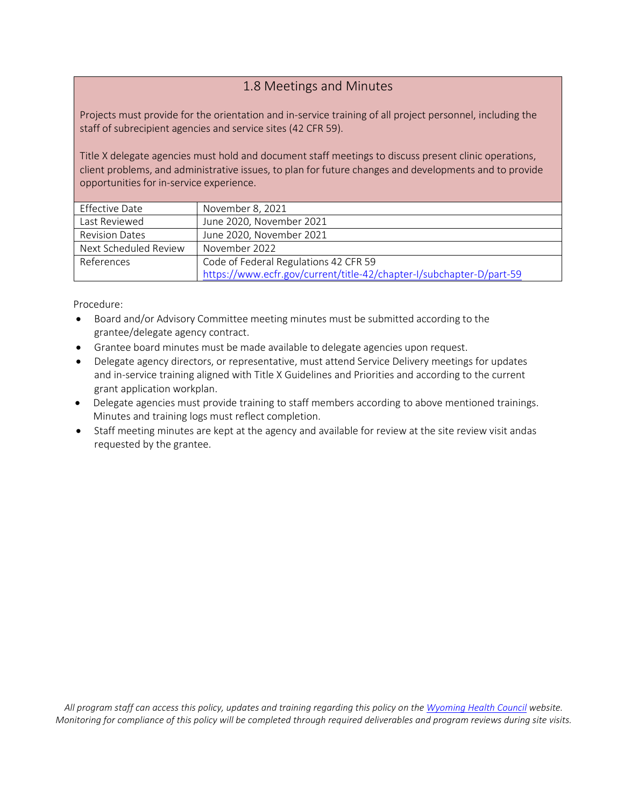#### 1.8 Meetings and Minutes

Projects must provide for the orientation and in-service training of all project personnel, including the staff of subrecipient agencies and service sites (42 CFR 59).

Title X delegate agencies must hold and document staff meetings to discuss present clinic operations, client problems, and administrative issues, to plan for future changes and developments and to provide opportunities for in-service experience.

| <b>Effective Date</b> | November 8, 2021                                                     |
|-----------------------|----------------------------------------------------------------------|
| Last Reviewed         | June 2020, November 2021                                             |
| <b>Revision Dates</b> | June 2020, November 2021                                             |
| Next Scheduled Review | November 2022                                                        |
| References            | Code of Federal Regulations 42 CFR 59                                |
|                       | https://www.ecfr.gov/current/title-42/chapter-I/subchapter-D/part-59 |

Procedure:

- Board and/or Advisory Committee meeting minutes must be submitted according to the grantee/delegate agency contract.
- Grantee board minutes must be made available to delegate agencies upon request.
- Delegate agency directors, or representative, must attend Service Delivery meetings for updates and in-service training aligned with Title X Guidelines and Priorities and according to the current grant application workplan.
- Delegate agencies must provide training to staff members according to above mentioned trainings. Minutes and training logs must reflect completion.
- Staff meeting minutes are kept at the agency and available for review at the site review visit andas requested by the grantee.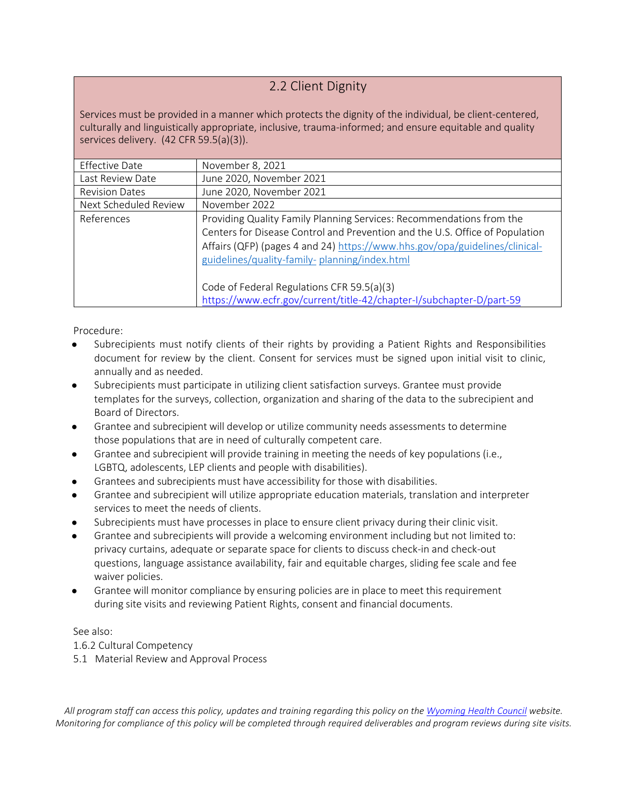#### 2.2 Client Dignity

Services must be provided in a manner which protects the dignity of the individual, be client-centered, culturally and linguistically appropriate, inclusive, trauma-informed; and ensure equitable and quality services delivery. (42 CFR 59.5(a)(3)).

| <b>Effective Date</b> | November 8, 2021                                                                                                                                                                                                                                                                                                                   |
|-----------------------|------------------------------------------------------------------------------------------------------------------------------------------------------------------------------------------------------------------------------------------------------------------------------------------------------------------------------------|
| Last Review Date      | June 2020, November 2021                                                                                                                                                                                                                                                                                                           |
| <b>Revision Dates</b> | June 2020, November 2021                                                                                                                                                                                                                                                                                                           |
| Next Scheduled Review | November 2022                                                                                                                                                                                                                                                                                                                      |
| References            | Providing Quality Family Planning Services: Recommendations from the<br>Centers for Disease Control and Prevention and the U.S. Office of Population<br>Affairs (QFP) (pages 4 and 24) https://www.hhs.gov/opa/guidelines/clinical-<br>guidelines/quality-family-planning/index.html<br>Code of Federal Regulations CFR 59.5(a)(3) |
|                       | https://www.ecfr.gov/current/title-42/chapter-I/subchapter-D/part-59                                                                                                                                                                                                                                                               |
|                       |                                                                                                                                                                                                                                                                                                                                    |

Procedure:

- Subrecipients must notify clients of their rights by providing a Patient Rights and Responsibilities document for review by the client. Consent for services must be signed upon initial visit to clinic, annually and as needed.
- Subrecipients must participate in utilizing client satisfaction surveys. Grantee must provide templates for the surveys, collection, organization and sharing of the data to the subrecipient and Board of Directors.
- Grantee and subrecipient will develop or utilize community needs assessments to determine those populations that are in need of culturally competent care.
- Grantee and subrecipient will provide training in meeting the needs of key populations (i.e., LGBTQ, adolescents, LEP clients and people with disabilities).
- Grantees and subrecipients must have accessibility for those with disabilities.
- Grantee and subrecipient will utilize appropriate education materials, translation and interpreter services to meet the needs of clients.
- Subrecipients must have processes in place to ensure client privacy during their clinic visit.
- Grantee and subrecipients will provide a welcoming environment including but not limited to: privacy curtains, adequate or separate space for clients to discuss check-in and check-out questions, language assistance availability, fair and equitable charges, sliding fee scale and fee waiver policies.
- Grantee will monitor compliance by ensuring policies are in place to meet this requirement during site visits and reviewing Patient Rights, consent and financial documents.

See also:

1.6.2 Cultural Competency

5.1 Material Review and Approval Process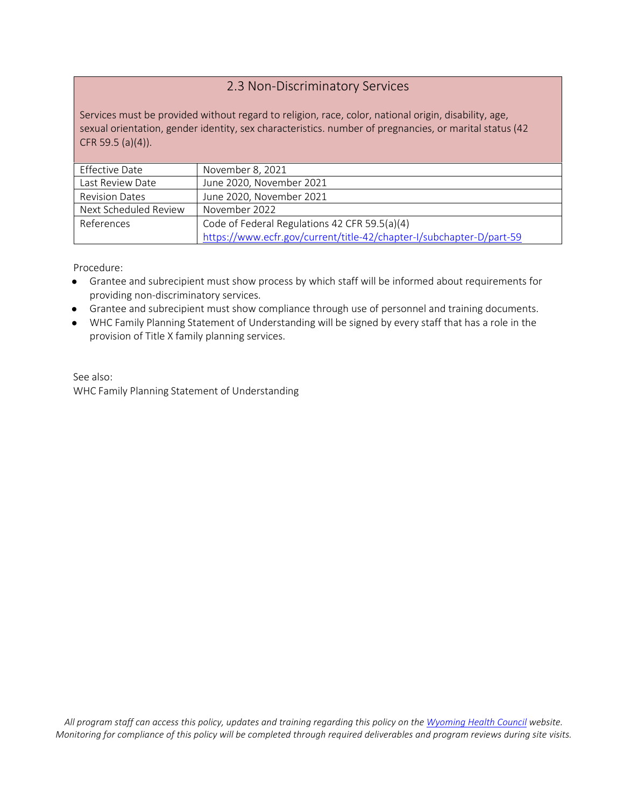#### 2.3 Non-Discriminatory Services

Services must be provided without regard to religion, race, color, national origin, disability, age, sexual orientation, gender identity, sex characteristics. number of pregnancies, or marital status (42 CFR 59.5 (a)(4)).

| Effective Date        | November 8, 2021                                                     |
|-----------------------|----------------------------------------------------------------------|
| Last Review Date      | June 2020, November 2021                                             |
| <b>Revision Dates</b> | June 2020, November 2021                                             |
| Next Scheduled Review | November 2022                                                        |
| References            | Code of Federal Regulations 42 CFR 59.5(a)(4)                        |
|                       | https://www.ecfr.gov/current/title-42/chapter-I/subchapter-D/part-59 |

Procedure:

- Grantee and subrecipient must show process by which staff will be informed about requirements for providing non-discriminatory services.
- Grantee and subrecipient must show compliance through use of personnel and training documents.
- WHC Family Planning Statement of Understanding will be signed by every staff that has a role in the provision of Title X family planning services.

See also: WHC Family Planning Statement of Understanding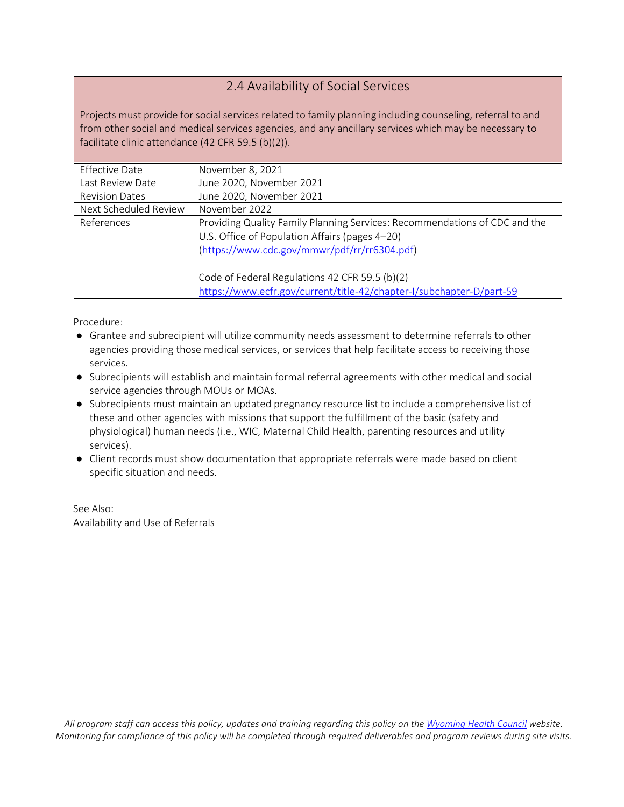#### 2.4 Availability of Social Services

Projects must provide for social services related to family planning including counseling, referral to and from other social and medical services agencies, and any ancillary services which may be necessary to facilitate clinic attendance (42 CFR 59.5 (b)(2)).

| Effective Date        | November 8, 2021                                                                                                                                                             |
|-----------------------|------------------------------------------------------------------------------------------------------------------------------------------------------------------------------|
| Last Review Date      | June 2020, November 2021                                                                                                                                                     |
| <b>Revision Dates</b> | June 2020, November 2021                                                                                                                                                     |
| Next Scheduled Review | November 2022                                                                                                                                                                |
| References            | Providing Quality Family Planning Services: Recommendations of CDC and the<br>U.S. Office of Population Affairs (pages 4-20)<br>(https://www.cdc.gov/mmwr/pdf/rr/rr6304.pdf) |
|                       | Code of Federal Regulations 42 CFR 59.5 (b)(2)<br>https://www.ecfr.gov/current/title-42/chapter-I/subchapter-D/part-59                                                       |

Procedure:

- Grantee and subrecipient will utilize community needs assessment to determine referrals to other agencies providing those medical services, or services that help facilitate access to receiving those services.
- Subrecipients will establish and maintain formal referral agreements with other medical and social service agencies through MOUs or MOAs.
- Subrecipients must maintain an updated pregnancy resource list to include a comprehensive list of these and other agencies with missions that support the fulfillment of the basic (safety and physiological) human needs (i.e., WIC, Maternal Child Health, parenting resources and utility services).
- Client records must show documentation that appropriate referrals were made based on client specific situation and needs.

See Also: Availability and Use of Referrals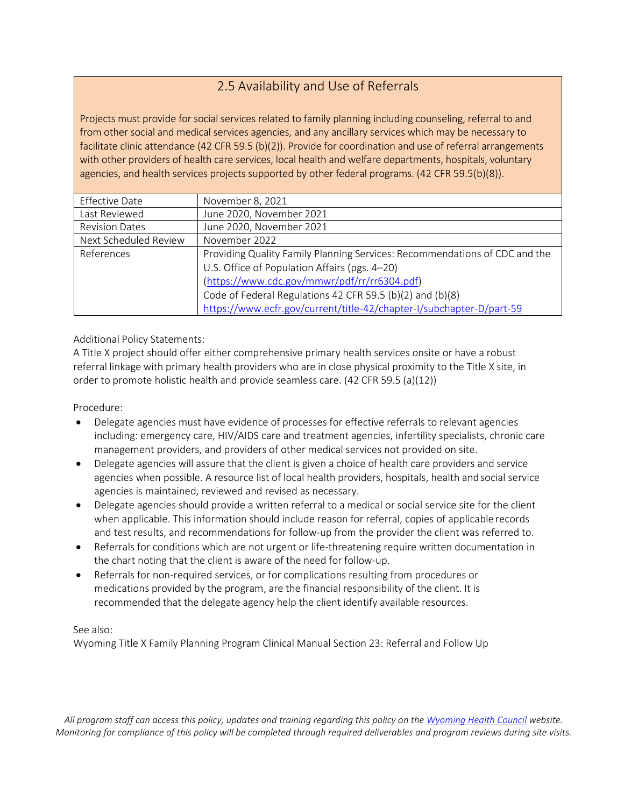# 2.5 Availability and Use of Referrals

Projects must provide for social services related to family planning including counseling, referral to and from other social and medical services agencies, and any ancillary services which may be necessary to facilitate clinic attendance (42 CFR 59.5 (b)(2)). Provide for coordination and use of referral arrangements with other providers of health care services, local health and welfare departments, hospitals, voluntary agencies, and health services projects supported by other federal programs. (42 CFR 59.5(b)(8)).

| <b>Effective Date</b> | November 8, 2021                                                           |
|-----------------------|----------------------------------------------------------------------------|
| Last Reviewed         | June 2020, November 2021                                                   |
| <b>Revision Dates</b> | June 2020, November 2021                                                   |
| Next Scheduled Review | November 2022                                                              |
| References            | Providing Quality Family Planning Services: Recommendations of CDC and the |
|                       | U.S. Office of Population Affairs (pgs. 4-20)                              |
|                       | (https://www.cdc.gov/mmwr/pdf/rr/rr6304.pdf)                               |
|                       | Code of Federal Regulations 42 CFR 59.5 (b)(2) and (b)(8)                  |
|                       | https://www.ecfr.gov/current/title-42/chapter-I/subchapter-D/part-59       |

#### Additional Policy Statements:

A Title X project should offer either comprehensive primary health services onsite or have a robust referral linkage with primary health providers who are in close physical proximity to the Title X site, in order to promote holistic health and provide seamless care. (42 CFR 59.5 (a)(12))

#### Procedure:

- Delegate agencies must have evidence of processes for effective referrals to relevant agencies including: emergency care, HIV/AIDS care and treatment agencies, infertility specialists, chronic care management providers, and providers of other medical services not provided on site.
- Delegate agencies will assure that the client is given a choice of health care providers and service agencies when possible. A resource list of local health providers, hospitals, health and social service agencies is maintained, reviewed and revised as necessary.
- Delegate agencies should provide a written referral to a medical or social service site for the client when applicable. This information should include reason for referral, copies of applicable records and test results, and recommendations for follow-up from the provider the client was referred to.
- Referrals for conditions which are not urgent or life-threatening require written documentation in the chart noting that the client is aware of the need for follow-up.
- Referrals for non-required services, or for complications resulting from procedures or medications provided by the program, are the financial responsibility of the client. It is recommended that the delegate agency help the client identify available resources.

#### See also:

Wyoming Title X Family Planning Program Clinical Manual Section 23: Referral and Follow Up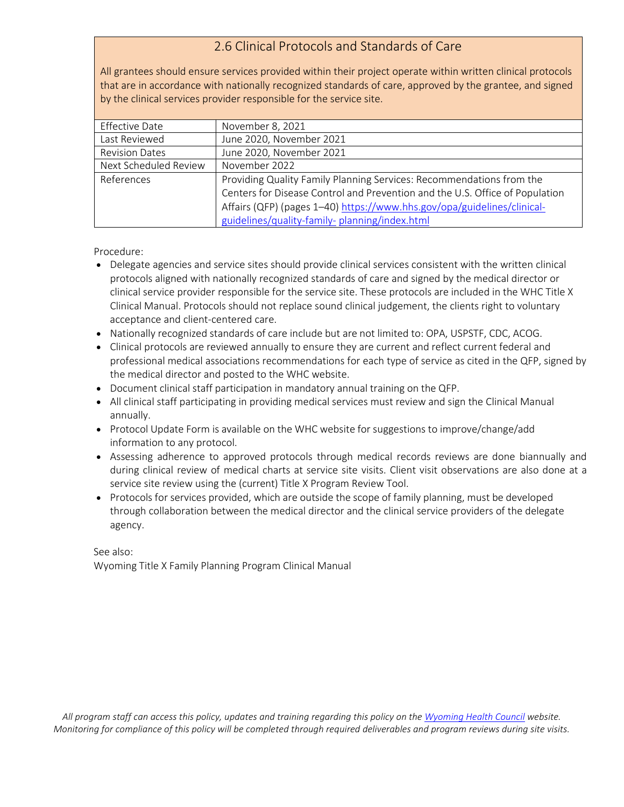#### 2.6 Clinical Protocols and Standards of Care

All grantees should ensure services provided within their project operate within written clinical protocols that are in accordance with nationally recognized standards of care, approved by the grantee, and signed by the clinical services provider responsible for the service site.

| <b>Effective Date</b> | November 8, 2021                                                             |
|-----------------------|------------------------------------------------------------------------------|
| Last Reviewed         | June 2020, November 2021                                                     |
| <b>Revision Dates</b> | June 2020, November 2021                                                     |
| Next Scheduled Review | November 2022                                                                |
| References            | Providing Quality Family Planning Services: Recommendations from the         |
|                       | Centers for Disease Control and Prevention and the U.S. Office of Population |
|                       | Affairs (QFP) (pages 1-40) https://www.hhs.gov/opa/guidelines/clinical-      |
|                       | guidelines/quality-family-planning/index.html                                |

Procedure:

- Delegate agencies and service sites should provide clinical services consistent with the written clinical protocols aligned with nationally recognized standards of care and signed by the medical director or clinical service provider responsible for the service site. These protocols are included in the WHC Title X Clinical Manual. Protocols should not replace sound clinical judgement, the clients right to voluntary acceptance and client-centered care.
- Nationally recognized standards of care include but are not limited to: OPA, USPSTF, CDC, ACOG.
- Clinical protocols are reviewed annually to ensure they are current and reflect current federal and professional medical associations recommendations for each type of service as cited in the QFP, signed by the medical director and posted to the WHC website.
- Document clinical staff participation in mandatory annual training on the QFP.
- All clinical staff participating in providing medical services must review and sign the Clinical Manual annually.
- Protocol Update Form is available on the WHC website for suggestions to improve/change/add information to any protocol.
- Assessing adherence to approved protocols through medical records reviews are done biannually and during clinical review of medical charts at service site visits. Client visit observations are also done at a service site review using the (current) Title X Program Review Tool.
- Protocols for services provided, which are outside the scope of family planning, must be developed through collaboration between the medical director and the clinical service providers of the delegate agency.

See also: Wyoming Title X Family Planning Program Clinical Manual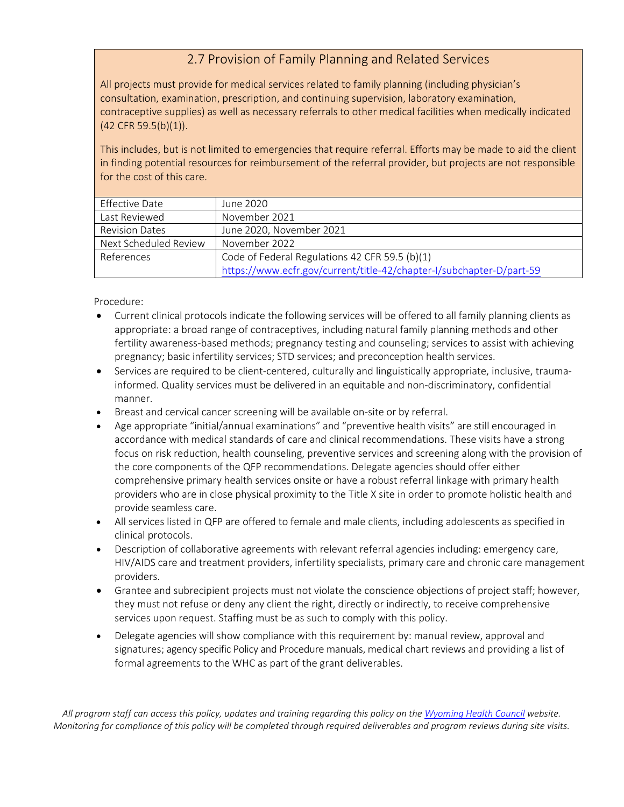#### 2.7 Provision of Family Planning and Related Services

All projects must provide for medical services related to family planning (including physician's consultation, examination, prescription, and continuing supervision, laboratory examination, contraceptive supplies) as well as necessary referrals to other medical facilities when medically indicated (42 CFR 59.5(b)(1)).

This includes, but is not limited to emergencies that require referral. Efforts may be made to aid the client in finding potential resources for reimbursement of the referral provider, but projects are not responsible for the cost of this care.

| Effective Date        | June 2020                                                            |
|-----------------------|----------------------------------------------------------------------|
| Last Reviewed         | November 2021                                                        |
| <b>Revision Dates</b> | June 2020, November 2021                                             |
| Next Scheduled Review | November 2022                                                        |
| References            | Code of Federal Regulations 42 CFR 59.5 (b)(1)                       |
|                       | https://www.ecfr.gov/current/title-42/chapter-I/subchapter-D/part-59 |

Procedure:

- Current clinical protocols indicate the following services will be offered to all family planning clients as appropriate: a broad range of contraceptives, including natural family planning methods and other fertility awareness-based methods; pregnancy testing and counseling; services to assist with achieving pregnancy; basic infertility services; STD services; and preconception health services.
- Services are required to be client-centered, culturally and linguistically appropriate, inclusive, traumainformed. Quality services must be delivered in an equitable and non-discriminatory, confidential manner.
- Breast and cervical cancer screening will be available on-site or by referral.
- Age appropriate "initial/annual examinations" and "preventive health visits" are still encouraged in accordance with medical standards of care and clinical recommendations. These visits have a strong focus on risk reduction, health counseling, preventive services and screening along with the provision of the core components of the QFP recommendations. Delegate agencies should offer either comprehensive primary health services onsite or have a robust referral linkage with primary health providers who are in close physical proximity to the Title X site in order to promote holistic health and provide seamless care.
- All services listed in QFP are offered to female and male clients, including adolescents as specified in clinical protocols.
- Description of collaborative agreements with relevant referral agencies including: emergency care, HIV/AIDS care and treatment providers, infertility specialists, primary care and chronic care management providers.
- Grantee and subrecipient projects must not violate the conscience objections of project staff; however, they must not refuse or deny any client the right, directly or indirectly, to receive comprehensive services upon request. Staffing must be as such to comply with this policy.
- Delegate agencies will show compliance with this requirement by: manual review, approval and signatures; agency specific Policy and Procedure manuals, medical chart reviews and providing a list of formal agreements to the WHC as part of the grant deliverables.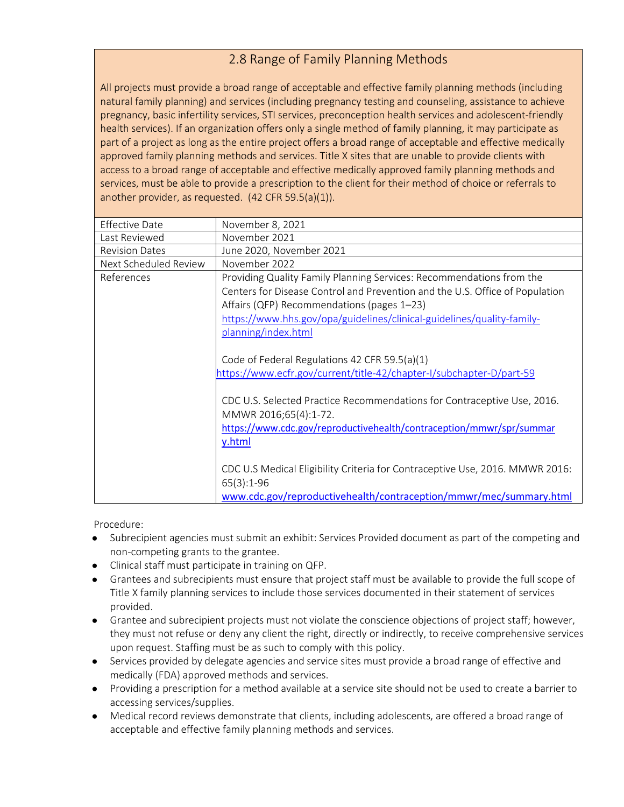## 2.8 Range of Family Planning Methods

All projects must provide a broad range of acceptable and effective family planning methods (including natural family planning) and services (including pregnancy testing and counseling, assistance to achieve pregnancy, basic infertility services, STI services, preconception health services and adolescent-friendly health services). If an organization offers only a single method of family planning, it may participate as part of a project as long as the entire project offers a broad range of acceptable and effective medically approved family planning methods and services. Title X sites that are unable to provide clients with access to a broad range of acceptable and effective medically approved family planning methods and services, must be able to provide a prescription to the client for their method of choice or referrals to another provider, as requested. (42 CFR 59.5(a)(1)).

| <b>Effective Date</b> | November 8, 2021                                                             |
|-----------------------|------------------------------------------------------------------------------|
| Last Reviewed         | November 2021                                                                |
| <b>Revision Dates</b> | June 2020, November 2021                                                     |
| Next Scheduled Review | November 2022                                                                |
| References            | Providing Quality Family Planning Services: Recommendations from the         |
|                       | Centers for Disease Control and Prevention and the U.S. Office of Population |
|                       | Affairs (QFP) Recommendations (pages 1-23)                                   |
|                       | https://www.hhs.gov/opa/guidelines/clinical-guidelines/quality-family-       |
|                       | planning/index.html                                                          |
|                       |                                                                              |
|                       | Code of Federal Regulations 42 CFR 59.5(a)(1)                                |
|                       | https://www.ecfr.gov/current/title-42/chapter-I/subchapter-D/part-59         |
|                       |                                                                              |
|                       | CDC U.S. Selected Practice Recommendations for Contraceptive Use, 2016.      |
|                       | MMWR 2016;65(4):1-72.                                                        |
|                       | https://www.cdc.gov/reproductivehealth/contraception/mmwr/spr/summar         |
|                       | y.html                                                                       |
|                       |                                                                              |
|                       | CDC U.S Medical Eligibility Criteria for Contraceptive Use, 2016. MMWR 2016: |
|                       | $65(3):1-96$                                                                 |
|                       | www.cdc.gov/reproductivehealth/contraception/mmwr/mec/summary.html           |
|                       |                                                                              |

- Subrecipient agencies must submit an exhibit: Services Provided document as part of the competing and non-competing grants to the grantee.
- Clinical staff must participate in training on QFP.
- Grantees and subrecipients must ensure that project staff must be available to provide the full scope of Title X family planning services to include those services documented in their statement of services provided.
- Grantee and subrecipient projects must not violate the conscience objections of project staff; however, they must not refuse or deny any client the right, directly or indirectly, to receive comprehensive services upon request. Staffing must be as such to comply with this policy.
- Services provided by delegate agencies and service sites must provide a broad range of effective and medically (FDA) approved methods and services.
- Providing a prescription for a method available at a service site should not be used to create a barrier to accessing services/supplies.
- Medical record reviews demonstrate that clients, including adolescents, are offered a broad range of acceptable and effective family planning methods and services.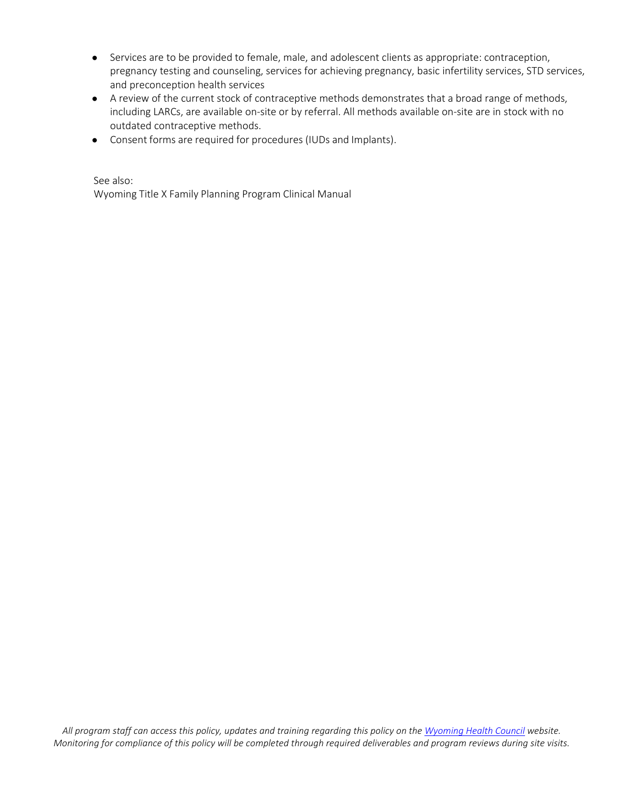- Services are to be provided to female, male, and adolescent clients as appropriate: contraception, pregnancy testing and counseling, services for achieving pregnancy, basic infertility services, STD services, and preconception health services
- A review of the current stock of contraceptive methods demonstrates that a broad range of methods, including LARCs, are available on-site or by referral. All methods available on-site are in stock with no outdated contraceptive methods.
- Consent forms are required for procedures (IUDs and Implants).

See also: Wyoming Title X Family Planning Program Clinical Manual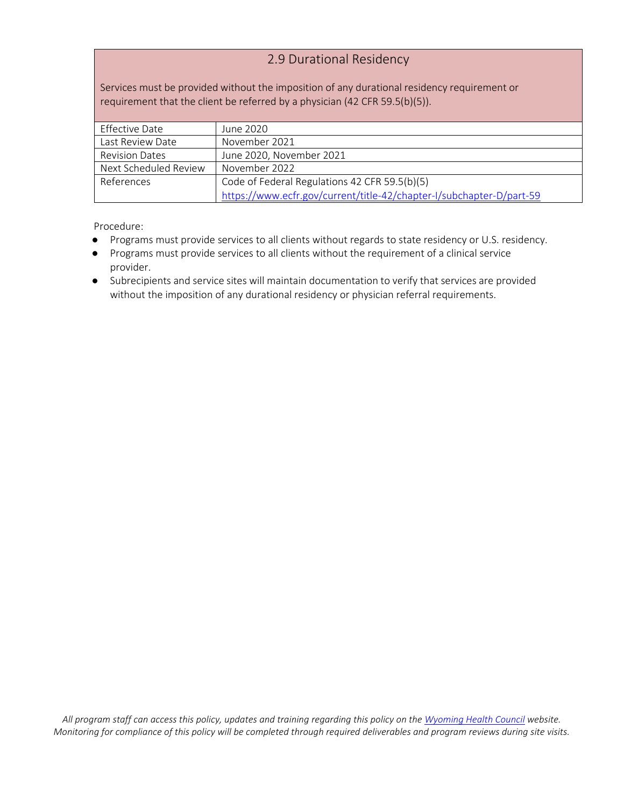#### 2.9 Durational Residency

Services must be provided without the imposition of any durational residency requirement or requirement that the client be referred by a physician (42 CFR 59.5(b)(5)).

| Effective Date        | June 2020                                                            |
|-----------------------|----------------------------------------------------------------------|
| Last Review Date      | November 2021                                                        |
| <b>Revision Dates</b> | June 2020, November 2021                                             |
| Next Scheduled Review | November 2022                                                        |
| References            | Code of Federal Regulations 42 CFR 59.5(b)(5)                        |
|                       | https://www.ecfr.gov/current/title-42/chapter-I/subchapter-D/part-59 |

- Programs must provide services to all clients without regards to state residency or U.S. residency.
- Programs must provide services to all clients without the requirement of a clinical service provider.
- Subrecipients and service sites will maintain documentation to verify that services are provided without the imposition of any durational residency or physician referral requirements.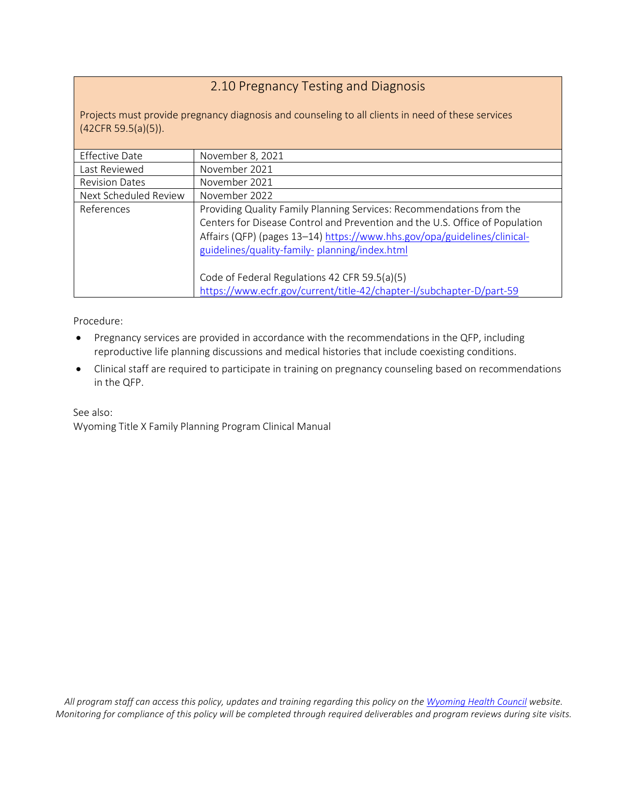## 2.10 Pregnancy Testing and Diagnosis

Projects must provide pregnancy diagnosis and counseling to all clients in need of these services (42CFR 59.5(a)(5)).

| <b>Effective Date</b> | November 8, 2021                                                                                                                                                                                                                                                                  |
|-----------------------|-----------------------------------------------------------------------------------------------------------------------------------------------------------------------------------------------------------------------------------------------------------------------------------|
| Last Reviewed         | November 2021                                                                                                                                                                                                                                                                     |
| <b>Revision Dates</b> | November 2021                                                                                                                                                                                                                                                                     |
| Next Scheduled Review | November 2022                                                                                                                                                                                                                                                                     |
| References            | Providing Quality Family Planning Services: Recommendations from the<br>Centers for Disease Control and Prevention and the U.S. Office of Population<br>Affairs (QFP) (pages 13-14) https://www.hhs.gov/opa/guidelines/clinical-<br>guidelines/quality-family-planning/index.html |
|                       | Code of Federal Regulations 42 CFR 59.5(a)(5)<br>https://www.ecfr.gov/current/title-42/chapter-I/subchapter-D/part-59                                                                                                                                                             |

Procedure:

- Pregnancy services are provided in accordance with the recommendations in the QFP, including reproductive life planning discussions and medical histories that include coexisting conditions.
- Clinical staff are required to participate in training on pregnancy counseling based on recommendations in the QFP.

See also: Wyoming Title X Family Planning Program Clinical Manual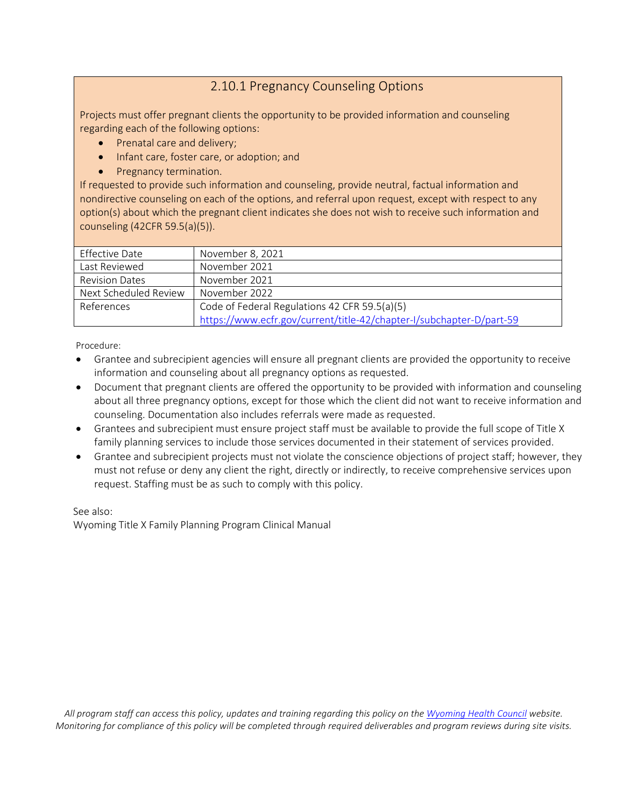#### 2.10.1 Pregnancy Counseling Options

Projects must offer pregnant clients the opportunity to be provided information and counseling regarding each of the following options:

- Prenatal care and delivery;
- Infant care, foster care, or adoption; and
- Pregnancy termination.

If requested to provide such information and counseling, provide neutral, factual information and nondirective counseling on each of the options, and referral upon request, except with respect to any option(s) about which the pregnant client indicates she does not wish to receive such information and counseling (42CFR 59.5(a)(5)).

| Effective Date        | November 8, 2021                                                     |
|-----------------------|----------------------------------------------------------------------|
| Last Reviewed         | November 2021                                                        |
| <b>Revision Dates</b> | November 2021                                                        |
| Next Scheduled Review | November 2022                                                        |
| References            | Code of Federal Regulations 42 CFR 59.5(a)(5)                        |
|                       | https://www.ecfr.gov/current/title-42/chapter-I/subchapter-D/part-59 |

Procedure:

- Grantee and subrecipient agencies will ensure all pregnant clients are provided the opportunity to receive information and counseling about all pregnancy options as requested.
- Document that pregnant clients are offered the opportunity to be provided with information and counseling about all three pregnancy options, except for those which the client did not want to receive information and counseling. Documentation also includes referrals were made as requested.
- Grantees and subrecipient must ensure project staff must be available to provide the full scope of Title X family planning services to include those services documented in their statement of services provided.
- Grantee and subrecipient projects must not violate the conscience objections of project staff; however, they must not refuse or deny any client the right, directly or indirectly, to receive comprehensive services upon request. Staffing must be as such to comply with this policy.

See also:

Wyoming Title X Family Planning Program Clinical Manual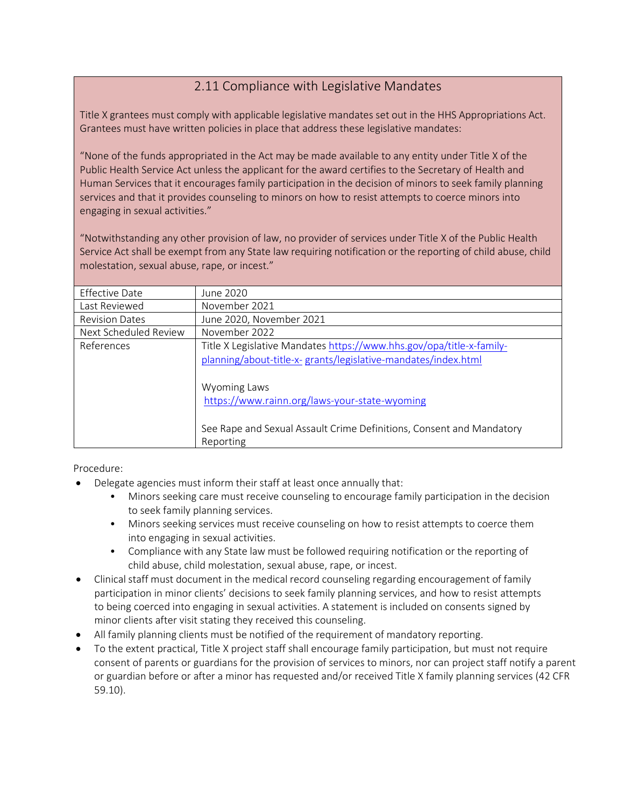## 2.11 Compliance with Legislative Mandates

Title X grantees must comply with applicable legislative mandates set out in the HHS Appropriations Act. Grantees must have written policies in place that address these legislative mandates:

"None of the funds appropriated in the Act may be made available to any entity under Title X of the Public Health Service Act unless the applicant for the award certifies to the Secretary of Health and Human Services that it encourages family participation in the decision of minors to seek family planning services and that it provides counseling to minors on how to resist attempts to coerce minors into engaging in sexual activities."

"Notwithstanding any other provision of law, no provider of services under Title X of the Public Health Service Act shall be exempt from any State law requiring notification or the reporting of child abuse, child molestation, sexual abuse, rape, or incest."

| <b>Effective Date</b> | June 2020                                                            |
|-----------------------|----------------------------------------------------------------------|
| Last Reviewed         | November 2021                                                        |
| <b>Revision Dates</b> | June 2020, November 2021                                             |
| Next Scheduled Review | November 2022                                                        |
| References            | Title X Legislative Mandates https://www.hhs.gov/opa/title-x-family- |
|                       | planning/about-title-x- grants/legislative-mandates/index.html       |
|                       |                                                                      |
|                       | Wyoming Laws                                                         |
|                       | https://www.rainn.org/laws-your-state-wyoming                        |
|                       |                                                                      |
|                       | See Rape and Sexual Assault Crime Definitions, Consent and Mandatory |
|                       | Reporting                                                            |

- Delegate agencies must inform their staff at least once annually that:
	- Minors seeking care must receive counseling to encourage family participation in the decision to seek family planning services.
	- Minors seeking services must receive counseling on how to resist attempts to coerce them into engaging in sexual activities.
	- Compliance with any State law must be followed requiring notification or the reporting of child abuse, child molestation, sexual abuse, rape, or incest.
- Clinical staff must document in the medical record counseling regarding encouragement of family participation in minor clients' decisions to seek family planning services, and how to resist attempts to being coerced into engaging in sexual activities. A statement is included on consents signed by minor clients after visit stating they received this counseling.
- All family planning clients must be notified of the requirement of mandatory reporting.
- To the extent practical, Title X project staff shall encourage family participation, but must not require consent of parents or guardians for the provision of services to minors, nor can project staff notify a parent or guardian before or after a minor has requested and/or received Title X family planning services (42 CFR 59.10).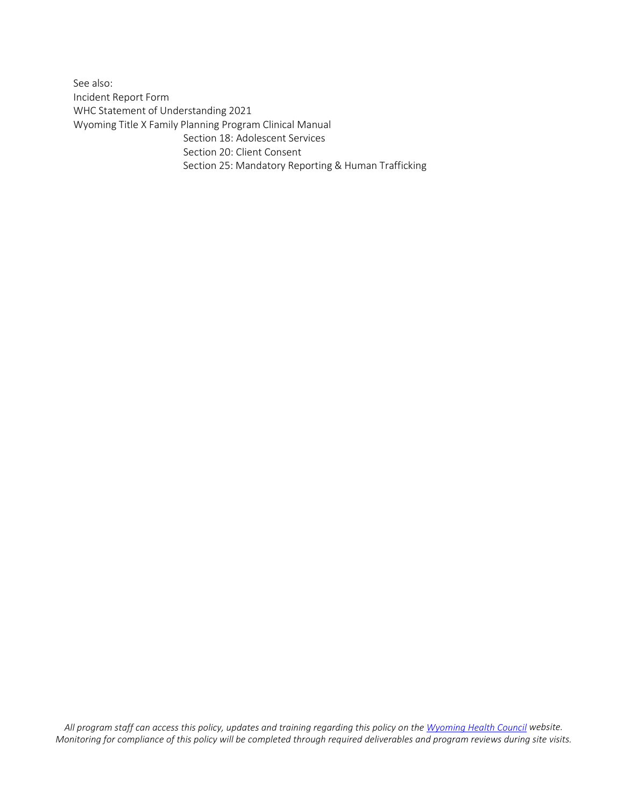See also: Incident Report Form WHC Statement of Understanding 2021 Wyoming Title X Family Planning Program Clinical Manual Section 18: Adolescent Services Section 20: Client Consent Section 25: Mandatory Reporting & Human Trafficking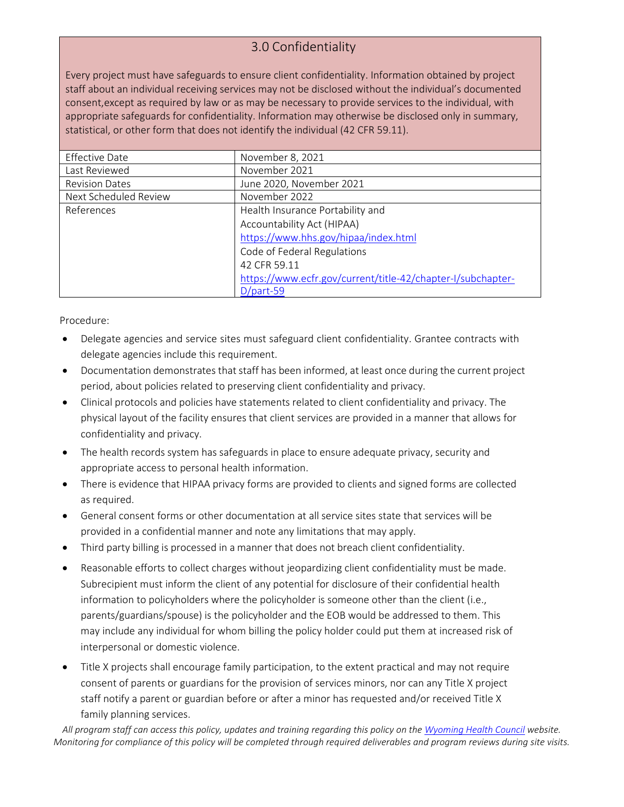# 3.0 Confidentiality

Every project must have safeguards to ensure client confidentiality. Information obtained by project staff about an individual receiving services may not be disclosed without the individual's documented consent,except as required by law or as may be necessary to provide services to the individual, with appropriate safeguards for confidentiality. Information may otherwise be disclosed only in summary, statistical, or other form that does not identify the individual (42 CFR 59.11).

| <b>Effective Date</b> | November 8, 2021                                            |
|-----------------------|-------------------------------------------------------------|
| Last Reviewed         | November 2021                                               |
| <b>Revision Dates</b> | June 2020, November 2021                                    |
| Next Scheduled Review | November 2022                                               |
| References            | Health Insurance Portability and                            |
|                       | Accountability Act (HIPAA)                                  |
|                       | https://www.hhs.gov/hipaa/index.html                        |
|                       | Code of Federal Regulations                                 |
|                       | 42 CFR 59.11                                                |
|                       | https://www.ecfr.gov/current/title-42/chapter-I/subchapter- |
|                       | $D$ /part-59                                                |

Procedure:

- Delegate agencies and service sites must safeguard client confidentiality. Grantee contracts with delegate agencies include this requirement.
- Documentation demonstrates that staff has been informed, at least once during the current project period, about policies related to preserving client confidentiality and privacy.
- Clinical protocols and policies have statements related to client confidentiality and privacy. The physical layout of the facility ensures that client services are provided in a manner that allows for confidentiality and privacy.
- The health records system has safeguards in place to ensure adequate privacy, security and appropriate access to personal health information.
- There is evidence that HIPAA privacy forms are provided to clients and signed forms are collected as required.
- General consent forms or other documentation at all service sites state that services will be provided in a confidential manner and note any limitations that may apply.
- Third party billing is processed in a manner that does not breach client confidentiality.
- Reasonable efforts to collect charges without jeopardizing client confidentiality must be made. Subrecipient must inform the client of any potential for disclosure of their confidential health information to policyholders where the policyholder is someone other than the client (i.e., parents/guardians/spouse) is the policyholder and the EOB would be addressed to them. This may include any individual for whom billing the policy holder could put them at increased risk of interpersonal or domestic violence.
- Title X projects shall encourage family participation, to the extent practical and may not require consent of parents or guardians for the provision of services minors, nor can any Title X project staff notify a parent or guardian before or after a minor has requested and/or received Title X family planning services.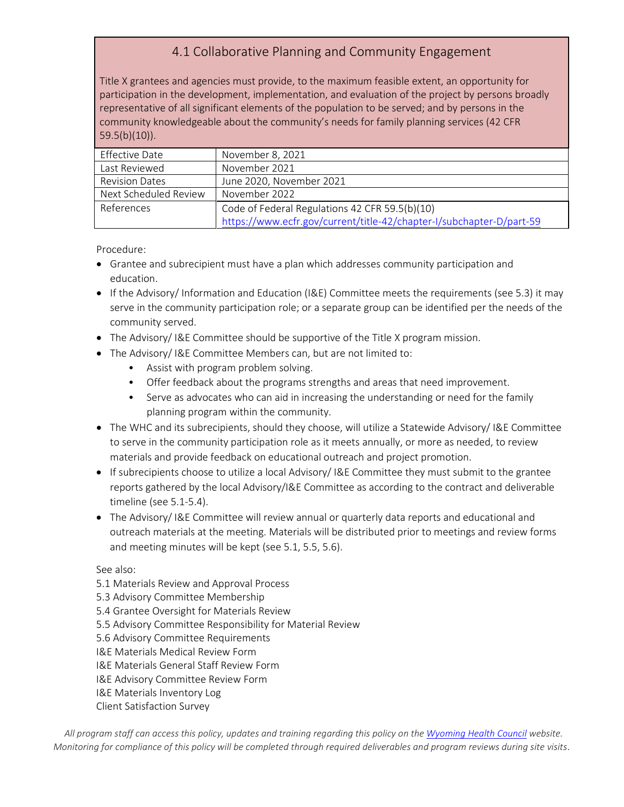# 4.1 Collaborative Planning and Community Engagement

Title X grantees and agencies must provide, to the maximum feasible extent, an opportunity for participation in the development, implementation, and evaluation of the project by persons broadly representative of all significant elements of the population to be served; and by persons in the community knowledgeable about the community's needs for family planning services (42 CFR 59.5(b)(10)).

| Effective Date        | November 8, 2021                                                     |
|-----------------------|----------------------------------------------------------------------|
| Last Reviewed         | November 2021                                                        |
| <b>Revision Dates</b> | June 2020, November 2021                                             |
| Next Scheduled Review | November 2022                                                        |
| References            | Code of Federal Regulations 42 CFR 59.5(b)(10)                       |
|                       | https://www.ecfr.gov/current/title-42/chapter-I/subchapter-D/part-59 |

Procedure:

- Grantee and subrecipient must have a plan which addresses community participation and education.
- If the Advisory/ Information and Education (I&E) Committee meets the requirements (see 5.3) it may serve in the community participation role; or a separate group can be identified per the needs of the community served.
- The Advisory/ I&E Committee should be supportive of the Title X program mission.
- The Advisory/ I&E Committee Members can, but are not limited to:
	- Assist with program problem solving.
	- Offer feedback about the programs strengths and areas that need improvement.
	- Serve as advocates who can aid in increasing the understanding or need for the family planning program within the community.
- The WHC and its subrecipients, should they choose, will utilize a Statewide Advisory/ I&E Committee to serve in the community participation role as it meets annually, or more as needed, to review materials and provide feedback on educational outreach and project promotion.
- If subrecipients choose to utilize a local Advisory/ I&E Committee they must submit to the grantee reports gathered by the local Advisory/I&E Committee as according to the contract and deliverable timeline (see 5.1-5.4).
- The Advisory/ I&E Committee will review annual or quarterly data reports and educational and outreach materials at the meeting. Materials will be distributed prior to meetings and review forms and meeting minutes will be kept (see 5.1, 5.5, 5.6).

See also:

- 5.1 Materials Review and Approval Process
- 5.3 Advisory Committee Membership
- 5.4 Grantee Oversight for Materials Review
- 5.5 Advisory Committee Responsibility for Material Review
- 5.6 Advisory Committee Requirements
- I&E Materials Medical Review Form
- I&E Materials General Staff Review Form
- I&E Advisory Committee Review Form
- I&E Materials Inventory Log
- Client Satisfaction Survey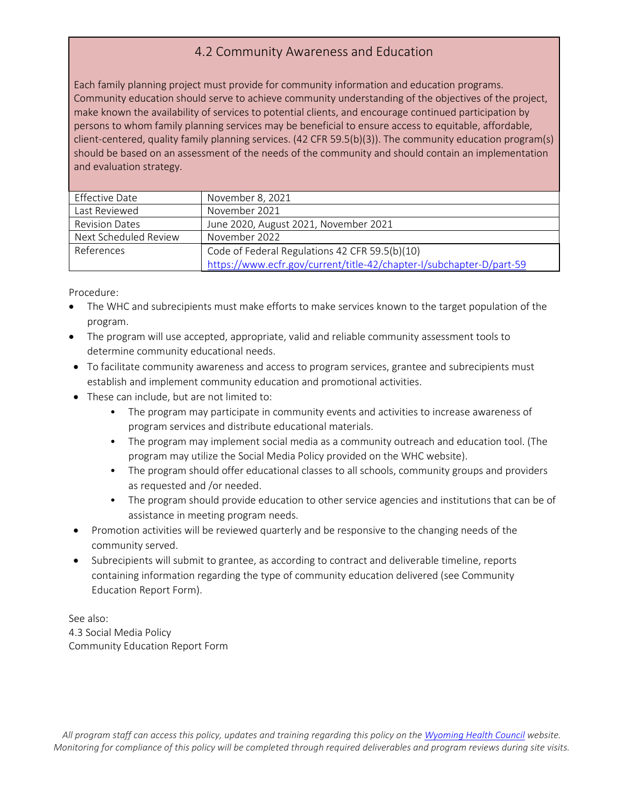#### 4.2 Community Awareness and Education

Each family planning project must provide for community information and education programs. Community education should serve to achieve community understanding of the objectives of the project, make known the availability of services to potential clients, and encourage continued participation by persons to whom family planning services may be beneficial to ensure access to equitable, affordable, client-centered, quality family planning services. (42 CFR 59.5(b)(3)). The community education program(s) should be based on an assessment of the needs of the community and should contain an implementation and evaluation strategy.

| Effective Date        | November 8, 2021                                                     |
|-----------------------|----------------------------------------------------------------------|
| Last Reviewed         | November 2021                                                        |
| <b>Revision Dates</b> | June 2020, August 2021, November 2021                                |
| Next Scheduled Review | November 2022                                                        |
| References            | Code of Federal Regulations 42 CFR 59.5(b)(10)                       |
|                       | https://www.ecfr.gov/current/title-42/chapter-I/subchapter-D/part-59 |

Procedure:

- The WHC and subrecipients must make efforts to make services known to the target population of the program.
- The program will use accepted, appropriate, valid and reliable community assessment tools to determine community educational needs.
- To facilitate community awareness and access to program services, grantee and subrecipients must establish and implement community education and promotional activities.
- These can include, but are not limited to:
	- The program may participate in community events and activities to increase awareness of program services and distribute educational materials.
	- The program may implement social media as a community outreach and education tool. (The program may utilize the Social Media Policy provided on the WHC website).
	- The program should offer educational classes to all schools, community groups and providers as requested and /or needed.
	- The program should provide education to other service agencies and institutions that can be of assistance in meeting program needs.
- Promotion activities will be reviewed quarterly and be responsive to the changing needs of the community served.
- Subrecipients will submit to grantee, as according to contract and deliverable timeline, reports containing information regarding the type of community education delivered (see Community Education Report Form).

See also: 4.3 Social Media Policy Community Education Report Form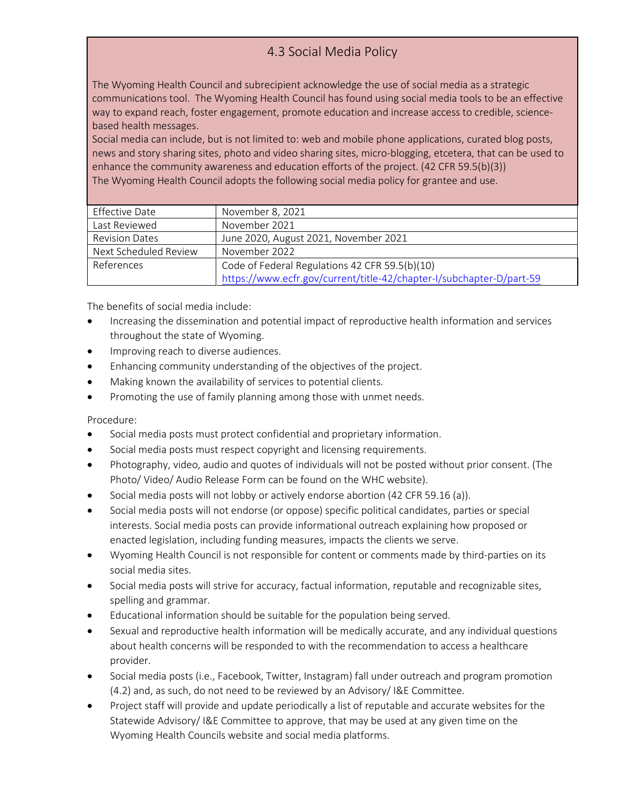# 4.3 Social Media Policy

The Wyoming Health Council and subrecipient acknowledge the use of social media as a strategic communications tool. The Wyoming Health Council has found using social media tools to be an effective way to expand reach, foster engagement, promote education and increase access to credible, sciencebased health messages.

Social media can include, but is not limited to: web and mobile phone applications, curated blog posts, news and story sharing sites, photo and video sharing sites, micro-blogging, etcetera, that can be used to enhance the community awareness and education efforts of the project. (42 CFR 59.5(b)(3)) The Wyoming Health Council adopts the following social media policy for grantee and use.

| Effective Date        | November 8, 2021                                                     |
|-----------------------|----------------------------------------------------------------------|
| Last Reviewed         | November 2021                                                        |
| <b>Revision Dates</b> | June 2020, August 2021, November 2021                                |
| Next Scheduled Review | November 2022                                                        |
| References            | Code of Federal Regulations 42 CFR 59.5(b)(10)                       |
|                       | https://www.ecfr.gov/current/title-42/chapter-I/subchapter-D/part-59 |

The benefits of social media include:

- Increasing the dissemination and potential impact of reproductive health information and services throughout the state of Wyoming.
- Improving reach to diverse audiences.
- Enhancing community understanding of the objectives of the project.
- Making known the availability of services to potential clients.
- Promoting the use of family planning among those with unmet needs.

- Social media posts must protect confidential and proprietary information.
- Social media posts must respect copyright and licensing requirements.
- Photography, video, audio and quotes of individuals will not be posted without prior consent. (The Photo/ Video/ Audio Release Form can be found on the WHC website).
- Social media posts will not lobby or actively endorse abortion (42 CFR 59.16 (a)).
- Social media posts will not endorse (or oppose) specific political candidates, parties or special interests. Social media posts can provide informational outreach explaining how proposed or enacted legislation, including funding measures, impacts the clients we serve.
- Wyoming Health Council is not responsible for content or comments made by third-parties on its social media sites.
- Social media posts will strive for accuracy, factual information, reputable and recognizable sites, spelling and grammar.
- Educational information should be suitable for the population being served.
- Sexual and reproductive health information will be medically accurate, and any individual questions about health concerns will be responded to with the recommendation to access a healthcare provider.
- Social media posts (i.e., Facebook, Twitter, Instagram) fall under outreach and program promotion (4.2) and, as such, do not need to be reviewed by an Advisory/ I&E Committee.
- Project staff will provide and update periodically a list of reputable and accurate websites for the Statewide Advisory/ I&E Committee to approve, that may be used at any given time on the Wyoming Health Councils website and social media platforms.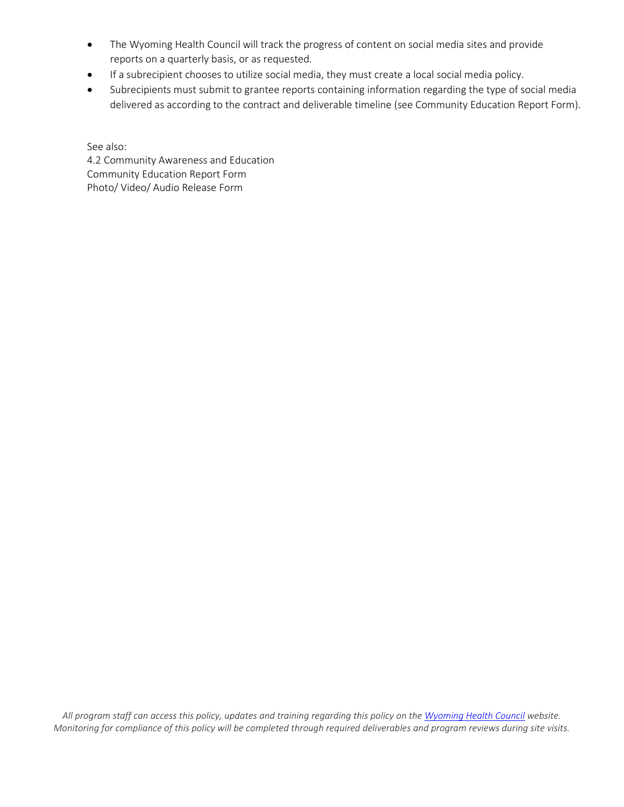- The Wyoming Health Council will track the progress of content on social media sites and provide reports on a quarterly basis, or as requested.
- If a subrecipient chooses to utilize social media, they must create a local social media policy.
- Subrecipients must submit to grantee reports containing information regarding the type of social media delivered as according to the contract and deliverable timeline (see Community Education Report Form).

See also: 4.2 Community Awareness and Education Community Education Report Form Photo/ Video/ Audio Release Form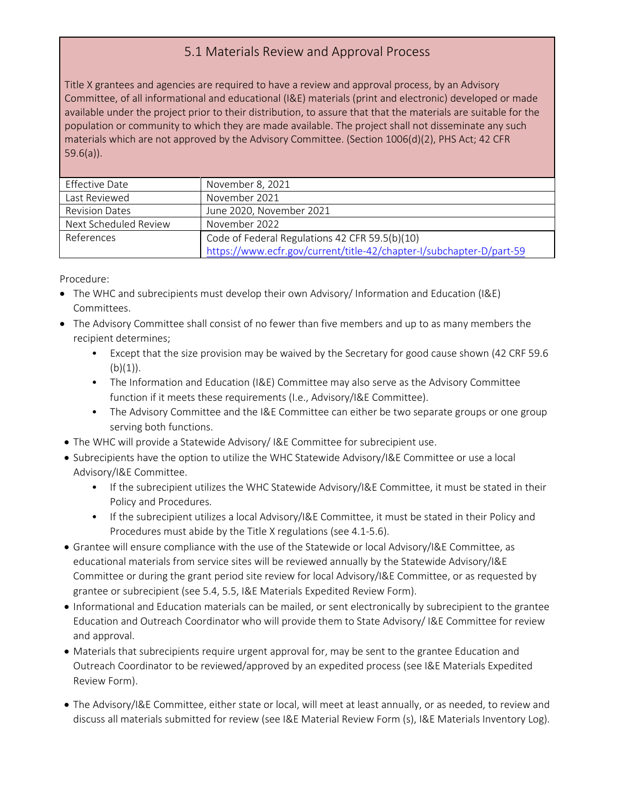#### 5.1 Materials Review and Approval Process

Title X grantees and agencies are required to have a review and approval process, by an Advisory Committee, of all informational and educational (I&E) materials (print and electronic) developed or made available under the project prior to their distribution, to assure that that the materials are suitable for the population or community to which they are made available. The project shall not disseminate any such materials which are not approved by the Advisory Committee. (Section 1006(d)(2), PHS Act; 42 CFR 59.6(a)).

| Effective Date        | November 8, 2021                                                     |
|-----------------------|----------------------------------------------------------------------|
| Last Reviewed         | November 2021                                                        |
| <b>Revision Dates</b> | June 2020, November 2021                                             |
| Next Scheduled Review | November 2022                                                        |
| References            | Code of Federal Regulations 42 CFR 59.5(b)(10)                       |
|                       | https://www.ecfr.gov/current/title-42/chapter-I/subchapter-D/part-59 |

- The WHC and subrecipients must develop their own Advisory/ Information and Education (I&E) Committees.
- The Advisory Committee shall consist of no fewer than five members and up to as many members the recipient determines;
	- Except that the size provision may be waived by the Secretary for good cause shown (42 CRF 59.6  $(b)(1)$ ).
	- The Information and Education (I&E) Committee may also serve as the Advisory Committee function if it meets these requirements (I.e., Advisory/I&E Committee).
	- The Advisory Committee and the I&E Committee can either be two separate groups or one group serving both functions.
- The WHC will provide a Statewide Advisory/ I&E Committee for subrecipient use.
- Subrecipients have the option to utilize the WHC Statewide Advisory/I&E Committee or use a local Advisory/I&E Committee.
	- If the subrecipient utilizes the WHC Statewide Advisory/I&E Committee, it must be stated in their Policy and Procedures.
	- If the subrecipient utilizes a local Advisory/I&E Committee, it must be stated in their Policy and Procedures must abide by the Title X regulations (see 4.1-5.6).
- Grantee will ensure compliance with the use of the Statewide or local Advisory/I&E Committee, as educational materials from service sites will be reviewed annually by the Statewide Advisory/I&E Committee or during the grant period site review for local Advisory/I&E Committee, or as requested by grantee or subrecipient (see 5.4, 5.5, I&E Materials Expedited Review Form).
- Informational and Education materials can be mailed, or sent electronically by subrecipient to the grantee Education and Outreach Coordinator who will provide them to State Advisory/ I&E Committee for review and approval.
- Materials that subrecipients require urgent approval for, may be sent to the grantee Education and Outreach Coordinator to be reviewed/approved by an expedited process (see I&E Materials Expedited Review Form).
- The Advisory/I&E Committee, either state or local, will meet at least annually, or as needed, to review and discuss all materials submitted for review (see I&E Material Review Form (s), I&E Materials Inventory Log).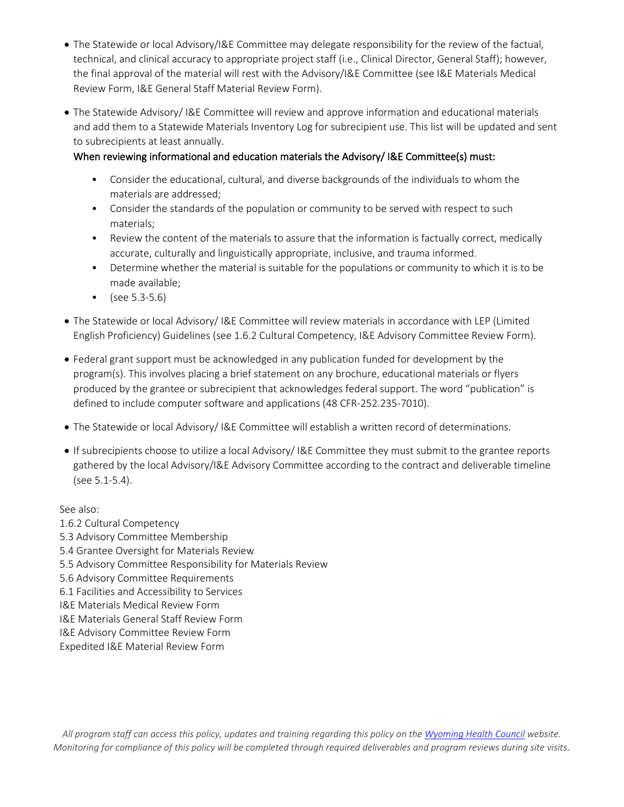- The Statewide or local Advisory/I&E Committee may delegate responsibility for the review of the factual, technical, and clinical accuracy to appropriate project staff (i.e., Clinical Director, General Staff); however, the final approval of the material will rest with the Advisory/I&E Committee (see I&E Materials Medical Review Form, I&E General Staff Material Review Form).
- The Statewide Advisory/ I&E Committee will review and approve information and educational materials and add them to a Statewide Materials Inventory Log for subrecipient use. This list will be updated and sent to subrecipients at least annually.

#### When reviewing informational and education materials the Advisory/ I&E Committee(s) must:

- Consider the educational, cultural, and diverse backgrounds of the individuals to whom the materials are addressed;
- Consider the standards of the population or community to be served with respect to such materials;
- Review the content of the materials to assure that the information is factually correct, medically accurate, culturally and linguistically appropriate, inclusive, and trauma informed.
- Determine whether the material is suitable for the populations or community to which it is to be made available;
- (see 5.3-5.6)
- The Statewide or local Advisory/ I&E Committee will review materials in accordance with LEP (Limited English Proficiency) Guidelines (see 1.6.2 Cultural Competency, I&E Advisory Committee Review Form).
- Federal grant support must be acknowledged in any publication funded for development by the program(s). This involves placing a brief statement on any brochure, educational materials or flyers produced by the grantee or subrecipient that acknowledges federal support. The word "publication" is defined to include computer software and applications (48 CFR-252.235-7010).
- The Statewide or local Advisory/ I&E Committee will establish a written record of determinations.
- If subrecipients choose to utilize a local Advisory/ I&E Committee they must submit to the grantee reports gathered by the local Advisory/I&E Advisory Committee according to the contract and deliverable timeline (see 5.1-5.4).

See also:

- 1.6.2 Cultural Competency
- 5.3 Advisory Committee Membership
- 5.4 Grantee Oversight for Materials Review
- 5.5 Advisory Committee Responsibility for Materials Review
- 5.6 Advisory Committee Requirements
- 6.1 Facilities and Accessibility to Services
- I&E Materials Medical Review Form
- I&E Materials General Staff Review Form
- I&E Advisory Committee Review Form
- Expedited I&E Material Review Form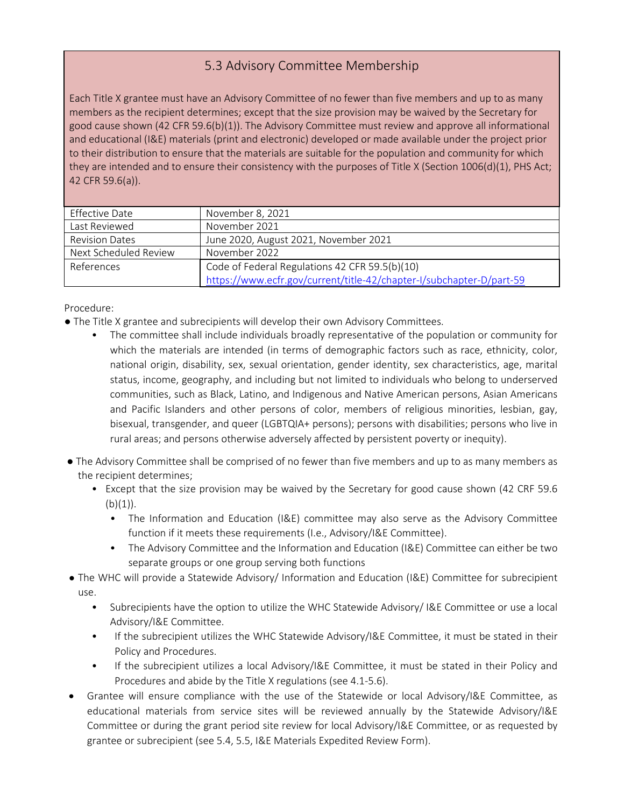#### 5.3 Advisory Committee Membership

Each Title X grantee must have an Advisory Committee of no fewer than five members and up to as many members as the recipient determines; except that the size provision may be waived by the Secretary for good cause shown (42 CFR 59.6(b)(1)). The Advisory Committee must review and approve all informational and educational (I&E) materials (print and electronic) developed or made available under the project prior to their distribution to ensure that the materials are suitable for the population and community for which they are intended and to ensure their consistency with the purposes of Title X (Section 1006(d)(1), PHS Act; 42 CFR 59.6(a)).

| Effective Date        | November 8, 2021                                                     |
|-----------------------|----------------------------------------------------------------------|
| Last Reviewed         | November 2021                                                        |
| <b>Revision Dates</b> | June 2020, August 2021, November 2021                                |
| Next Scheduled Review | November 2022                                                        |
| References            | Code of Federal Regulations 42 CFR 59.5(b)(10)                       |
|                       | https://www.ecfr.gov/current/title-42/chapter-I/subchapter-D/part-59 |

- The Title X grantee and subrecipients will develop their own Advisory Committees.
	- The committee shall include individuals broadly representative of the population or community for which the materials are intended (in terms of demographic factors such as race, ethnicity, color, national origin, disability, sex, sexual orientation, gender identity, sex characteristics, age, marital status, income, geography, and including but not limited to individuals who belong to underserved communities, such as Black, Latino, and Indigenous and Native American persons, Asian Americans and Pacific Islanders and other persons of color, members of religious minorities, lesbian, gay, bisexual, transgender, and queer (LGBTQIA+ persons); persons with disabilities; persons who live in rural areas; and persons otherwise adversely affected by persistent poverty or inequity).
- The Advisory Committee shall be comprised of no fewer than five members and up to as many members as the recipient determines;
	- Except that the size provision may be waived by the Secretary for good cause shown (42 CRF 59.6  $(b)(1)$ ).
		- The Information and Education (I&E) committee may also serve as the Advisory Committee function if it meets these requirements (I.e., Advisory/I&E Committee).
		- The Advisory Committee and the Information and Education (I&E) Committee can either be two separate groups or one group serving both functions
- The WHC will provide a Statewide Advisory/ Information and Education (I&E) Committee for subrecipient use.
	- Subrecipients have the option to utilize the WHC Statewide Advisory/ I&E Committee or use a local Advisory/I&E Committee.
	- If the subrecipient utilizes the WHC Statewide Advisory/I&E Committee, it must be stated in their Policy and Procedures.
	- If the subrecipient utilizes a local Advisory/I&E Committee, it must be stated in their Policy and Procedures and abide by the Title X regulations (see 4.1-5.6).
- Grantee will ensure compliance with the use of the Statewide or local Advisory/I&E Committee, as educational materials from service sites will be reviewed annually by the Statewide Advisory/I&E Committee or during the grant period site review for local Advisory/I&E Committee, or as requested by grantee or subrecipient (see 5.4, 5.5, I&E Materials Expedited Review Form).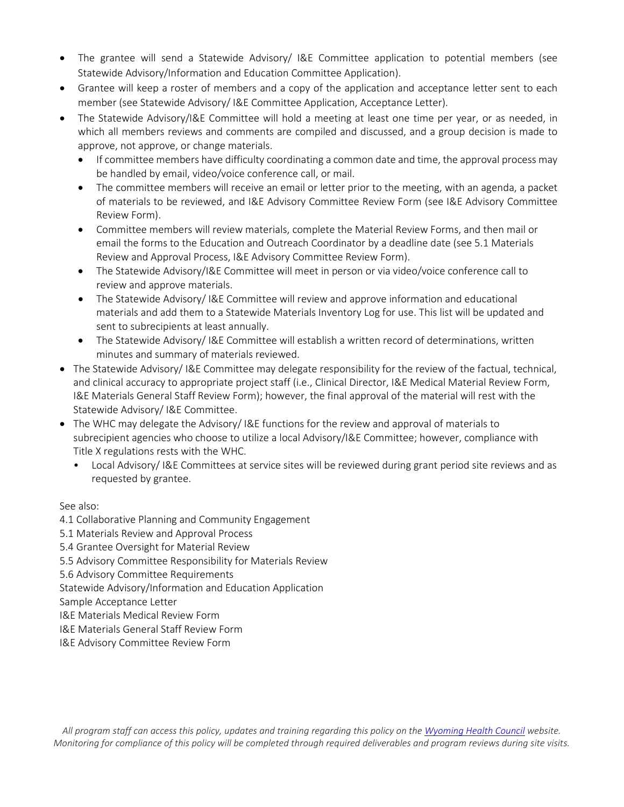- The grantee will send a Statewide Advisory/ I&E Committee application to potential members (see Statewide Advisory/Information and Education Committee Application).
- Grantee will keep a roster of members and a copy of the application and acceptance letter sent to each member (see Statewide Advisory/ I&E Committee Application, Acceptance Letter).
- The Statewide Advisory/I&E Committee will hold a meeting at least one time per year, or as needed, in which all members reviews and comments are compiled and discussed, and a group decision is made to approve, not approve, or change materials.
	- If committee members have difficulty coordinating a common date and time, the approval process may be handled by email, video/voice conference call, or mail.
	- The committee members will receive an email or letter prior to the meeting, with an agenda, a packet of materials to be reviewed, and I&E Advisory Committee Review Form (see I&E Advisory Committee Review Form).
	- Committee members will review materials, complete the Material Review Forms, and then mail or email the forms to the Education and Outreach Coordinator by a deadline date (see 5.1 Materials Review and Approval Process, I&E Advisory Committee Review Form).
	- The Statewide Advisory/I&E Committee will meet in person or via video/voice conference call to review and approve materials.
	- The Statewide Advisory/ I&E Committee will review and approve information and educational materials and add them to a Statewide Materials Inventory Log for use. This list will be updated and sent to subrecipients at least annually.
	- The Statewide Advisory/I&E Committee will establish a written record of determinations, written minutes and summary of materials reviewed.
- The Statewide Advisory/ I&E Committee may delegate responsibility for the review of the factual, technical, and clinical accuracy to appropriate project staff (i.e., Clinical Director, I&E Medical Material Review Form, I&E Materials General Staff Review Form); however, the final approval of the material will rest with the Statewide Advisory/ I&E Committee.
- The WHC may delegate the Advisory/ I&E functions for the review and approval of materials to subrecipient agencies who choose to utilize a local Advisory/I&E Committee; however, compliance with Title X regulations rests with the WHC.
	- Local Advisory/ I&E Committees at service sites will be reviewed during grant period site reviews and as requested by grantee.

See also:

- 4.1 Collaborative Planning and Community Engagement
- 5.1 Materials Review and Approval Process
- 5.4 Grantee Oversight for Material Review
- 5.5 Advisory Committee Responsibility for Materials Review
- 5.6 Advisory Committee Requirements
- Statewide Advisory/Information and Education Application
- Sample Acceptance Letter
- I&E Materials Medical Review Form
- I&E Materials General Staff Review Form
- I&E Advisory Committee Review Form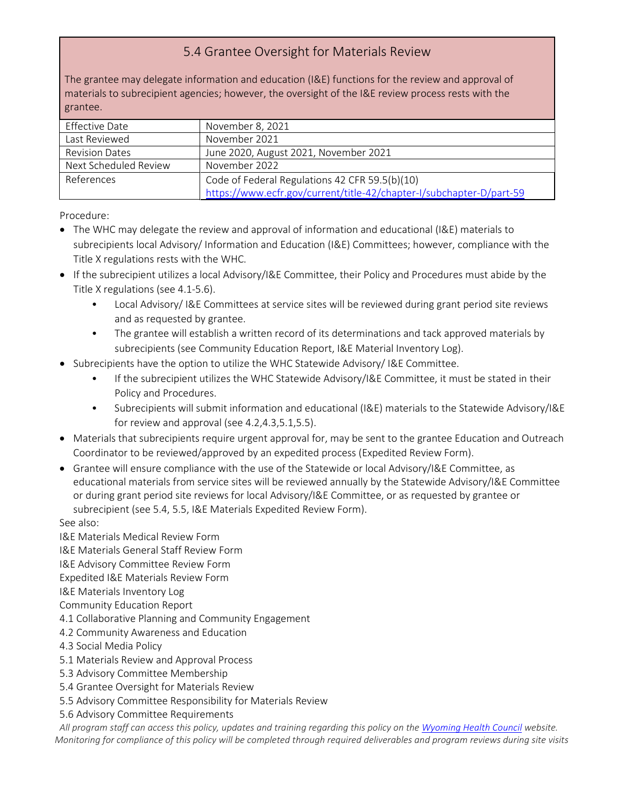#### 5.4 Grantee Oversight for Materials Review

The grantee may delegate information and education (I&E) functions for the review and approval of materials to subrecipient agencies; however, the oversight of the I&E review process rests with the grantee.

| Effective Date        | November 8, 2021                                                     |
|-----------------------|----------------------------------------------------------------------|
| Last Reviewed         | November 2021                                                        |
| <b>Revision Dates</b> | June 2020, August 2021, November 2021                                |
| Next Scheduled Review | November 2022                                                        |
| References            | Code of Federal Regulations 42 CFR 59.5(b)(10)                       |
|                       | https://www.ecfr.gov/current/title-42/chapter-I/subchapter-D/part-59 |

Procedure:

- The WHC may delegate the review and approval of information and educational (I&E) materials to subrecipients local Advisory/ Information and Education (I&E) Committees; however, compliance with the Title X regulations rests with the WHC.
- If the subrecipient utilizes a local Advisory/I&E Committee, their Policy and Procedures must abide by the Title X regulations (see 4.1-5.6).
	- Local Advisory/ I&E Committees at service sites will be reviewed during grant period site reviews and as requested by grantee.
	- The grantee will establish a written record of its determinations and tack approved materials by subrecipients (see Community Education Report, I&E Material Inventory Log).
- Subrecipients have the option to utilize the WHC Statewide Advisory/ I&E Committee.
	- If the subrecipient utilizes the WHC Statewide Advisory/I&E Committee, it must be stated in their Policy and Procedures.
	- Subrecipients will submit information and educational (I&E) materials to the Statewide Advisory/I&E for review and approval (see 4.2,4.3,5.1,5.5).
- Materials that subrecipients require urgent approval for, may be sent to the grantee Education and Outreach Coordinator to be reviewed/approved by an expedited process (Expedited Review Form).
- Grantee will ensure compliance with the use of the Statewide or local Advisory/I&E Committee, as educational materials from service sites will be reviewed annually by the Statewide Advisory/I&E Committee or during grant period site reviews for local Advisory/I&E Committee, or as requested by grantee or subrecipient (see 5.4, 5.5, I&E Materials Expedited Review Form).

See also:

I&E Materials Medical Review Form

I&E Materials General Staff Review Form

I&E Advisory Committee Review Form

Expedited I&E Materials Review Form

I&E Materials Inventory Log

- Community Education Report
- 4.1 Collaborative Planning and Community Engagement
- 4.2 Community Awareness and Education
- 4.3 Social Media Policy
- 5.1 Materials Review and Approval Process
- 5.3 Advisory Committee Membership
- 5.4 Grantee Oversight for Materials Review
- 5.5 Advisory Committee Responsibility for Materials Review
- 5.6 Advisory Committee Requirements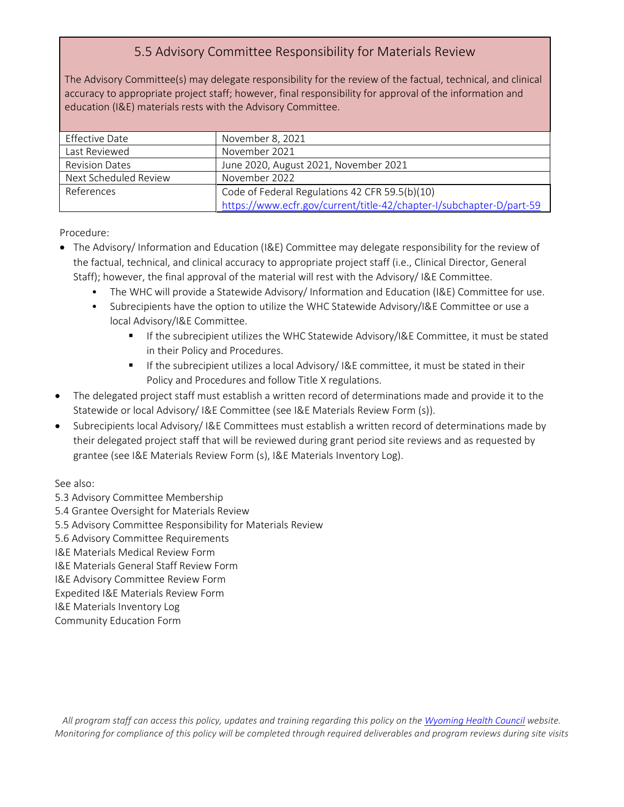# 5.5 Advisory Committee Responsibility for Materials Review

The Advisory Committee(s) may delegate responsibility for the review of the factual, technical, and clinical accuracy to appropriate project staff; however, final responsibility for approval of the information and education (I&E) materials rests with the Advisory Committee.

| Effective Date        | November 8, 2021                                                     |
|-----------------------|----------------------------------------------------------------------|
| Last Reviewed         | November 2021                                                        |
| <b>Revision Dates</b> | June 2020, August 2021, November 2021                                |
| Next Scheduled Review | November 2022                                                        |
| References            | Code of Federal Regulations 42 CFR 59.5(b)(10)                       |
|                       | https://www.ecfr.gov/current/title-42/chapter-I/subchapter-D/part-59 |

Procedure:

- The Advisory/ Information and Education (I&E) Committee may delegate responsibility for the review of the factual, technical, and clinical accuracy to appropriate project staff (i.e., Clinical Director, General Staff); however, the final approval of the material will rest with the Advisory/ I&E Committee.
	- The WHC will provide a Statewide Advisory/ Information and Education (I&E) Committee for use.
	- Subrecipients have the option to utilize the WHC Statewide Advisory/I&E Committee or use a local Advisory/I&E Committee.
		- **If the subrecipient utilizes the WHC Statewide Advisory/I&E Committee, it must be stated** in their Policy and Procedures.
		- If the subrecipient utilizes a local Advisory/ I&E committee, it must be stated in their Policy and Procedures and follow Title X regulations.
- The delegated project staff must establish a written record of determinations made and provide it to the Statewide or local Advisory/ I&E Committee (see I&E Materials Review Form (s)).
- Subrecipients local Advisory/ I&E Committees must establish a written record of determinations made by their delegated project staff that will be reviewed during grant period site reviews and as requested by grantee (see I&E Materials Review Form (s), I&E Materials Inventory Log).

See also:

- 5.3 Advisory Committee Membership
- 5.4 Grantee Oversight for Materials Review
- 5.5 Advisory Committee Responsibility for Materials Review
- 5.6 Advisory Committee Requirements
- I&E Materials Medical Review Form
- I&E Materials General Staff Review Form
- I&E Advisory Committee Review Form
- Expedited I&E Materials Review Form
- I&E Materials Inventory Log

Community Education Form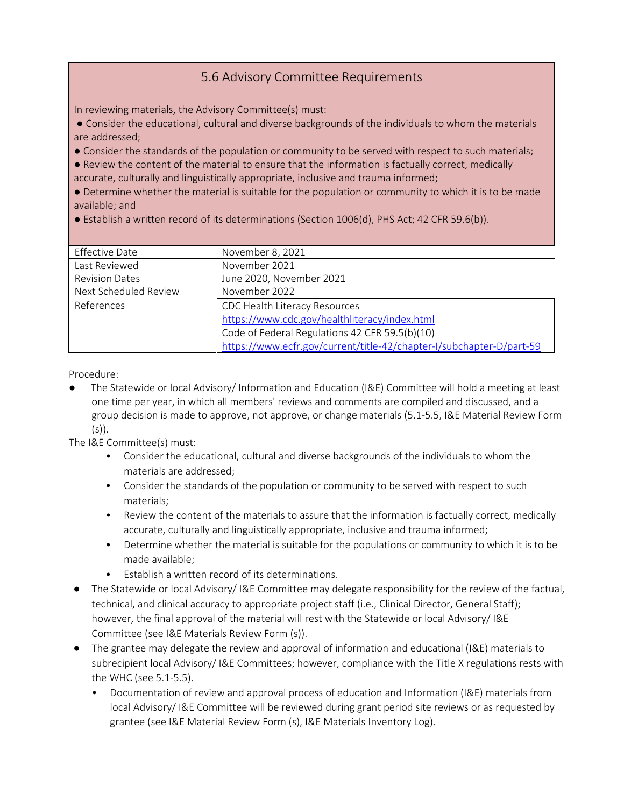#### 5.6 Advisory Committee Requirements

In reviewing materials, the Advisory Committee(s) must:

● Consider the educational, cultural and diverse backgrounds of the individuals to whom the materials are addressed;

● Consider the standards of the population or community to be served with respect to such materials;

● Review the content of the material to ensure that the information is factually correct, medically accurate, culturally and linguistically appropriate, inclusive and trauma informed;

● Determine whether the material is suitable for the population or community to which it is to be made available; and

● Establish a written record of its determinations (Section 1006(d), PHS Act; 42 CFR 59.6(b)).

| <b>Effective Date</b> | November 8, 2021                                                     |
|-----------------------|----------------------------------------------------------------------|
| Last Reviewed         | November 2021                                                        |
| <b>Revision Dates</b> | June 2020, November 2021                                             |
| Next Scheduled Review | November 2022                                                        |
| References            | CDC Health Literacy Resources                                        |
|                       | https://www.cdc.gov/healthliteracy/index.html                        |
|                       | Code of Federal Regulations 42 CFR 59.5(b)(10)                       |
|                       | https://www.ecfr.gov/current/title-42/chapter-I/subchapter-D/part-59 |

Procedure:

The Statewide or local Advisory/ Information and Education (I&E) Committee will hold a meeting at least one time per year, in which all members' reviews and comments are compiled and discussed, and a group decision is made to approve, not approve, or change materials (5.1-5.5, I&E Material Review Form  $(s)$ ).

The I&E Committee(s) must:

- Consider the educational, cultural and diverse backgrounds of the individuals to whom the materials are addressed;
- Consider the standards of the population or community to be served with respect to such materials;
- Review the content of the materials to assure that the information is factually correct, medically accurate, culturally and linguistically appropriate, inclusive and trauma informed;
- Determine whether the material is suitable for the populations or community to which it is to be made available;
- Establish a written record of its determinations.
- The Statewide or local Advisory/ I&E Committee may delegate responsibility for the review of the factual, technical, and clinical accuracy to appropriate project staff (i.e., Clinical Director, General Staff); however, the final approval of the material will rest with the Statewide or local Advisory/ I&E Committee (see I&E Materials Review Form (s)).
- The grantee may delegate the review and approval of information and educational (I&E) materials to subrecipient local Advisory/ I&E Committees; however, compliance with the Title X regulations rests with the WHC (see 5.1-5.5).
	- Documentation of review and approval process of education and Information (I&E) materials from local Advisory/ I&E Committee will be reviewed during grant period site reviews or as requested by grantee (see I&E Material Review Form (s), I&E Materials Inventory Log).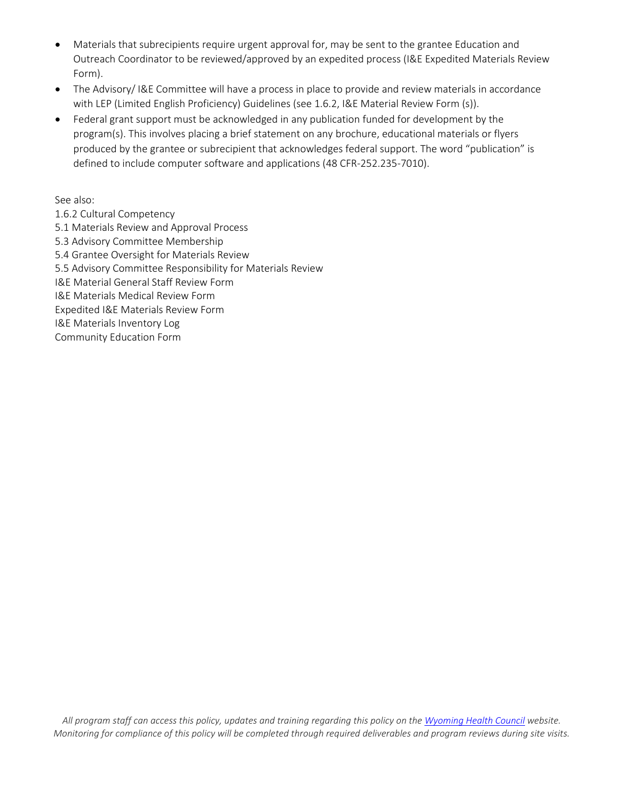- Materials that subrecipients require urgent approval for, may be sent to the grantee Education and Outreach Coordinator to be reviewed/approved by an expedited process (I&E Expedited Materials Review Form).
- The Advisory/ I&E Committee will have a process in place to provide and review materials in accordance with LEP (Limited English Proficiency) Guidelines (see 1.6.2, I&E Material Review Form (s)).
- Federal grant support must be acknowledged in any publication funded for development by the program(s). This involves placing a brief statement on any brochure, educational materials or flyers produced by the grantee or subrecipient that acknowledges federal support. The word "publication" is defined to include computer software and applications (48 CFR-252.235-7010).

See also:

- 1.6.2 Cultural Competency
- 5.1 Materials Review and Approval Process
- 5.3 Advisory Committee Membership
- 5.4 Grantee Oversight for Materials Review
- 5.5 Advisory Committee Responsibility for Materials Review
- I&E Material General Staff Review Form
- I&E Materials Medical Review Form
- Expedited I&E Materials Review Form
- I&E Materials Inventory Log
- Community Education Form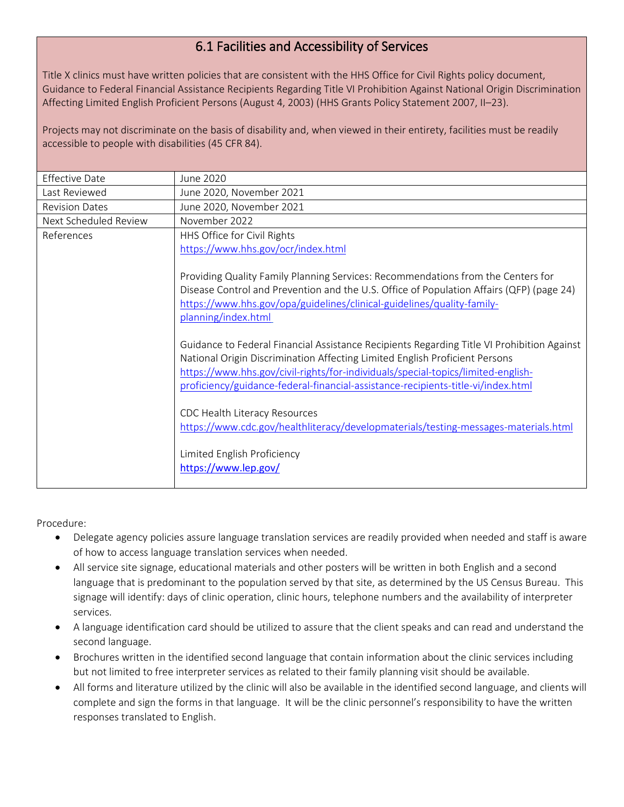# 6.1 Facilities and Accessibility of Services

Title X clinics must have written policies that are consistent with the HHS Office for Civil Rights policy document, Guidance to Federal Financial Assistance Recipients Regarding Title VI Prohibition Against National Origin Discrimination Affecting Limited English Proficient Persons (August 4, 2003) (HHS Grants Policy Statement 2007, II–23).

Projects may not discriminate on the basis of disability and, when viewed in their entirety, facilities must be readily accessible to people with disabilities (45 CFR 84).

| <b>Effective Date</b> | June 2020                                                                                                                                                                                                                                                                     |
|-----------------------|-------------------------------------------------------------------------------------------------------------------------------------------------------------------------------------------------------------------------------------------------------------------------------|
| Last Reviewed         | June 2020, November 2021                                                                                                                                                                                                                                                      |
| <b>Revision Dates</b> | June 2020, November 2021                                                                                                                                                                                                                                                      |
| Next Scheduled Review | November 2022                                                                                                                                                                                                                                                                 |
| References            | HHS Office for Civil Rights                                                                                                                                                                                                                                                   |
|                       | https://www.hhs.gov/ocr/index.html                                                                                                                                                                                                                                            |
|                       | Providing Quality Family Planning Services: Recommendations from the Centers for<br>Disease Control and Prevention and the U.S. Office of Population Affairs (QFP) (page 24)<br>https://www.hhs.gov/opa/guidelines/clinical-guidelines/quality-family-<br>planning/index.html |
|                       | Guidance to Federal Financial Assistance Recipients Regarding Title VI Prohibition Against<br>National Origin Discrimination Affecting Limited English Proficient Persons                                                                                                     |
|                       | https://www.hhs.gov/civil-rights/for-individuals/special-topics/limited-english-<br>proficiency/guidance-federal-financial-assistance-recipients-title-vi/index.html                                                                                                          |
|                       | CDC Health Literacy Resources<br>https://www.cdc.gov/healthliteracy/developmaterials/testing-messages-materials.html                                                                                                                                                          |
|                       | Limited English Proficiency<br>https://www.lep.gov/                                                                                                                                                                                                                           |

- Delegate agency policies assure language translation services are readily provided when needed and staff is aware of how to access language translation services when needed.
- All service site signage, educational materials and other posters will be written in both English and a second language that is predominant to the population served by that site, as determined by the US Census Bureau. This signage will identify: days of clinic operation, clinic hours, telephone numbers and the availability of interpreter services.
- A language identification card should be utilized to assure that the client speaks and can read and understand the second language.
- Brochures written in the identified second language that contain information about the clinic services including but not limited to free interpreter services as related to their family planning visit should be available.
- All forms and literature utilized by the clinic will also be available in the identified second language, and clients will complete and sign the forms in that language. It will be the clinic personnel's responsibility to have the written responses translated to English.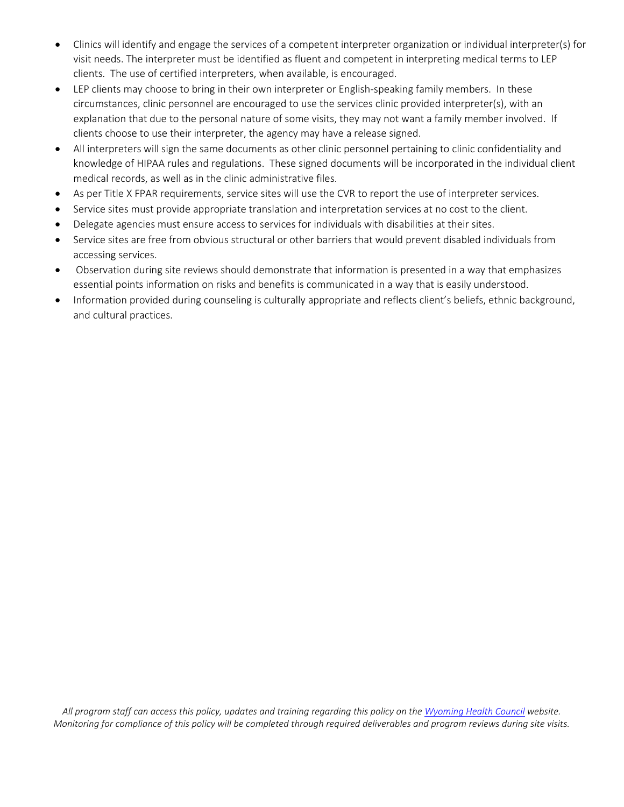- Clinics will identify and engage the services of a competent interpreter organization or individual interpreter(s) for visit needs. The interpreter must be identified as fluent and competent in interpreting medical terms to LEP clients. The use of certified interpreters, when available, is encouraged.
- LEP clients may choose to bring in their own interpreter or English-speaking family members. In these circumstances, clinic personnel are encouraged to use the services clinic provided interpreter(s), with an explanation that due to the personal nature of some visits, they may not want a family member involved. If clients choose to use their interpreter, the agency may have a release signed.
- All interpreters will sign the same documents as other clinic personnel pertaining to clinic confidentiality and knowledge of HIPAA rules and regulations. These signed documents will be incorporated in the individual client medical records, as well as in the clinic administrative files.
- As per Title X FPAR requirements, service sites will use the CVR to report the use of interpreter services.
- Service sites must provide appropriate translation and interpretation services at no cost to the client.
- Delegate agencies must ensure access to services for individuals with disabilities at their sites.
- Service sites are free from obvious structural or other barriers that would prevent disabled individuals from accessing services.
- Observation during site reviews should demonstrate that information is presented in a way that emphasizes essential points information on risks and benefits is communicated in a way that is easily understood.
- Information provided during counseling is culturally appropriate and reflects client's beliefs, ethnic background, and cultural practices.